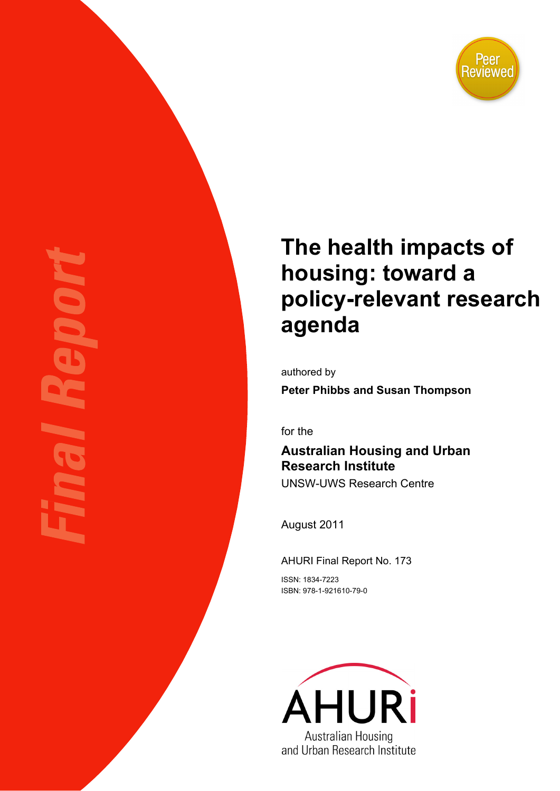

# **The health impacts of housing: toward a policy-relevant research agenda**

authored by

**Peter Phibbs and Susan Thompson** 

for the

# **Australian Housing and Urban Research Institute**

UNSW-UWS Research Centre

August 2011

AHURI Final Report No. 173

ISSN: 1834-7223 ISBN: 978-1-921610-79-0

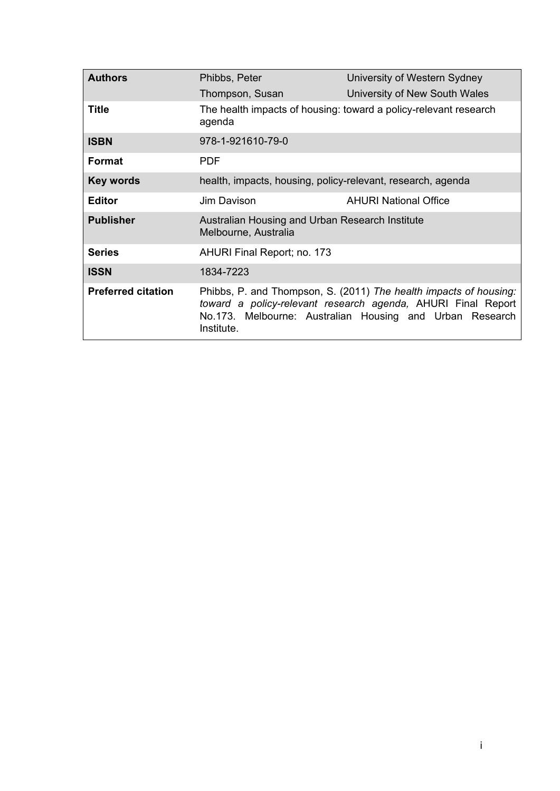| <b>Authors</b>            | Phibbs, Peter                                                           | University of Western Sydney                                                                                                                                                                  |
|---------------------------|-------------------------------------------------------------------------|-----------------------------------------------------------------------------------------------------------------------------------------------------------------------------------------------|
|                           | Thompson, Susan                                                         | University of New South Wales                                                                                                                                                                 |
| <b>Title</b>              | agenda                                                                  | The health impacts of housing: toward a policy-relevant research                                                                                                                              |
| <b>ISBN</b>               | 978-1-921610-79-0                                                       |                                                                                                                                                                                               |
| Format                    | <b>PDF</b>                                                              |                                                                                                                                                                                               |
| <b>Key words</b>          | health, impacts, housing, policy-relevant, research, agenda             |                                                                                                                                                                                               |
| <b>Editor</b>             | Jim Davison                                                             | <b>AHURI National Office</b>                                                                                                                                                                  |
| <b>Publisher</b>          | Australian Housing and Urban Research Institute<br>Melbourne, Australia |                                                                                                                                                                                               |
| <b>Series</b>             | AHURI Final Report; no. 173                                             |                                                                                                                                                                                               |
| <b>ISSN</b>               | 1834-7223                                                               |                                                                                                                                                                                               |
| <b>Preferred citation</b> | Institute.                                                              | Phibbs, P. and Thompson, S. (2011) The health impacts of housing:<br>toward a policy-relevant research agenda, AHURI Final Report<br>No.173. Melbourne: Australian Housing and Urban Research |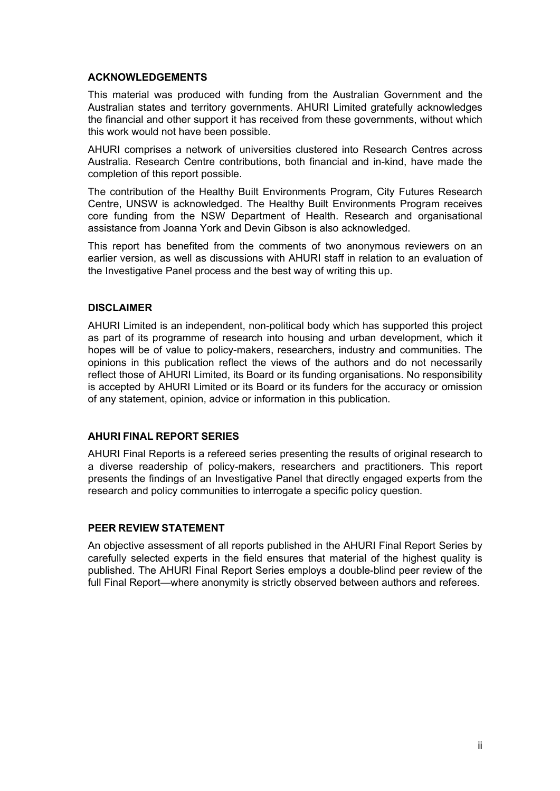#### **ACKNOWLEDGEMENTS**

This material was produced with funding from the Australian Government and the Australian states and territory governments. AHURI Limited gratefully acknowledges the financial and other support it has received from these governments, without which this work would not have been possible.

AHURI comprises a network of universities clustered into Research Centres across Australia. Research Centre contributions, both financial and in-kind, have made the completion of this report possible.

The contribution of the Healthy Built Environments Program, City Futures Research Centre, UNSW is acknowledged. The Healthy Built Environments Program receives core funding from the NSW Department of Health. Research and organisational assistance from Joanna York and Devin Gibson is also acknowledged.

This report has benefited from the comments of two anonymous reviewers on an earlier version, as well as discussions with AHURI staff in relation to an evaluation of the Investigative Panel process and the best way of writing this up.

#### **DISCLAIMER**

AHURI Limited is an independent, non-political body which has supported this project as part of its programme of research into housing and urban development, which it hopes will be of value to policy-makers, researchers, industry and communities. The opinions in this publication reflect the views of the authors and do not necessarily reflect those of AHURI Limited, its Board or its funding organisations. No responsibility is accepted by AHURI Limited or its Board or its funders for the accuracy or omission of any statement, opinion, advice or information in this publication.

#### **AHURI FINAL REPORT SERIES**

AHURI Final Reports is a refereed series presenting the results of original research to a diverse readership of policy-makers, researchers and practitioners. This report presents the findings of an Investigative Panel that directly engaged experts from the research and policy communities to interrogate a specific policy question.

#### **PEER REVIEW STATEMENT**

An objective assessment of all reports published in the AHURI Final Report Series by carefully selected experts in the field ensures that material of the highest quality is published. The AHURI Final Report Series employs a double-blind peer review of the full Final Report—where anonymity is strictly observed between authors and referees.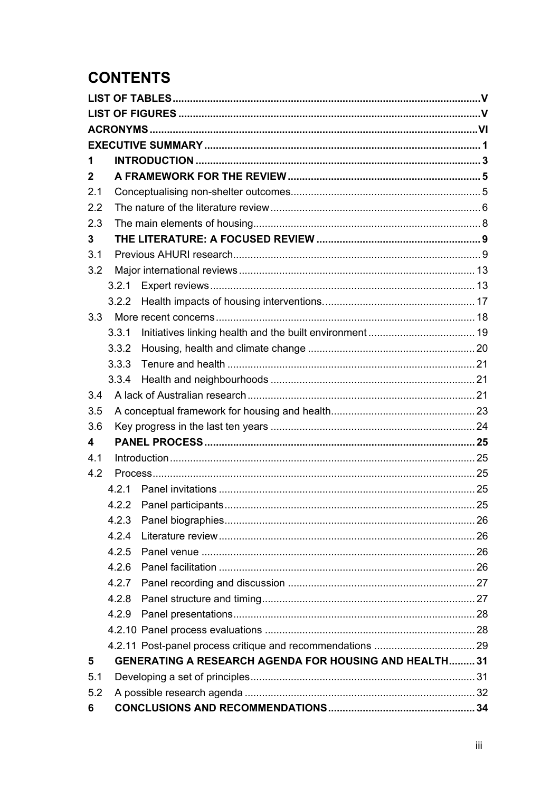# **CONTENTS**

| 1           |       |                                                               |  |
|-------------|-------|---------------------------------------------------------------|--|
| $\mathbf 2$ |       |                                                               |  |
| 2.1         |       |                                                               |  |
| 2.2         |       |                                                               |  |
| 2.3         |       |                                                               |  |
| 3           |       |                                                               |  |
| 3.1         |       |                                                               |  |
| 3.2         |       |                                                               |  |
|             | 3.2.1 |                                                               |  |
|             | 3.2.2 |                                                               |  |
| 3.3         |       |                                                               |  |
|             | 3.3.1 |                                                               |  |
|             | 3.3.2 |                                                               |  |
|             | 3.3.3 |                                                               |  |
|             | 3.3.4 |                                                               |  |
| 3.4         |       |                                                               |  |
| 3.5         |       |                                                               |  |
| 3.6         |       |                                                               |  |
| 4           |       |                                                               |  |
| 4.1         |       |                                                               |  |
| 4.2         |       |                                                               |  |
|             | 4.2.1 |                                                               |  |
|             | 4.2.2 |                                                               |  |
|             | 4.2.3 |                                                               |  |
|             | 4.2.4 |                                                               |  |
|             | 4.2.5 |                                                               |  |
|             | 4.2.6 |                                                               |  |
|             | 4.2.7 |                                                               |  |
|             | 4.2.8 |                                                               |  |
|             | 4.2.9 |                                                               |  |
|             |       |                                                               |  |
|             |       |                                                               |  |
| 5           |       | <b>GENERATING A RESEARCH AGENDA FOR HOUSING AND HEALTH 31</b> |  |
| 5.1         |       |                                                               |  |
| 5.2         |       |                                                               |  |
| 6           |       |                                                               |  |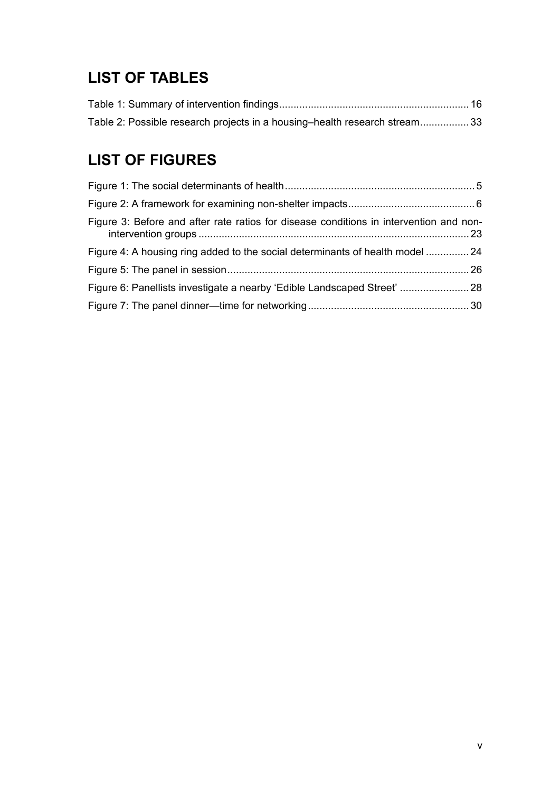# <span id="page-5-0"></span>**LIST OF TABLES**

| Table 2: Possible research projects in a housing-health research stream33 |  |
|---------------------------------------------------------------------------|--|

# **LIST OF FIGURES**

| Figure 3: Before and after rate ratios for disease conditions in intervention and non- |  |
|----------------------------------------------------------------------------------------|--|
| Figure 4: A housing ring added to the social determinants of health model  24          |  |
|                                                                                        |  |
| Figure 6: Panellists investigate a nearby 'Edible Landscaped Street'  28               |  |
|                                                                                        |  |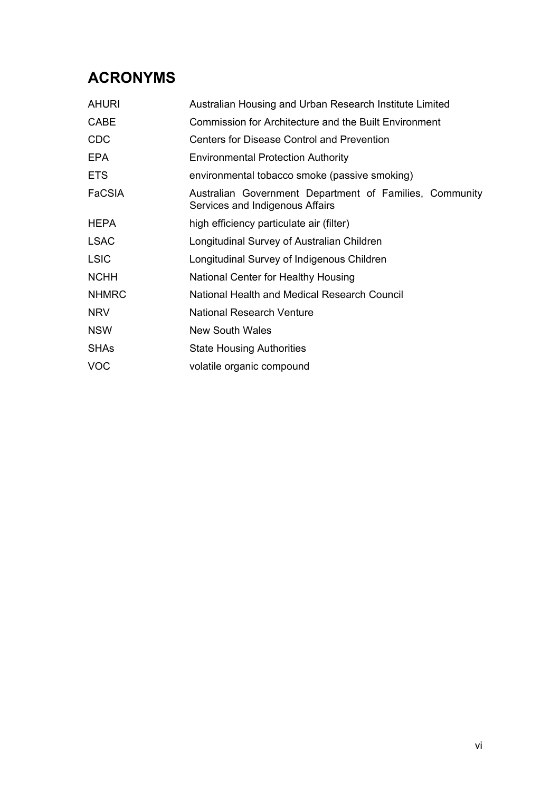# <span id="page-6-0"></span>**ACRONYMS**

| <b>AHURI</b>  | Australian Housing and Urban Research Institute Limited                                    |  |  |
|---------------|--------------------------------------------------------------------------------------------|--|--|
| <b>CABE</b>   | <b>Commission for Architecture and the Built Environment</b>                               |  |  |
| <b>CDC</b>    | Centers for Disease Control and Prevention                                                 |  |  |
| <b>EPA</b>    | <b>Environmental Protection Authority</b>                                                  |  |  |
| <b>ETS</b>    | environmental tobacco smoke (passive smoking)                                              |  |  |
| <b>FaCSIA</b> | Australian Government Department of Families, Community<br>Services and Indigenous Affairs |  |  |
| <b>HEPA</b>   | high efficiency particulate air (filter)                                                   |  |  |
| <b>LSAC</b>   | Longitudinal Survey of Australian Children                                                 |  |  |
| <b>LSIC</b>   | Longitudinal Survey of Indigenous Children                                                 |  |  |
| <b>NCHH</b>   | National Center for Healthy Housing                                                        |  |  |
| <b>NHMRC</b>  | National Health and Medical Research Council                                               |  |  |
| <b>NRV</b>    | <b>National Research Venture</b>                                                           |  |  |
| <b>NSW</b>    | New South Wales                                                                            |  |  |
| <b>SHAs</b>   | <b>State Housing Authorities</b>                                                           |  |  |
| <b>VOC</b>    | volatile organic compound                                                                  |  |  |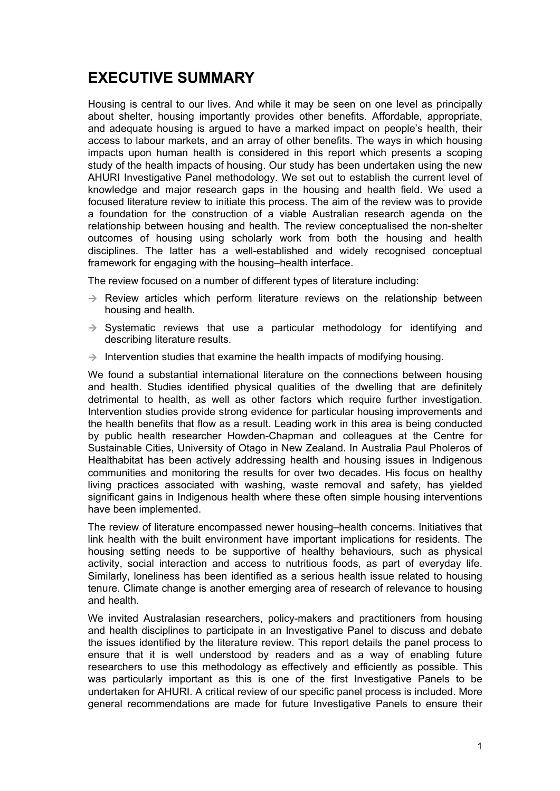# <span id="page-7-0"></span>**EXECUTIVE SUMMARY**

Housing is central to our lives. And while it may be seen on one level as principally about shelter, housing importantly provides other benefits. Affordable, appropriate, and adequate housing is argued to have a marked impact on people's health, their access to labour markets, and an array of other benefits. The ways in which housing impacts upon human health is considered in this report which presents a scoping study of the health impacts of housing. Our study has been undertaken using the new AHURI Investigative Panel methodology. We set out to establish the current level of knowledge and major research gaps in the housing and health field. We used a focused literature review to initiate this process. The aim of the review was to provide a foundation for the construction of a viable Australian research agenda on the relationship between housing and health. The review conceptualised the non-shelter outcomes of housing using scholarly work from both the housing and health disciplines. The latter has a well-established and widely recognised conceptual framework for engaging with the housing–health interface.

The review focused on a number of different types of literature including:

- $\rightarrow$  Review articles which perform literature reviews on the relationship between housing and health.
- $\rightarrow$  Systematic reviews that use a particular methodology for identifying and describing literature results.
- $\rightarrow$  Intervention studies that examine the health impacts of modifying housing.

We found a substantial international literature on the connections between housing and health. Studies identified physical qualities of the dwelling that are definitely detrimental to health, as well as other factors which require further investigation. Intervention studies provide strong evidence for particular housing improvements and the health benefits that flow as a result. Leading work in this area is being conducted by public health researcher Howden-Chapman and colleagues at the Centre for Sustainable Cities, University of Otago in New Zealand. In Australia Paul Pholeros of Healthabitat has been actively addressing health and housing issues in Indigenous communities and monitoring the results for over two decades. His focus on healthy living practices associated with washing, waste removal and safety, has yielded significant gains in Indigenous health where these often simple housing interventions have been implemented.

The review of literature encompassed newer housing–health concerns. Initiatives that link health with the built environment have important implications for residents. The housing setting needs to be supportive of healthy behaviours, such as physical activity, social interaction and access to nutritious foods, as part of everyday life. Similarly, loneliness has been identified as a serious health issue related to housing tenure. Climate change is another emerging area of research of relevance to housing and health.

We invited Australasian researchers, policy-makers and practitioners from housing and health disciplines to participate in an Investigative Panel to discuss and debate the issues identified by the literature review. This report details the panel process to ensure that it is well understood by readers and as a way of enabling future researchers to use this methodology as effectively and efficiently as possible. This was particularly important as this is one of the first Investigative Panels to be undertaken for AHURI. A critical review of our specific panel process is included. More general recommendations are made for future Investigative Panels to ensure their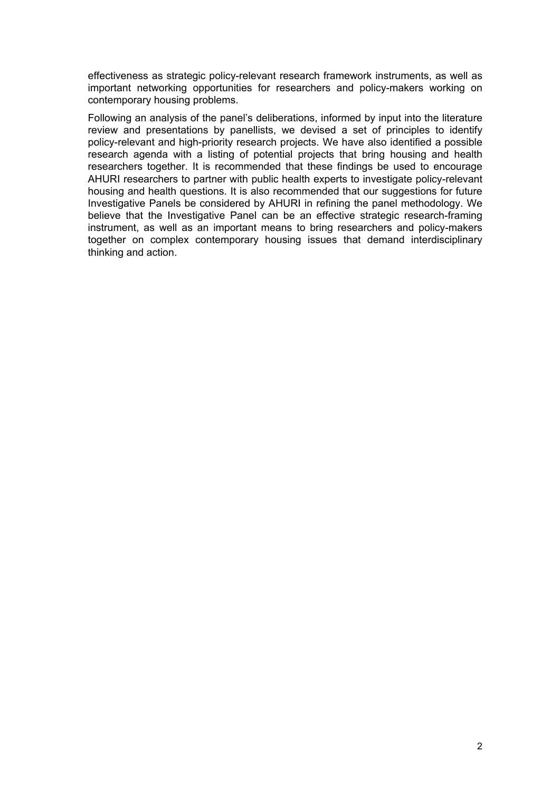effectiveness as strategic policy-relevant research framework instruments, as well as important networking opportunities for researchers and policy-makers working on contemporary housing problems.

Following an analysis of the panel's deliberations, informed by input into the literature review and presentations by panellists, we devised a set of principles to identify policy-relevant and high-priority research projects. We have also identified a possible research agenda with a listing of potential projects that bring housing and health researchers together. It is recommended that these findings be used to encourage AHURI researchers to partner with public health experts to investigate policy-relevant housing and health questions. It is also recommended that our suggestions for future Investigative Panels be considered by AHURI in refining the panel methodology. We believe that the Investigative Panel can be an effective strategic research-framing instrument, as well as an important means to bring researchers and policy-makers together on complex contemporary housing issues that demand interdisciplinary thinking and action.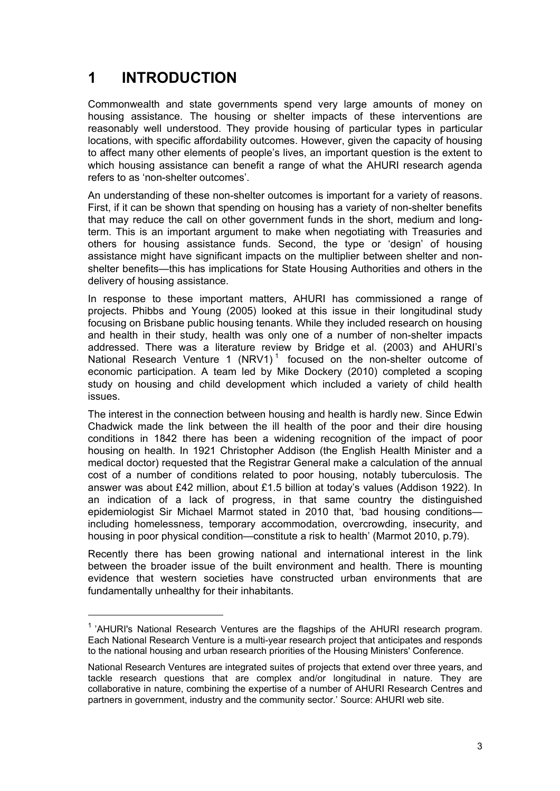# <span id="page-9-0"></span>**1 INTRODUCTION**

Commonwealth and state governments spend very large amounts of money on housing assistance. The housing or shelter impacts of these interventions are reasonably well understood. They provide housing of particular types in particular locations, with specific affordability outcomes. However, given the capacity of housing to affect many other elements of people's lives, an important question is the extent to which housing assistance can benefit a range of what the AHURI research agenda refers to as 'non-shelter outcomes'.

An understanding of these non-shelter outcomes is important for a variety of reasons. First, if it can be shown that spending on housing has a variety of non-shelter benefits that may reduce the call on other government funds in the short, medium and longterm. This is an important argument to make when negotiating with Treasuries and others for housing assistance funds. Second, the type or 'design' of housing assistance might have significant impacts on the multiplier between shelter and nonshelter benefits—this has implications for State Housing Authorities and others in the delivery of housing assistance.

In response to these important matters, AHURI has commissioned a range of projects. Phibbs and Young (2005) looked at this issue in their longitudinal study focusing on Brisbane public housing tenants. While they included research on housing and health in their study, health was only one of a number of non-shelter impacts addressed. There was a literature review by Bridge et al. (2003) and AHURI's National Research Venture [1](#page-9-1) (NRV1)<sup>1</sup> focused on the non-shelter outcome of economic participation. A team led by Mike Dockery (2010) completed a scoping study on housing and child development which included a variety of child health issues.

The interest in the connection between housing and health is hardly new. Since Edwin Chadwick made the link between the ill health of the poor and their dire housing conditions in 1842 there has been a widening recognition of the impact of poor housing on health. In 1921 Christopher Addison (the English Health Minister and a medical doctor) requested that the Registrar General make a calculation of the annual cost of a number of conditions related to poor housing, notably tuberculosis. The answer was about £42 million, about £1.5 billion at today's values (Addison 1922). In an indication of a lack of progress, in that same country the distinguished epidemiologist Sir Michael Marmot stated in 2010 that, 'bad housing conditions including homelessness, temporary accommodation, overcrowding, insecurity, and housing in poor physical condition—constitute a risk to health' (Marmot 2010, p.79).

Recently there has been growing national and international interest in the link between the broader issue of the built environment and health. There is mounting evidence that western societies have constructed urban environments that are fundamentally unhealthy for their inhabitants.

<span id="page-9-1"></span><sup>&</sup>lt;sup>1</sup> 'AHURI's National Research Ventures are the flagships of the AHURI research program. Each National Research Venture is a multi-year research project that anticipates and responds to the national housing and urban research priorities of the Housing Ministers' Conference.

National Research Ventures are integrated suites of projects that extend over three years, and tackle research questions that are complex and/or longitudinal in nature. They are collaborative in nature, combining the expertise of a number of AHURI Research Centres and partners in government, industry and the community sector.' Source: AHURI web site.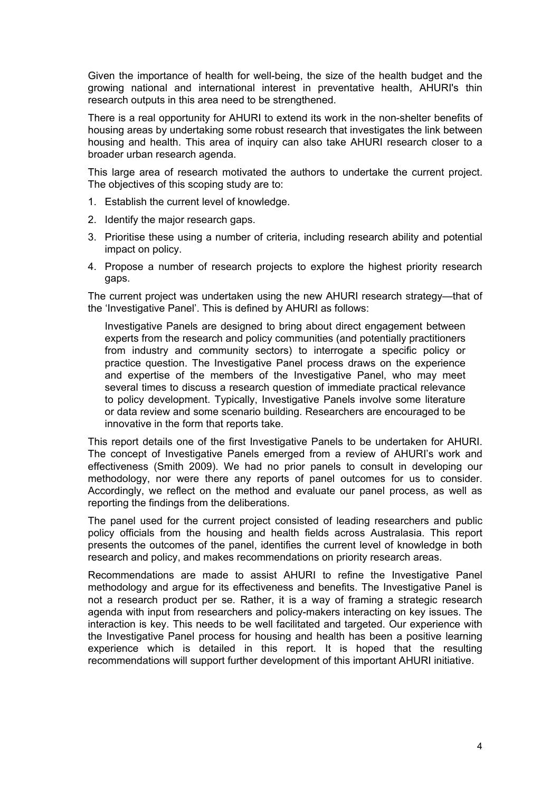Given the importance of health for well-being, the size of the health budget and the growing national and international interest in preventative health, AHURI's thin research outputs in this area need to be strengthened.

There is a real opportunity for AHURI to extend its work in the non-shelter benefits of housing areas by undertaking some robust research that investigates the link between housing and health. This area of inquiry can also take AHURI research closer to a broader urban research agenda.

This large area of research motivated the authors to undertake the current project. The objectives of this scoping study are to:

- 1. Establish the current level of knowledge.
- 2. Identify the major research gaps.
- 3. Prioritise these using a number of criteria, including research ability and potential impact on policy.
- 4. Propose a number of research projects to explore the highest priority research gaps.

The current project was undertaken using the new AHURI research strategy—that of the 'Investigative Panel'. This is defined by AHURI as follows:

Investigative Panels are designed to bring about direct engagement between experts from the research and policy communities (and potentially practitioners from industry and community sectors) to interrogate a specific policy or practice question. The Investigative Panel process draws on the experience and expertise of the members of the Investigative Panel, who may meet several times to discuss a research question of immediate practical relevance to policy development. Typically, Investigative Panels involve some literature or data review and some scenario building. Researchers are encouraged to be innovative in the form that reports take.

This report details one of the first Investigative Panels to be undertaken for AHURI. The concept of Investigative Panels emerged from a review of AHURI's work and effectiveness (Smith 2009). We had no prior panels to consult in developing our methodology, nor were there any reports of panel outcomes for us to consider. Accordingly, we reflect on the method and evaluate our panel process, as well as reporting the findings from the deliberations.

The panel used for the current project consisted of leading researchers and public policy officials from the housing and health fields across Australasia. This report presents the outcomes of the panel, identifies the current level of knowledge in both research and policy, and makes recommendations on priority research areas.

Recommendations are made to assist AHURI to refine the Investigative Panel methodology and argue for its effectiveness and benefits. The Investigative Panel is not a research product per se. Rather, it is a way of framing a strategic research agenda with input from researchers and policy-makers interacting on key issues. The interaction is key. This needs to be well facilitated and targeted. Our experience with the Investigative Panel process for housing and health has been a positive learning experience which is detailed in this report. It is hoped that the resulting recommendations will support further development of this important AHURI initiative.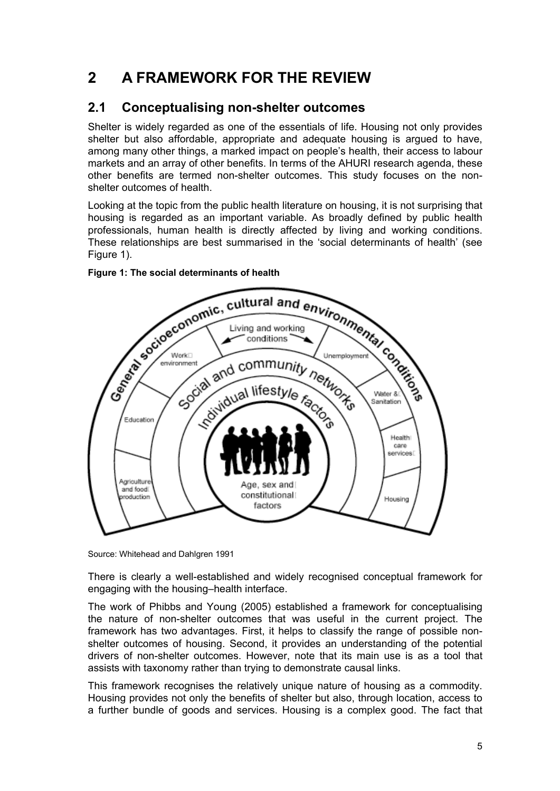# <span id="page-11-0"></span>**2 A FRAMEWORK FOR THE REVIEW**

# **2.1 Conceptualising non-shelter outcomes**

Shelter is widely regarded as one of the essentials of life. Housing not only provides shelter but also affordable, appropriate and adequate housing is argued to have, among many other things, a marked impact on people's health, their access to labour markets and an array of other benefits. In terms of the AHURI research agenda, these other benefits are termed non-shelter outcomes. This study focuses on the nonshelter outcomes of health.

Looking at the topic from the public health literature on housing, it is not surprising that housing is regarded as an important variable. As broadly defined by public health professionals, human health is directly affected by living and working conditions. These relationships are best summarised in the 'social determinants of health' (see Figure 1).



## **Figure 1: The social determinants of health**

Source: Whitehead and Dahlgren 1991

There is clearly a well-established and widely recognised conceptual framework for engaging with the housing–health interface.

The work of Phibbs and Young (2005) established a framework for conceptualising the nature of non-shelter outcomes that was useful in the current project. The framework has two advantages. First, it helps to classify the range of possible nonshelter outcomes of housing. Second, it provides an understanding of the potential drivers of non-shelter outcomes. However, note that its main use is as a tool that assists with taxonomy rather than trying to demonstrate causal links.

This framework recognises the relatively unique nature of housing as a commodity. Housing provides not only the benefits of shelter but also, through location, access to a further bundle of goods and services. Housing is a complex good. The fact that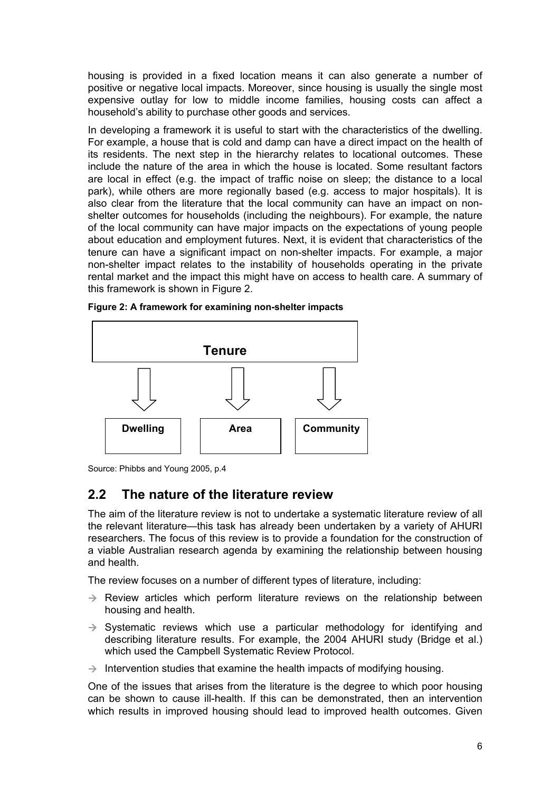<span id="page-12-0"></span>housing is provided in a fixed location means it can also generate a number of positive or negative local impacts. Moreover, since housing is usually the single most expensive outlay for low to middle income families, housing costs can affect a household's ability to purchase other goods and services.

In developing a framework it is useful to start with the characteristics of the dwelling. For example, a house that is cold and damp can have a direct impact on the health of its residents. The next step in the hierarchy relates to locational outcomes. These include the nature of the area in which the house is located. Some resultant factors are local in effect (e.g. the impact of traffic noise on sleep; the distance to a local park), while others are more regionally based (e.g. access to major hospitals). It is also clear from the literature that the local community can have an impact on nonshelter outcomes for households (including the neighbours). For example, the nature of the local community can have major impacts on the expectations of young people about education and employment futures. Next, it is evident that characteristics of the tenure can have a significant impact on non-shelter impacts. For example, a major non-shelter impact relates to the instability of households operating in the private rental market and the impact this might have on access to health care. A summary of this framework is shown in Figure 2.



**Figure 2: A framework for examining non-shelter impacts** 

Source: Phibbs and Young 2005, p.4

# **2.2 The nature of the literature review**

The aim of the literature review is not to undertake a systematic literature review of all the relevant literature—this task has already been undertaken by a variety of AHURI researchers. The focus of this review is to provide a foundation for the construction of a viable Australian research agenda by examining the relationship between housing and health.

The review focuses on a number of different types of literature, including:

- $\rightarrow$  Review articles which perform literature reviews on the relationship between housing and health.
- $\rightarrow$  Systematic reviews which use a particular methodology for identifying and describing literature results. For example, the 2004 AHURI study (Bridge et al.) which used the Campbell Systematic Review Protocol.
- $\rightarrow$  Intervention studies that examine the health impacts of modifying housing.

One of the issues that arises from the literature is the degree to which poor housing can be shown to cause ill-health. If this can be demonstrated, then an intervention which results in improved housing should lead to improved health outcomes. Given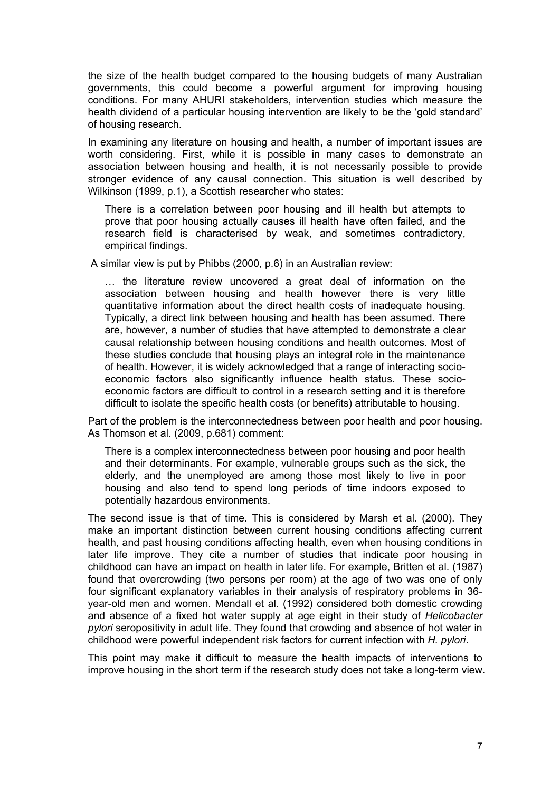the size of the health budget compared to the housing budgets of many Australian governments, this could become a powerful argument for improving housing conditions. For many AHURI stakeholders, intervention studies which measure the health dividend of a particular housing intervention are likely to be the 'gold standard' of housing research.

In examining any literature on housing and health, a number of important issues are worth considering. First, while it is possible in many cases to demonstrate an association between housing and health, it is not necessarily possible to provide stronger evidence of any causal connection. This situation is well described by Wilkinson (1999, p.1), a Scottish researcher who states:

There is a correlation between poor housing and ill health but attempts to prove that poor housing actually causes ill health have often failed, and the research field is characterised by weak, and sometimes contradictory, empirical findings.

A similar view is put by Phibbs (2000, p.6) in an Australian review:

… the literature review uncovered a great deal of information on the association between housing and health however there is very little quantitative information about the direct health costs of inadequate housing. Typically, a direct link between housing and health has been assumed. There are, however, a number of studies that have attempted to demonstrate a clear causal relationship between housing conditions and health outcomes. Most of these studies conclude that housing plays an integral role in the maintenance of health. However, it is widely acknowledged that a range of interacting socioeconomic factors also significantly influence health status. These socioeconomic factors are difficult to control in a research setting and it is therefore difficult to isolate the specific health costs (or benefits) attributable to housing.

Part of the problem is the interconnectedness between poor health and poor housing. As Thomson et al. (2009, p.681) comment:

There is a complex interconnectedness between poor housing and poor health and their determinants. For example, vulnerable groups such as the sick, the elderly, and the unemployed are among those most likely to live in poor housing and also tend to spend long periods of time indoors exposed to potentially hazardous environments.

The second issue is that of time. This is considered by Marsh et al. (2000). They make an important distinction between current housing conditions affecting current health, and past housing conditions affecting health, even when housing conditions in later life improve. They cite a number of studies that indicate poor housing in childhood can have an impact on health in later life. For example, Britten et al. (1987) found that overcrowding (two persons per room) at the age of two was one of only four significant explanatory variables in their analysis of respiratory problems in 36 year-old men and women. Mendall et al. (1992) considered both domestic crowding and absence of a fixed hot water supply at age eight in their study of *Helicobacter pylori* seropositivity in adult life. They found that crowding and absence of hot water in childhood were powerful independent risk factors for current infection with *H. pylori*.

This point may make it difficult to measure the health impacts of interventions to improve housing in the short term if the research study does not take a long-term view.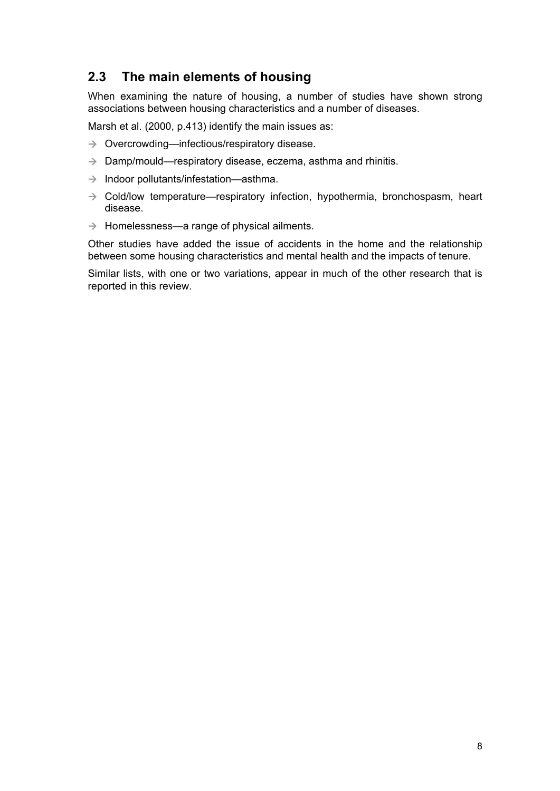# <span id="page-14-0"></span>**2.3 The main elements of housing**

When examining the nature of housing, a number of studies have shown strong associations between housing characteristics and a number of diseases.

Marsh et al. (2000, p.413) identify the main issues as:

- $\rightarrow$  Overcrowding—infectious/respiratory disease.
- $\rightarrow$  Damp/mould—respiratory disease, eczema, asthma and rhinitis.
- $\rightarrow$  Indoor pollutants/infestation—asthma.
- $\rightarrow$  Cold/low temperature—respiratory infection, hypothermia, bronchospasm, heart disease.
- $\rightarrow$  Homelessness—a range of physical ailments.

Other studies have added the issue of accidents in the home and the relationship between some housing characteristics and mental health and the impacts of tenure.

Similar lists, with one or two variations, appear in much of the other research that is reported in this review.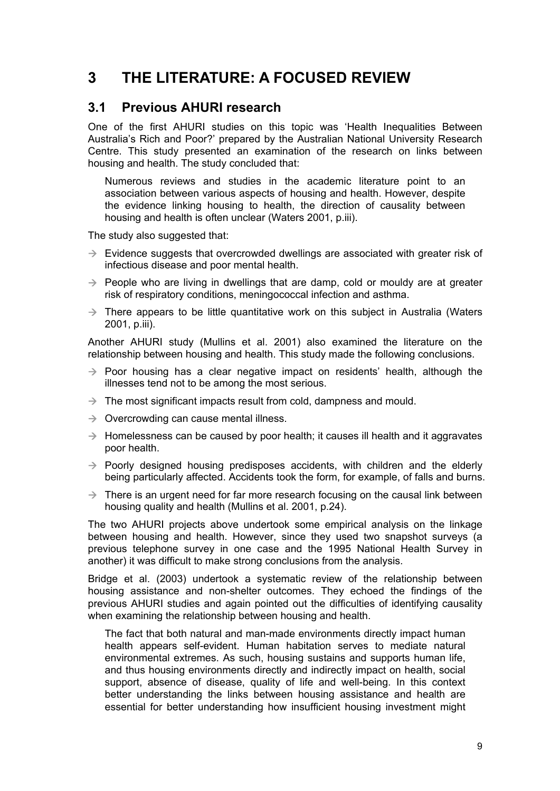# <span id="page-15-0"></span>**3 THE LITERATURE: A FOCUSED REVIEW**

## **3.1 Previous AHURI research**

One of the first AHURI studies on this topic was 'Health Inequalities Between Australia's Rich and Poor?' prepared by the Australian National University Research Centre. This study presented an examination of the research on links between housing and health. The study concluded that:

Numerous reviews and studies in the academic literature point to an association between various aspects of housing and health. However, despite the evidence linking housing to health, the direction of causality between housing and health is often unclear (Waters 2001, p.iii).

The study also suggested that:

- $\rightarrow$  Evidence suggests that overcrowded dwellings are associated with greater risk of infectious disease and poor mental health.
- $\rightarrow$  People who are living in dwellings that are damp, cold or mouldy are at greater risk of respiratory conditions, meningococcal infection and asthma.
- $\rightarrow$  There appears to be little quantitative work on this subject in Australia (Waters 2001, p.iii).

Another AHURI study (Mullins et al. 2001) also examined the literature on the relationship between housing and health. This study made the following conclusions.

- $\rightarrow$  Poor housing has a clear negative impact on residents' health, although the illnesses tend not to be among the most serious.
- $\rightarrow$  The most significant impacts result from cold, dampness and mould.
- $\rightarrow$  Overcrowding can cause mental illness.
- $\rightarrow$  Homelessness can be caused by poor health; it causes ill health and it aggravates poor health.
- $\rightarrow$  Poorly designed housing predisposes accidents, with children and the elderly being particularly affected. Accidents took the form, for example, of falls and burns.
- $\rightarrow$  There is an urgent need for far more research focusing on the causal link between housing quality and health (Mullins et al. 2001, p.24).

The two AHURI projects above undertook some empirical analysis on the linkage between housing and health. However, since they used two snapshot surveys (a previous telephone survey in one case and the 1995 National Health Survey in another) it was difficult to make strong conclusions from the analysis.

Bridge et al. (2003) undertook a systematic review of the relationship between housing assistance and non-shelter outcomes. They echoed the findings of the previous AHURI studies and again pointed out the difficulties of identifying causality when examining the relationship between housing and health.

The fact that both natural and man-made environments directly impact human health appears self-evident. Human habitation serves to mediate natural environmental extremes. As such, housing sustains and supports human life, and thus housing environments directly and indirectly impact on health, social support, absence of disease, quality of life and well-being. In this context better understanding the links between housing assistance and health are essential for better understanding how insufficient housing investment might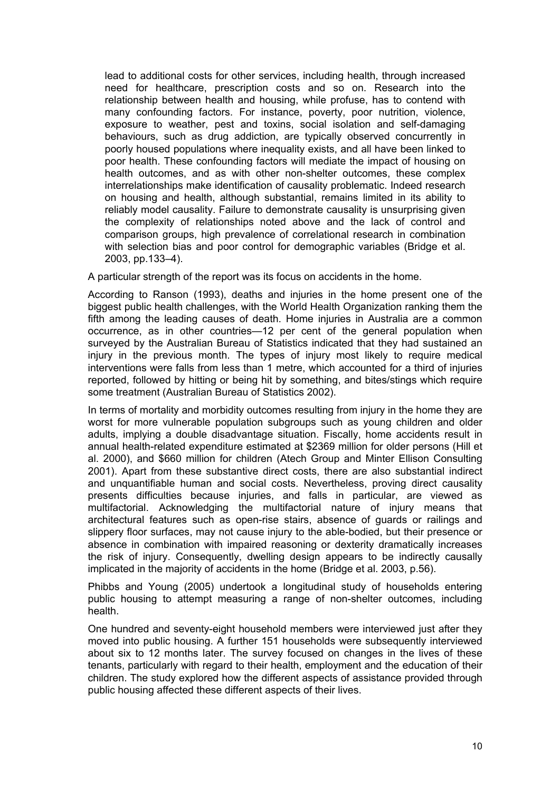lead to additional costs for other services, including health, through increased need for healthcare, prescription costs and so on. Research into the relationship between health and housing, while profuse, has to contend with many confounding factors. For instance, poverty, poor nutrition, violence, exposure to weather, pest and toxins, social isolation and self-damaging behaviours, such as drug addiction, are typically observed concurrently in poorly housed populations where inequality exists, and all have been linked to poor health. These confounding factors will mediate the impact of housing on health outcomes, and as with other non-shelter outcomes, these complex interrelationships make identification of causality problematic. Indeed research on housing and health, although substantial, remains limited in its ability to reliably model causality. Failure to demonstrate causality is unsurprising given the complexity of relationships noted above and the lack of control and comparison groups, high prevalence of correlational research in combination with selection bias and poor control for demographic variables (Bridge et al. 2003, pp.133–4).

A particular strength of the report was its focus on accidents in the home.

According to Ranson (1993), deaths and injuries in the home present one of the biggest public health challenges, with the World Health Organization ranking them the fifth among the leading causes of death. Home injuries in Australia are a common occurrence, as in other countries—12 per cent of the general population when surveyed by the Australian Bureau of Statistics indicated that they had sustained an injury in the previous month. The types of injury most likely to require medical interventions were falls from less than 1 metre, which accounted for a third of injuries reported, followed by hitting or being hit by something, and bites/stings which require some treatment (Australian Bureau of Statistics 2002).

In terms of mortality and morbidity outcomes resulting from injury in the home they are worst for more vulnerable population subgroups such as young children and older adults, implying a double disadvantage situation. Fiscally, home accidents result in annual health-related expenditure estimated at \$2369 million for older persons (Hill et al. 2000), and \$660 million for children (Atech Group and Minter Ellison Consulting 2001). Apart from these substantive direct costs, there are also substantial indirect and unquantifiable human and social costs. Nevertheless, proving direct causality presents difficulties because injuries, and falls in particular, are viewed as multifactorial. Acknowledging the multifactorial nature of injury means that architectural features such as open-rise stairs, absence of guards or railings and slippery floor surfaces, may not cause injury to the able-bodied, but their presence or absence in combination with impaired reasoning or dexterity dramatically increases the risk of injury. Consequently, dwelling design appears to be indirectly causally implicated in the majority of accidents in the home (Bridge et al. 2003, p.56).

Phibbs and Young (2005) undertook a longitudinal study of households entering public housing to attempt measuring a range of non-shelter outcomes, including health.

One hundred and seventy-eight household members were interviewed just after they moved into public housing. A further 151 households were subsequently interviewed about six to 12 months later. The survey focused on changes in the lives of these tenants, particularly with regard to their health, employment and the education of their children. The study explored how the different aspects of assistance provided through public housing affected these different aspects of their lives.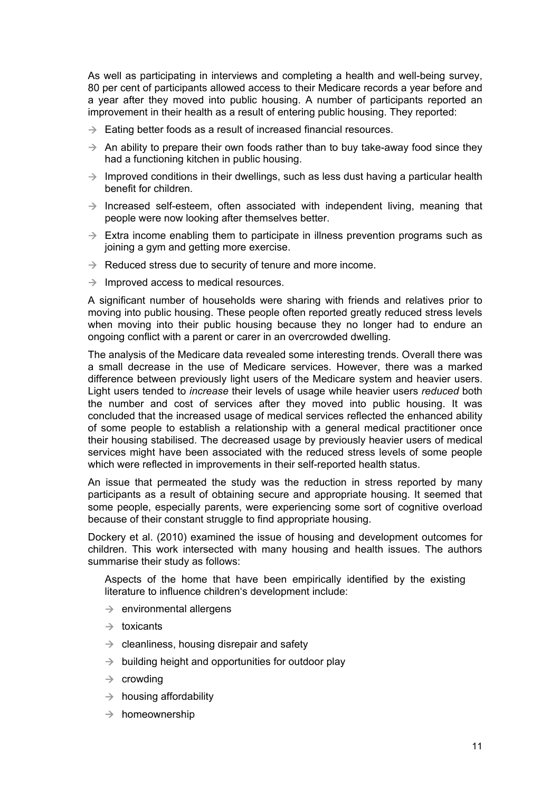As well as participating in interviews and completing a health and well-being survey, 80 per cent of participants allowed access to their Medicare records a year before and a year after they moved into public housing. A number of participants reported an improvement in their health as a result of entering public housing. They reported:

- $\rightarrow$  Eating better foods as a result of increased financial resources.
- $\rightarrow$  An ability to prepare their own foods rather than to buy take-away food since they had a functioning kitchen in public housing.
- $\rightarrow$  Improved conditions in their dwellings, such as less dust having a particular health benefit for children.
- $\rightarrow$  Increased self-esteem, often associated with independent living, meaning that people were now looking after themselves better.
- $\rightarrow$  Extra income enabling them to participate in illness prevention programs such as joining a gym and getting more exercise.
- $\rightarrow$  Reduced stress due to security of tenure and more income.
- $\rightarrow$  Improved access to medical resources.

A significant number of households were sharing with friends and relatives prior to moving into public housing. These people often reported greatly reduced stress levels when moving into their public housing because they no longer had to endure an ongoing conflict with a parent or carer in an overcrowded dwelling.

The analysis of the Medicare data revealed some interesting trends. Overall there was a small decrease in the use of Medicare services. However, there was a marked difference between previously light users of the Medicare system and heavier users. Light users tended to *increase* their levels of usage while heavier users *reduced* both the number and cost of services after they moved into public housing. It was concluded that the increased usage of medical services reflected the enhanced ability of some people to establish a relationship with a general medical practitioner once their housing stabilised. The decreased usage by previously heavier users of medical services might have been associated with the reduced stress levels of some people which were reflected in improvements in their self-reported health status.

An issue that permeated the study was the reduction in stress reported by many participants as a result of obtaining secure and appropriate housing. It seemed that some people, especially parents, were experiencing some sort of cognitive overload because of their constant struggle to find appropriate housing.

Dockery et al. (2010) examined the issue of housing and development outcomes for children. This work intersected with many housing and health issues. The authors summarise their study as follows:

Aspects of the home that have been empirically identified by the existing literature to influence children's development include:

- $\rightarrow$  environmental allergens
- $\rightarrow$  toxicants
- $\rightarrow$  cleanliness, housing disrepair and safety
- $\rightarrow$  building height and opportunities for outdoor play
- $\rightarrow$  crowding
- $\rightarrow$  housing affordability
- $\rightarrow$  homeownership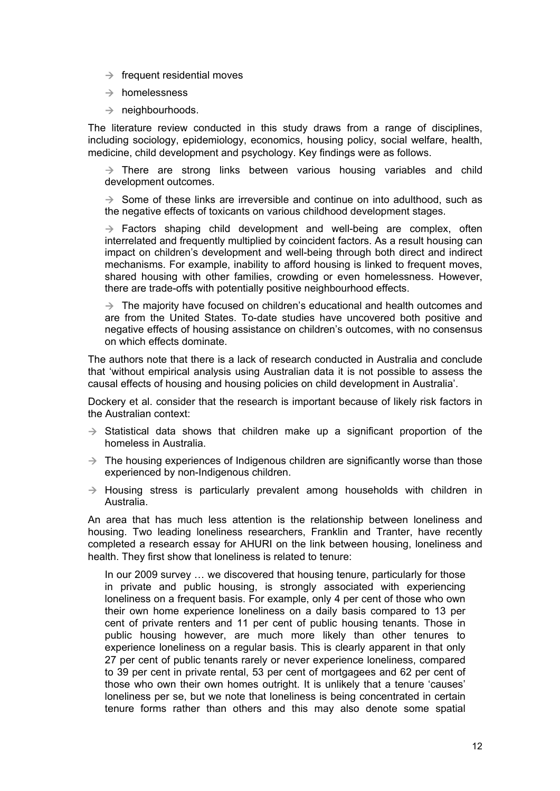- $\rightarrow$  frequent residential moves
- $\rightarrow$  homelessness
- $\rightarrow$  neighbourhoods.

The literature review conducted in this study draws from a range of disciplines, including sociology, epidemiology, economics, housing policy, social welfare, health, medicine, child development and psychology. Key findings were as follows.

 $\rightarrow$  There are strong links between various housing variables and child development outcomes.

 $\rightarrow$  Some of these links are irreversible and continue on into adulthood, such as the negative effects of toxicants on various childhood development stages.

 $\rightarrow$  Factors shaping child development and well-being are complex, often interrelated and frequently multiplied by coincident factors. As a result housing can impact on children's development and well-being through both direct and indirect mechanisms. For example, inability to afford housing is linked to frequent moves, shared housing with other families, crowding or even homelessness. However, there are trade-offs with potentially positive neighbourhood effects.

 $\rightarrow$  The majority have focused on children's educational and health outcomes and are from the United States. To-date studies have uncovered both positive and negative effects of housing assistance on children's outcomes, with no consensus on which effects dominate.

The authors note that there is a lack of research conducted in Australia and conclude that 'without empirical analysis using Australian data it is not possible to assess the causal effects of housing and housing policies on child development in Australia'.

Dockery et al. consider that the research is important because of likely risk factors in the Australian context:

- $\rightarrow$  Statistical data shows that children make up a significant proportion of the homeless in Australia.
- $\rightarrow$  The housing experiences of Indigenous children are significantly worse than those experienced by non-Indigenous children.
- $\rightarrow$  Housing stress is particularly prevalent among households with children in Australia.

An area that has much less attention is the relationship between loneliness and housing. Two leading loneliness researchers, Franklin and Tranter, have recently completed a research essay for AHURI on the link between housing, loneliness and health. They first show that loneliness is related to tenure:

In our 2009 survey … we discovered that housing tenure, particularly for those in private and public housing, is strongly associated with experiencing loneliness on a frequent basis. For example, only 4 per cent of those who own their own home experience loneliness on a daily basis compared to 13 per cent of private renters and 11 per cent of public housing tenants. Those in public housing however, are much more likely than other tenures to experience loneliness on a regular basis. This is clearly apparent in that only 27 per cent of public tenants rarely or never experience loneliness, compared to 39 per cent in private rental, 53 per cent of mortgagees and 62 per cent of those who own their own homes outright. It is unlikely that a tenure 'causes' loneliness per se, but we note that loneliness is being concentrated in certain tenure forms rather than others and this may also denote some spatial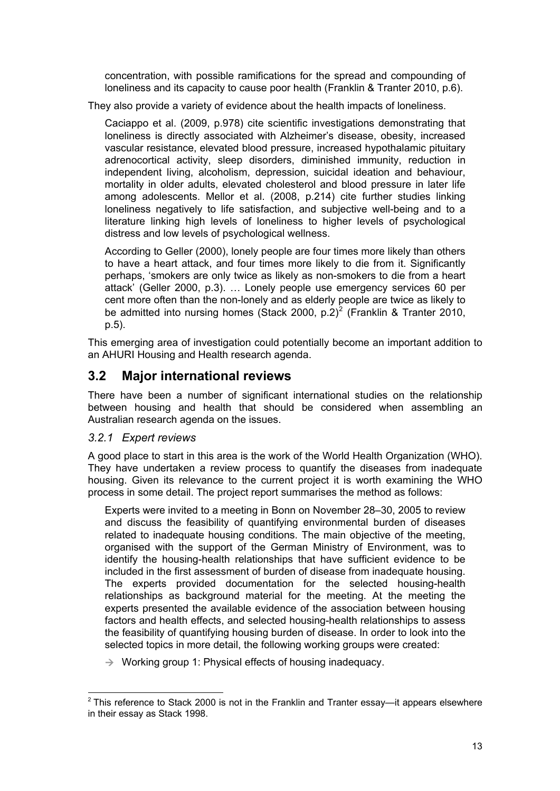<span id="page-19-0"></span>concentration, with possible ramifications for the spread and compounding of loneliness and its capacity to cause poor health (Franklin & Tranter 2010, p.6).

They also provide a variety of evidence about the health impacts of loneliness.

Caciappo et al. (2009, p.978) cite scientific investigations demonstrating that loneliness is directly associated with Alzheimer's disease, obesity, increased vascular resistance, elevated blood pressure, increased hypothalamic pituitary adrenocortical activity, sleep disorders, diminished immunity, reduction in independent living, alcoholism, depression, suicidal ideation and behaviour, mortality in older adults, elevated cholesterol and blood pressure in later life among adolescents. Mellor et al. (2008, p.214) cite further studies linking loneliness negatively to life satisfaction, and subjective well-being and to a literature linking high levels of loneliness to higher levels of psychological distress and low levels of psychological wellness.

According to Geller (2000), lonely people are four times more likely than others to have a heart attack, and four times more likely to die from it. Significantly perhaps, 'smokers are only twice as likely as non-smokers to die from a heart attack' (Geller 2000, p.3). … Lonely people use emergency services 60 per cent more often than the non-lonely and as elderly people are twice as likely to be admitted into nursing homes (Stack [2](#page-19-1)000, p.2)<sup>2</sup> (Franklin & Tranter 2010, p.5).

This emerging area of investigation could potentially become an important addition to an AHURI Housing and Health research agenda.

# **3.2 Major international reviews**

There have been a number of significant international studies on the relationship between housing and health that should be considered when assembling an Australian research agenda on the issues.

## *3.2.1 Expert reviews*

A good place to start in this area is the work of the World Health Organization (WHO). They have undertaken a review process to quantify the diseases from inadequate housing. Given its relevance to the current project it is worth examining the WHO process in some detail. The project report summarises the method as follows:

Experts were invited to a meeting in Bonn on November 28–30, 2005 to review and discuss the feasibility of quantifying environmental burden of diseases related to inadequate housing conditions. The main objective of the meeting, organised with the support of the German Ministry of Environment, was to identify the housing-health relationships that have sufficient evidence to be included in the first assessment of burden of disease from inadequate housing. The experts provided documentation for the selected housing-health relationships as background material for the meeting. At the meeting the experts presented the available evidence of the association between housing factors and health effects, and selected housing-health relationships to assess the feasibility of quantifying housing burden of disease. In order to look into the selected topics in more detail, the following working groups were created:

 $\rightarrow$  Working group 1: Physical effects of housing inadequacy.

<span id="page-19-1"></span>  $2$  This reference to Stack 2000 is not in the Franklin and Tranter essay—it appears elsewhere in their essay as Stack 1998.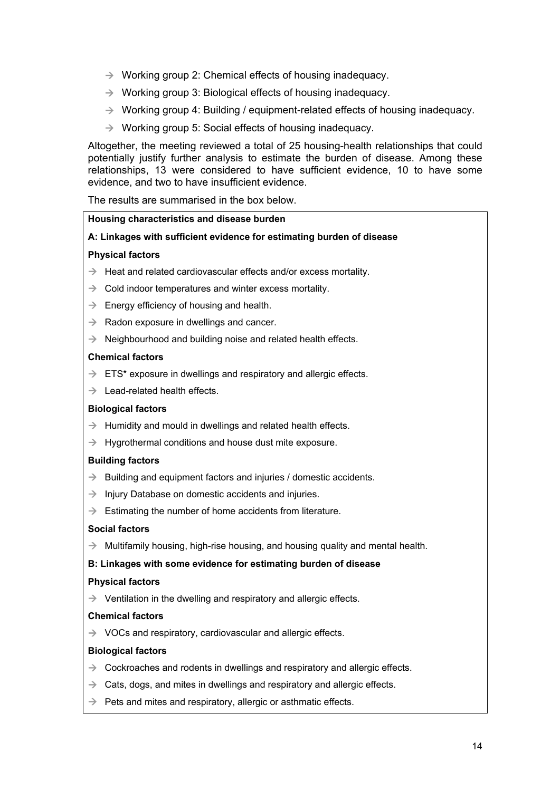- $\rightarrow$  Working group 2: Chemical effects of housing inadequacy.
- $\rightarrow$  Working group 3: Biological effects of housing inadequacy.
- $\rightarrow$  Working group 4: Building / equipment-related effects of housing inadequacy.
- $\rightarrow$  Working group 5: Social effects of housing inadequacy.

Altogether, the meeting reviewed a total of 25 housing-health relationships that could potentially justify further analysis to estimate the burden of disease. Among these relationships, 13 were considered to have sufficient evidence, 10 to have some evidence, and two to have insufficient evidence.

The results are summarised in the box below.

#### **Housing characteristics and disease burden**

#### **A: Linkages with sufficient evidence for estimating burden of disease**

#### **Physical factors**

- $\rightarrow$  Heat and related cardiovascular effects and/or excess mortality.
- $\rightarrow$  Cold indoor temperatures and winter excess mortality.
- $\rightarrow$  Energy efficiency of housing and health.
- $\rightarrow$  Radon exposure in dwellings and cancer.
- $\rightarrow$  Neighbourhood and building noise and related health effects.

#### **Chemical factors**

- $\rightarrow$  ETS\* exposure in dwellings and respiratory and allergic effects.
- $\rightarrow$  Lead-related health effects.

#### **Biological factors**

- $\rightarrow$  Humidity and mould in dwellings and related health effects.
- $\rightarrow$  Hygrothermal conditions and house dust mite exposure.

#### **Building factors**

- $\rightarrow$  Building and equipment factors and injuries / domestic accidents.
- $\rightarrow$  Injury Database on domestic accidents and injuries.
- $\rightarrow$  Estimating the number of home accidents from literature.

#### **Social factors**

 $\rightarrow$  Multifamily housing, high-rise housing, and housing quality and mental health.

#### **B: Linkages with some evidence for estimating burden of disease**

#### **Physical factors**

 $\rightarrow$  Ventilation in the dwelling and respiratory and allergic effects.

#### **Chemical factors**

 $\rightarrow$  VOCs and respiratory, cardiovascular and allergic effects.

#### **Biological factors**

- $\rightarrow$  Cockroaches and rodents in dwellings and respiratory and allergic effects.
- $\rightarrow$  Cats, dogs, and mites in dwellings and respiratory and allergic effects.
- $\rightarrow$  Pets and mites and respiratory, allergic or asthmatic effects.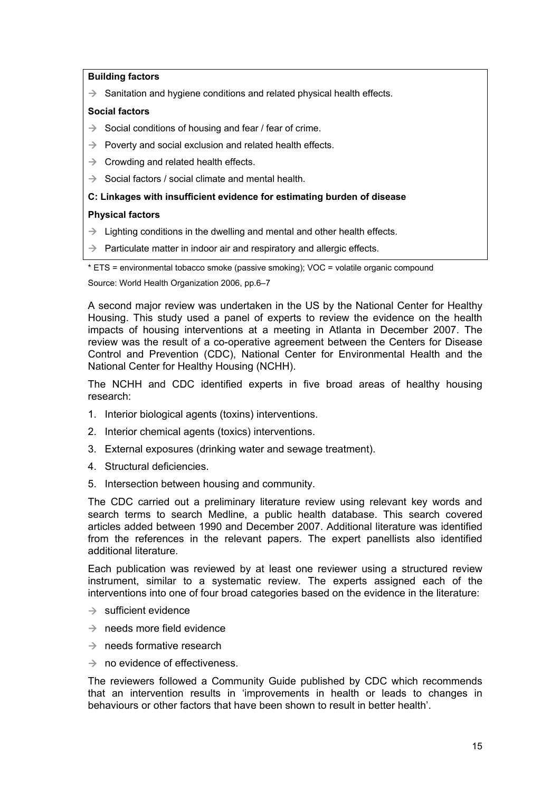#### **Building factors**

 $\rightarrow$  Sanitation and hygiene conditions and related physical health effects.

#### **Social factors**

- $\rightarrow$  Social conditions of housing and fear / fear of crime.
- $\rightarrow$  Poverty and social exclusion and related health effects.
- $\rightarrow$  Crowding and related health effects.
- $\rightarrow$  Social factors / social climate and mental health.

#### **C: Linkages with insufficient evidence for estimating burden of disease**

#### **Physical factors**

- $\rightarrow$  Lighting conditions in the dwelling and mental and other health effects.
- $\rightarrow$  Particulate matter in indoor air and respiratory and allergic effects.

\* ETS = environmental tobacco smoke (passive smoking); VOC = volatile organic compound

Source: World Health Organization 2006, pp.6–7

A second major review was undertaken in the US by the National Center for Healthy Housing. This study used a panel of experts to review the evidence on the health impacts of housing interventions at a meeting in Atlanta in December 2007. The review was the result of a co-operative agreement between the Centers for Disease Control and Prevention (CDC), National Center for Environmental Health and the National Center for Healthy Housing (NCHH).

The NCHH and CDC identified experts in five broad areas of healthy housing research:

- 1. Interior biological agents (toxins) interventions.
- 2. Interior chemical agents (toxics) interventions.
- 3. External exposures (drinking water and sewage treatment).
- 4. Structural deficiencies.
- 5. Intersection between housing and community.

The CDC carried out a preliminary literature review using relevant key words and search terms to search Medline, a public health database. This search covered articles added between 1990 and December 2007. Additional literature was identified from the references in the relevant papers. The expert panellists also identified additional literature.

Each publication was reviewed by at least one reviewer using a structured review instrument, similar to a systematic review. The experts assigned each of the interventions into one of four broad categories based on the evidence in the literature:

- $\rightarrow$  sufficient evidence
- $\rightarrow$  needs more field evidence
- $\rightarrow$  needs formative research
- $\rightarrow$  no evidence of effectiveness.

The reviewers followed a Community Guide published by CDC which recommends that an intervention results in 'improvements in health or leads to changes in behaviours or other factors that have been shown to result in better health'.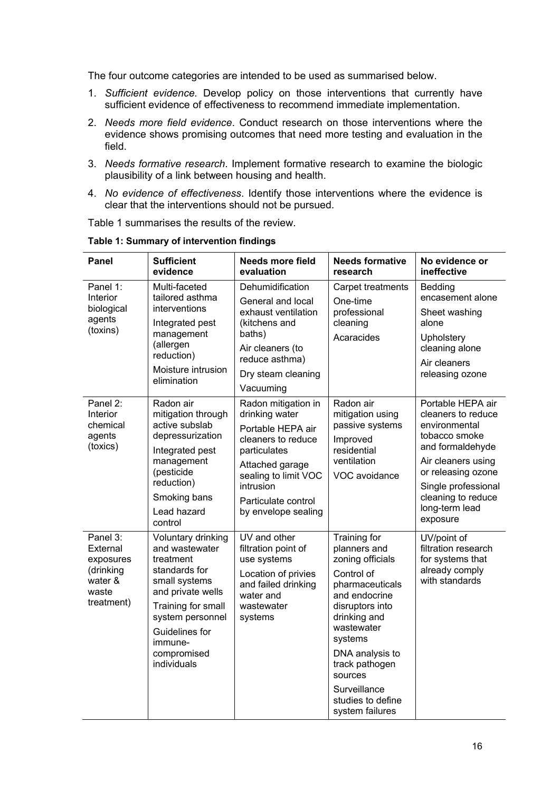<span id="page-22-0"></span>The four outcome categories are intended to be used as summarised below.

- 1. *Sufficient evidence.* Develop policy on those interventions that currently have sufficient evidence of effectiveness to recommend immediate implementation.
- 2. *Needs more field evidence*. Conduct research on those interventions where the evidence shows promising outcomes that need more testing and evaluation in the field.
- 3. *Needs formative research*. Implement formative research to examine the biologic plausibility of a link between housing and health.
- 4. *No evidence of effectiveness*. Identify those interventions where the evidence is clear that the interventions should not be pursued.

Table 1 summarises the results of the review.

| Panel                                                                            | <b>Sufficient</b><br>evidence                                                                                                                                                                                 | <b>Needs more field</b><br>evaluation                                                                                                                                                                  | <b>Needs formative</b><br>research                                                                                                                                                                                                                                     | No evidence or<br>ineffective                                                                                                                                                                                        |
|----------------------------------------------------------------------------------|---------------------------------------------------------------------------------------------------------------------------------------------------------------------------------------------------------------|--------------------------------------------------------------------------------------------------------------------------------------------------------------------------------------------------------|------------------------------------------------------------------------------------------------------------------------------------------------------------------------------------------------------------------------------------------------------------------------|----------------------------------------------------------------------------------------------------------------------------------------------------------------------------------------------------------------------|
| Panel 1:<br>Interior<br>biological<br>agents<br>(toxins)                         | Multi-faceted<br>tailored asthma<br>interventions<br>Integrated pest<br>management<br>(allergen<br>reduction)<br>Moisture intrusion<br>elimination                                                            | Dehumidification<br>General and local<br>exhaust ventilation<br>(kitchens and<br>baths)<br>Air cleaners (to<br>reduce asthma)<br>Dry steam cleaning<br>Vacuuming                                       | Carpet treatments<br>One-time<br>professional<br>cleaning<br>Acaracides                                                                                                                                                                                                | Bedding<br>encasement alone<br>Sheet washing<br>alone<br>Upholstery<br>cleaning alone<br>Air cleaners<br>releasing ozone                                                                                             |
| Panel 2:<br>Interior<br>chemical<br>agents<br>(toxics)                           | Radon air<br>mitigation through<br>active subslab<br>depressurization<br>Integrated pest<br>management<br>(pesticide<br>reduction)<br>Smoking bans<br>Lead hazard<br>control                                  | Radon mitigation in<br>drinking water<br>Portable HEPA air<br>cleaners to reduce<br>particulates<br>Attached garage<br>sealing to limit VOC<br>intrusion<br>Particulate control<br>by envelope sealing | Radon air<br>mitigation using<br>passive systems<br>Improved<br>residential<br>ventilation<br>VOC avoidance                                                                                                                                                            | Portable HEPA air<br>cleaners to reduce<br>environmental<br>tobacco smoke<br>and formaldehyde<br>Air cleaners using<br>or releasing ozone<br>Single professional<br>cleaning to reduce<br>long-term lead<br>exposure |
| Panel 3:<br>External<br>exposures<br>(drinking<br>water &<br>waste<br>treatment) | Voluntary drinking<br>and wastewater<br>treatment<br>standards for<br>small systems<br>and private wells<br>Training for small<br>system personnel<br>Guidelines for<br>immune-<br>compromised<br>individuals | UV and other<br>filtration point of<br>use systems<br>Location of privies<br>and failed drinking<br>water and<br>wastewater<br>systems                                                                 | Training for<br>planners and<br>zoning officials<br>Control of<br>pharmaceuticals<br>and endocrine<br>disruptors into<br>drinking and<br>wastewater<br>systems<br>DNA analysis to<br>track pathogen<br>sources<br>Surveillance<br>studies to define<br>system failures | UV/point of<br>filtration research<br>for systems that<br>already comply<br>with standards                                                                                                                           |

**Table 1: Summary of intervention findings**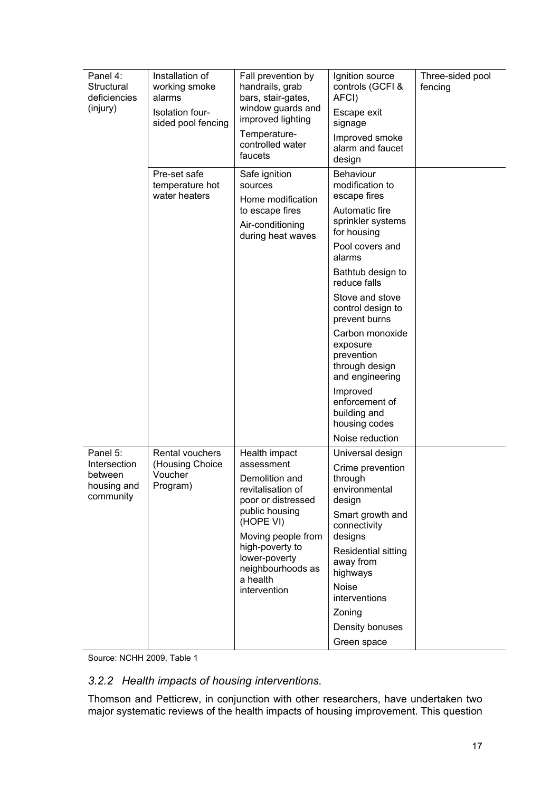<span id="page-23-0"></span>

| Panel 4:<br>Structural<br>deficiencies<br>(injury)              | Installation of<br>working smoke<br>alarms<br>Isolation four-<br>sided pool fencing | Fall prevention by<br>handrails, grab<br>bars, stair-gates,<br>window guards and<br>improved lighting<br>Temperature-<br>controlled water<br>faucets                                                                               | Ignition source<br>controls (GCFI &<br>AFCI)<br>Escape exit<br>signage<br>Improved smoke<br>alarm and faucet<br>design                                                                                                                                                                                                                                                                                   | Three-sided pool<br>fencing |
|-----------------------------------------------------------------|-------------------------------------------------------------------------------------|------------------------------------------------------------------------------------------------------------------------------------------------------------------------------------------------------------------------------------|----------------------------------------------------------------------------------------------------------------------------------------------------------------------------------------------------------------------------------------------------------------------------------------------------------------------------------------------------------------------------------------------------------|-----------------------------|
|                                                                 | Pre-set safe<br>temperature hot<br>water heaters                                    | Safe ignition<br>sources<br>Home modification<br>to escape fires<br>Air-conditioning<br>during heat waves                                                                                                                          | <b>Behaviour</b><br>modification to<br>escape fires<br>Automatic fire<br>sprinkler systems<br>for housing<br>Pool covers and<br>alarms<br>Bathtub design to<br>reduce falls<br>Stove and stove<br>control design to<br>prevent burns<br>Carbon monoxide<br>exposure<br>prevention<br>through design<br>and engineering<br>Improved<br>enforcement of<br>building and<br>housing codes<br>Noise reduction |                             |
| Panel 5:<br>Intersection<br>between<br>housing and<br>community | Rental vouchers<br>(Housing Choice<br>Voucher<br>Program)                           | Health impact<br>assessment<br>Demolition and<br>revitalisation of<br>poor or distressed<br>public housing<br>(HOPE VI)<br>Moving people from<br>high-poverty to<br>lower-poverty<br>neighbourhoods as<br>a health<br>intervention | Universal design<br>Crime prevention<br>through<br>environmental<br>design<br>Smart growth and<br>connectivity<br>designs<br>Residential sitting<br>away from<br>highways<br><b>Noise</b><br>interventions<br>Zoning<br>Density bonuses<br>Green space                                                                                                                                                   |                             |

Source: NCHH 2009, Table 1

## *3.2.2 Health impacts of housing interventions.*

Thomson and Petticrew, in conjunction with other researchers, have undertaken two major systematic reviews of the health impacts of housing improvement. This question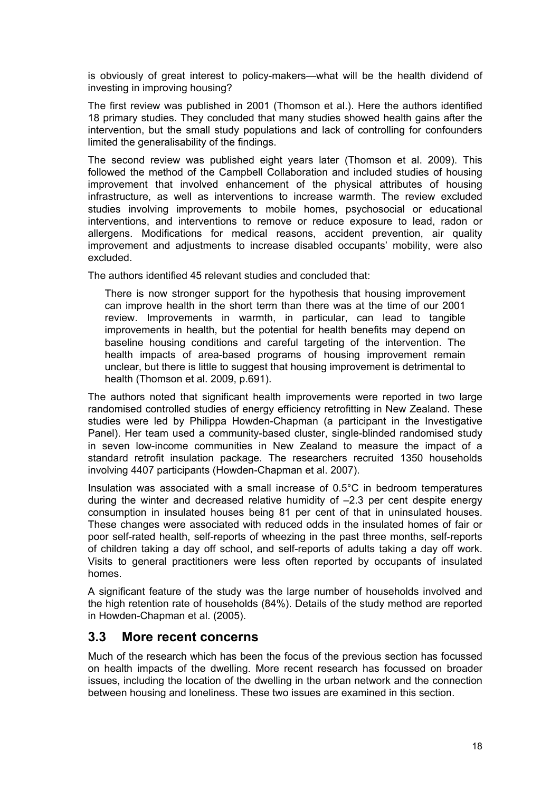<span id="page-24-0"></span>is obviously of great interest to policy-makers—what will be the health dividend of investing in improving housing?

The first review was published in 2001 (Thomson et al.). Here the authors identified 18 primary studies. They concluded that many studies showed health gains after the intervention, but the small study populations and lack of controlling for confounders limited the generalisability of the findings.

The second review was published eight years later (Thomson et al. 2009). This followed the method of the Campbell Collaboration and included studies of housing improvement that involved enhancement of the physical attributes of housing infrastructure, as well as interventions to increase warmth. The review excluded studies involving improvements to mobile homes, psychosocial or educational interventions, and interventions to remove or reduce exposure to lead, radon or allergens. Modifications for medical reasons, accident prevention, air quality improvement and adjustments to increase disabled occupants' mobility, were also excluded.

The authors identified 45 relevant studies and concluded that:

There is now stronger support for the hypothesis that housing improvement can improve health in the short term than there was at the time of our 2001 review. Improvements in warmth, in particular, can lead to tangible improvements in health, but the potential for health benefits may depend on baseline housing conditions and careful targeting of the intervention. The health impacts of area-based programs of housing improvement remain unclear, but there is little to suggest that housing improvement is detrimental to health (Thomson et al. 2009, p.691).

The authors noted that significant health improvements were reported in two large randomised controlled studies of energy efficiency retrofitting in New Zealand. These studies were led by Philippa Howden-Chapman (a participant in the Investigative Panel). Her team used a community-based cluster, single-blinded randomised study in seven low-income communities in New Zealand to measure the impact of a standard retrofit insulation package. The researchers recruited 1350 households involving 4407 participants (Howden-Chapman et al. 2007).

Insulation was associated with a small increase of 0.5°C in bedroom temperatures during the winter and decreased relative humidity of  $-2.3$  per cent despite energy consumption in insulated houses being 81 per cent of that in uninsulated houses. These changes were associated with reduced odds in the insulated homes of fair or poor self-rated health, self-reports of wheezing in the past three months, self-reports of children taking a day off school, and self-reports of adults taking a day off work. Visits to general practitioners were less often reported by occupants of insulated homes.

A significant feature of the study was the large number of households involved and the high retention rate of households (84%). Details of the study method are reported in Howden-Chapman et al. (2005).

## **3.3 More recent concerns**

Much of the research which has been the focus of the previous section has focussed on health impacts of the dwelling. More recent research has focussed on broader issues, including the location of the dwelling in the urban network and the connection between housing and loneliness. These two issues are examined in this section.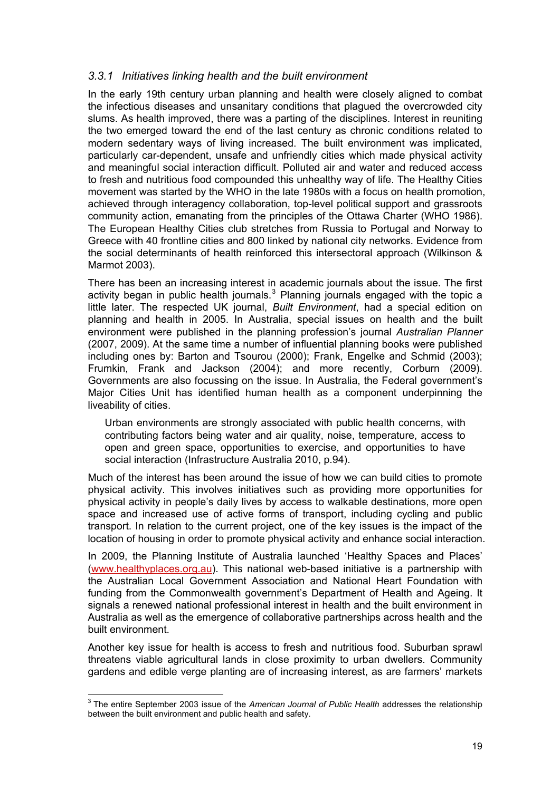## <span id="page-25-0"></span>*3.3.1 Initiatives linking health and the built environment*

In the early 19th century urban planning and health were closely aligned to combat the infectious diseases and unsanitary conditions that plagued the overcrowded city slums. As health improved, there was a parting of the disciplines. Interest in reuniting the two emerged toward the end of the last century as chronic conditions related to modern sedentary ways of living increased. The built environment was implicated, particularly car-dependent, unsafe and unfriendly cities which made physical activity and meaningful social interaction difficult. Polluted air and water and reduced access to fresh and nutritious food compounded this unhealthy way of life. The Healthy Cities movement was started by the WHO in the late 1980s with a focus on health promotion, achieved through interagency collaboration, top-level political support and grassroots community action, emanating from the principles of the Ottawa Charter (WHO 1986). The European Healthy Cities club stretches from Russia to Portugal and Norway to Greece with 40 frontline cities and 800 linked by national city networks. Evidence from the social determinants of health reinforced this intersectoral approach (Wilkinson & Marmot 2003).

There has been an increasing interest in academic journals about the issue. The first activity began in public health journals. $3$  Planning journals engaged with the topic a little later. The respected UK journal, *Built Environment*, had a special edition on planning and health in 2005. In Australia, special issues on health and the built environment were published in the planning profession's journal *Australian Planner* (2007, 2009). At the same time a number of influential planning books were published including ones by: Barton and Tsourou (2000); Frank, Engelke and Schmid (2003); Frumkin, Frank and Jackson (2004); and more recently, Corburn (2009). Governments are also focussing on the issue. In Australia, the Federal government's Major Cities Unit has identified human health as a component underpinning the liveability of cities.

Urban environments are strongly associated with public health concerns, with contributing factors being water and air quality, noise, temperature, access to open and green space, opportunities to exercise, and opportunities to have social interaction (Infrastructure Australia 2010, p.94).

Much of the interest has been around the issue of how we can build cities to promote physical activity. This involves initiatives such as providing more opportunities for physical activity in people's daily lives by access to walkable destinations, more open space and increased use of active forms of transport, including cycling and public transport. In relation to the current project, one of the key issues is the impact of the location of housing in order to promote physical activity and enhance social interaction.

In 2009, the Planning Institute of Australia launched 'Healthy Spaces and Places' [\(www.healthyplaces.org.au\)](www.healthyplaces.org.au). This national web-based initiative is a partnership with the Australian Local Government Association and National Heart Foundation with funding from the Commonwealth government's Department of Health and Ageing. It signals a renewed national professional interest in health and the built environment in Australia as well as the emergence of collaborative partnerships across health and the built environment.

Another key issue for health is access to fresh and nutritious food. Suburban sprawl threatens viable agricultural lands in close proximity to urban dwellers. Community gardens and edible verge planting are of increasing interest, as are farmers' markets

<span id="page-25-1"></span> 3 The entire September 2003 issue of the *American Journal of Public Health* addresses the relationship between the built environment and public health and safety.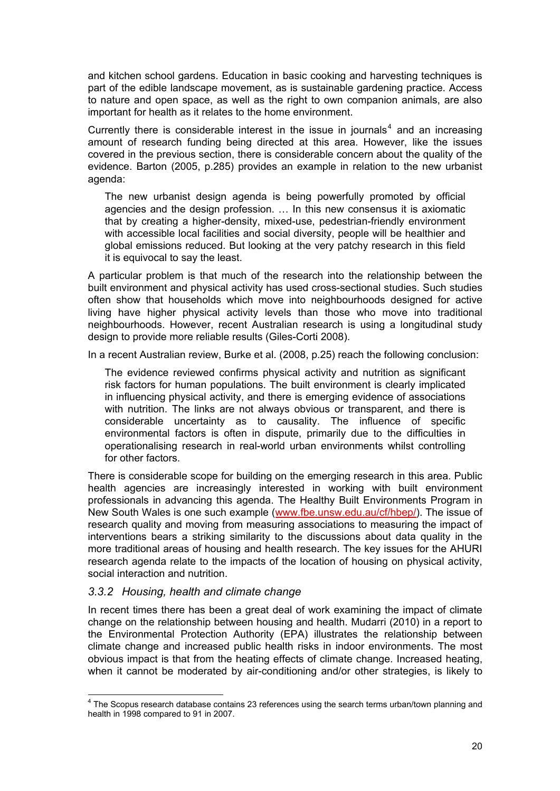<span id="page-26-0"></span>and kitchen school gardens. Education in basic cooking and harvesting techniques is part of the edible landscape movement, as is sustainable gardening practice. Access to nature and open space, as well as the right to own companion animals, are also important for health as it relates to the home environment.

Currently there is considerable interest in the issue in journals<sup>[4](#page-26-1)</sup> and an increasing amount of research funding being directed at this area. However, like the issues covered in the previous section, there is considerable concern about the quality of the evidence. Barton (2005, p.285) provides an example in relation to the new urbanist agenda:

The new urbanist design agenda is being powerfully promoted by official agencies and the design profession. … In this new consensus it is axiomatic that by creating a higher-density, mixed-use, pedestrian-friendly environment with accessible local facilities and social diversity, people will be healthier and global emissions reduced. But looking at the very patchy research in this field it is equivocal to say the least.

A particular problem is that much of the research into the relationship between the built environment and physical activity has used cross-sectional studies. Such studies often show that households which move into neighbourhoods designed for active living have higher physical activity levels than those who move into traditional neighbourhoods. However, recent Australian research is using a longitudinal study design to provide more reliable results (Giles-Corti 2008).

In a recent Australian review, Burke et al. (2008, p.25) reach the following conclusion:

The evidence reviewed confirms physical activity and nutrition as significant risk factors for human populations. The built environment is clearly implicated in influencing physical activity, and there is emerging evidence of associations with nutrition. The links are not always obvious or transparent, and there is considerable uncertainty as to causality. The influence of specific environmental factors is often in dispute, primarily due to the difficulties in operationalising research in real-world urban environments whilst controlling for other factors.

There is considerable scope for building on the emerging research in this area. Public health agencies are increasingly interested in working with built environment professionals in advancing this agenda. The Healthy Built Environments Program in New South Wales is one such example ([www.fbe.unsw.edu.au/cf/hbep/\)](www.fbe.unsw.edu.au/cf/hbep/). The issue of research quality and moving from measuring associations to measuring the impact of interventions bears a striking similarity to the discussions about data quality in the more traditional areas of housing and health research. The key issues for the AHURI research agenda relate to the impacts of the location of housing on physical activity, social interaction and nutrition.

#### *3.3.2 Housing, health and climate change*

In recent times there has been a great deal of work examining the impact of climate change on the relationship between housing and health. Mudarri (2010) in a report to the Environmental Protection Authority (EPA) illustrates the relationship between climate change and increased public health risks in indoor environments. The most obvious impact is that from the heating effects of climate change. Increased heating, when it cannot be moderated by air-conditioning and/or other strategies, is likely to

<span id="page-26-1"></span> 4 The Scopus research database contains 23 references using the search terms urban/town planning and health in 1998 compared to 91 in 2007.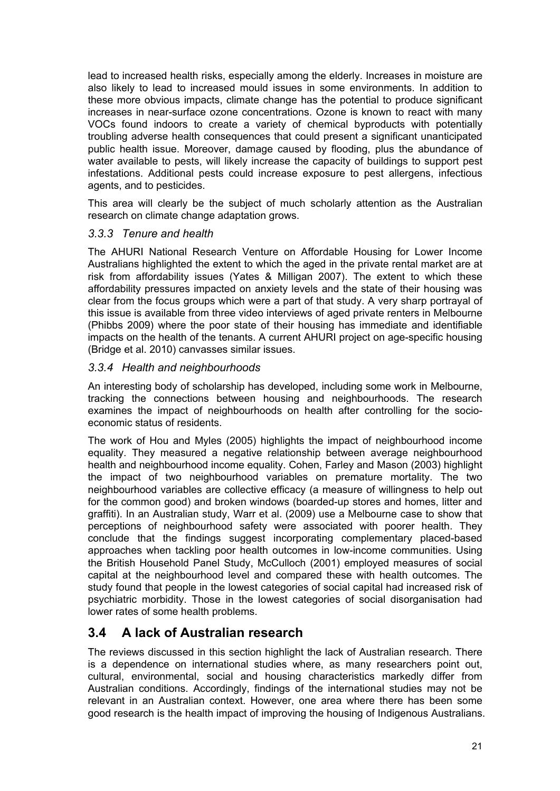<span id="page-27-0"></span>lead to increased health risks, especially among the elderly. Increases in moisture are also likely to lead to increased mould issues in some environments. In addition to these more obvious impacts, climate change has the potential to produce significant increases in near-surface ozone concentrations. Ozone is known to react with many VOCs found indoors to create a variety of chemical byproducts with potentially troubling adverse health consequences that could present a significant unanticipated public health issue. Moreover, damage caused by flooding, plus the abundance of water available to pests, will likely increase the capacity of buildings to support pest infestations. Additional pests could increase exposure to pest allergens, infectious agents, and to pesticides.

This area will clearly be the subject of much scholarly attention as the Australian research on climate change adaptation grows.

## *3.3.3 Tenure and health*

The AHURI National Research Venture on Affordable Housing for Lower Income Australians highlighted the extent to which the aged in the private rental market are at risk from affordability issues (Yates & Milligan 2007). The extent to which these affordability pressures impacted on anxiety levels and the state of their housing was clear from the focus groups which were a part of that study. A very sharp portrayal of this issue is available from three video interviews of aged private renters in Melbourne (Phibbs 2009) where the poor state of their housing has immediate and identifiable impacts on the health of the tenants. A current AHURI project on age-specific housing (Bridge et al. 2010) canvasses similar issues.

## *3.3.4 Health and neighbourhoods*

An interesting body of scholarship has developed, including some work in Melbourne, tracking the connections between housing and neighbourhoods. The research examines the impact of neighbourhoods on health after controlling for the socioeconomic status of residents.

The work of Hou and Myles (2005) highlights the impact of neighbourhood income equality. They measured a negative relationship between average neighbourhood health and neighbourhood income equality. Cohen, Farley and Mason (2003) highlight the impact of two neighbourhood variables on premature mortality. The two neighbourhood variables are collective efficacy (a measure of willingness to help out for the common good) and broken windows (boarded-up stores and homes, litter and graffiti). In an Australian study, Warr et al. (2009) use a Melbourne case to show that perceptions of neighbourhood safety were associated with poorer health. They conclude that the findings suggest incorporating complementary placed-based approaches when tackling poor health outcomes in low-income communities. Using the British Household Panel Study, McCulloch (2001) employed measures of social capital at the neighbourhood level and compared these with health outcomes. The study found that people in the lowest categories of social capital had increased risk of psychiatric morbidity. Those in the lowest categories of social disorganisation had lower rates of some health problems.

# **3.4 A lack of Australian research**

The reviews discussed in this section highlight the lack of Australian research. There is a dependence on international studies where, as many researchers point out, cultural, environmental, social and housing characteristics markedly differ from Australian conditions. Accordingly, findings of the international studies may not be relevant in an Australian context. However, one area where there has been some good research is the health impact of improving the housing of Indigenous Australians.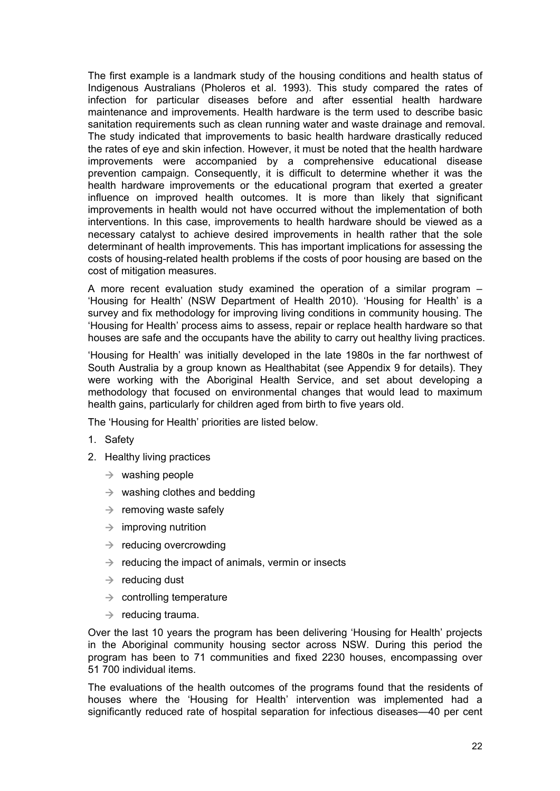The first example is a landmark study of the housing conditions and health status of Indigenous Australians (Pholeros et al. 1993). This study compared the rates of infection for particular diseases before and after essential health hardware maintenance and improvements. Health hardware is the term used to describe basic sanitation requirements such as clean running water and waste drainage and removal. The study indicated that improvements to basic health hardware drastically reduced the rates of eye and skin infection. However, it must be noted that the health hardware improvements were accompanied by a comprehensive educational disease prevention campaign. Consequently, it is difficult to determine whether it was the health hardware improvements or the educational program that exerted a greater influence on improved health outcomes. It is more than likely that significant improvements in health would not have occurred without the implementation of both interventions. In this case, improvements to health hardware should be viewed as a necessary catalyst to achieve desired improvements in health rather that the sole determinant of health improvements. This has important implications for assessing the costs of housing-related health problems if the costs of poor housing are based on the cost of mitigation measures.

A more recent evaluation study examined the operation of a similar program – 'Housing for Health' (NSW Department of Health 2010). 'Housing for Health' is a survey and fix methodology for improving living conditions in community housing. The 'Housing for Health' process aims to assess, repair or replace health hardware so that houses are safe and the occupants have the ability to carry out healthy living practices.

'Housing for Health' was initially developed in the late 1980s in the far northwest of South Australia by a group known as Healthabitat (see Appendix 9 for details). They were working with the Aboriginal Health Service, and set about developing a methodology that focused on environmental changes that would lead to maximum health gains, particularly for children aged from birth to five years old.

The 'Housing for Health' priorities are listed below.

- 1. Safety
- 2. Healthy living practices
	- $\rightarrow$  washing people
	- $\rightarrow$  washing clothes and bedding
	- $\rightarrow$  removing waste safely
	- $\rightarrow$  improving nutrition
	- $\rightarrow$  reducing overcrowding
	- $\rightarrow$  reducing the impact of animals, vermin or insects
	- $\rightarrow$  reducing dust
	- $\rightarrow$  controlling temperature
	- $\rightarrow$  reducing trauma.

Over the last 10 years the program has been delivering 'Housing for Health' projects in the Aboriginal community housing sector across NSW. During this period the program has been to 71 communities and fixed 2230 houses, encompassing over 51 700 individual items.

The evaluations of the health outcomes of the programs found that the residents of houses where the 'Housing for Health' intervention was implemented had a significantly reduced rate of hospital separation for infectious diseases—40 per cent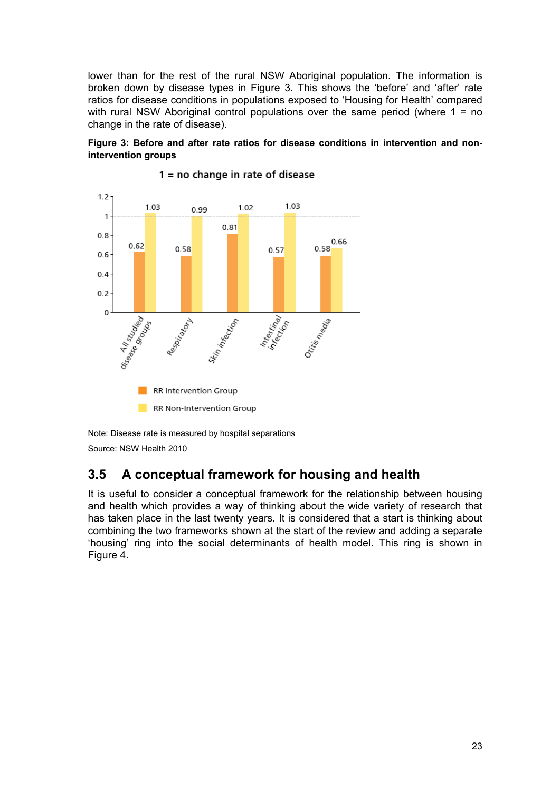<span id="page-29-0"></span>lower than for the rest of the rural NSW Aboriginal population. The information is broken down by disease types in Figure 3. This shows the 'before' and 'after' rate ratios for disease conditions in populations exposed to 'Housing for Health' compared with rural NSW Aboriginal control populations over the same period (where  $1 = no$ change in the rate of disease).

#### **Figure 3: Before and after rate ratios for disease conditions in intervention and nonintervention groups**



#### $1 = no$  change in rate of disease

Note: Disease rate is measured by hospital separations Source: NSW Health 2010

# **3.5 A conceptual framework for housing and health**

It is useful to consider a conceptual framework for the relationship between housing and health which provides a way of thinking about the wide variety of research that has taken place in the last twenty years. It is considered that a start is thinking about combining the two frameworks shown at the start of the review and adding a separate 'housing' ring into the social determinants of health model. This ring is shown in Figure 4.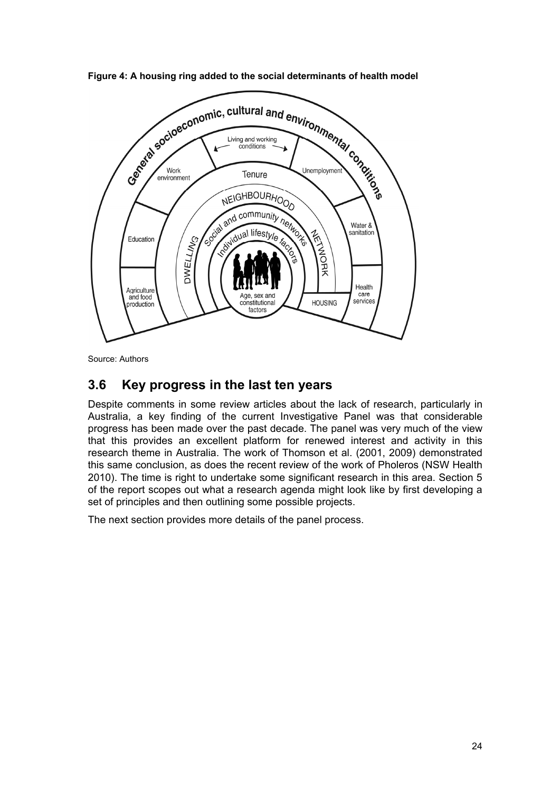

<span id="page-30-0"></span>**Figure 4: A housing ring added to the social determinants of health model** 

Source: Authors

# **3.6 Key progress in the last ten years**

Despite comments in some review articles about the lack of research, particularly in Australia, a key finding of the current Investigative Panel was that considerable progress has been made over the past decade. The panel was very much of the view that this provides an excellent platform for renewed interest and activity in this research theme in Australia. The work of Thomson et al. (2001, 2009) demonstrated this same conclusion, as does the recent review of the work of Pholeros (NSW Health 2010). The time is right to undertake some significant research in this area. Section 5 of the report scopes out what a research agenda might look like by first developing a set of principles and then outlining some possible projects.

The next section provides more details of the panel process.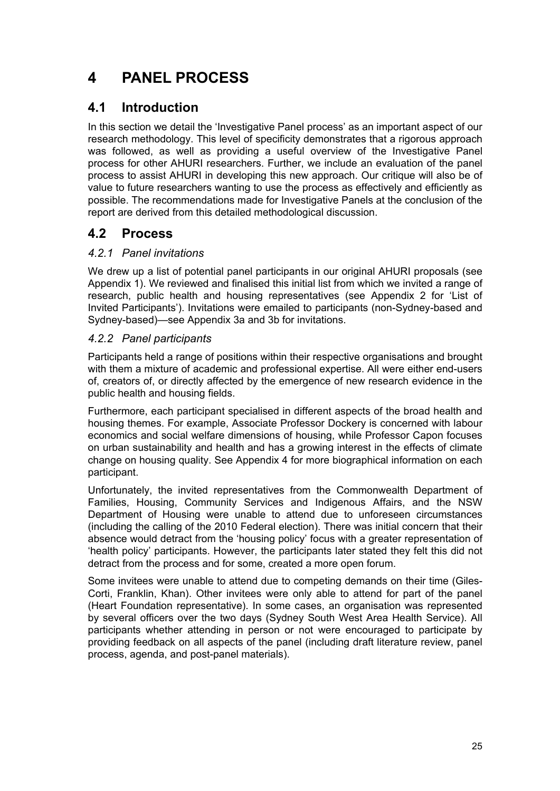# <span id="page-31-0"></span>**4 PANEL PROCESS**

# **4.1 Introduction**

In this section we detail the 'Investigative Panel process' as an important aspect of our research methodology. This level of specificity demonstrates that a rigorous approach was followed, as well as providing a useful overview of the Investigative Panel process for other AHURI researchers. Further, we include an evaluation of the panel process to assist AHURI in developing this new approach. Our critique will also be of value to future researchers wanting to use the process as effectively and efficiently as possible. The recommendations made for Investigative Panels at the conclusion of the report are derived from this detailed methodological discussion.

# **4.2 Process**

## *4.2.1 Panel invitations*

We drew up a list of potential panel participants in our original AHURI proposals (see Appendix 1). We reviewed and finalised this initial list from which we invited a range of research, public health and housing representatives (see Appendix 2 for 'List of Invited Participants'). Invitations were emailed to participants (non-Sydney-based and Sydney-based)—see Appendix 3a and 3b for invitations.

## *4.2.2 Panel participants*

Participants held a range of positions within their respective organisations and brought with them a mixture of academic and professional expertise. All were either end-users of, creators of, or directly affected by the emergence of new research evidence in the public health and housing fields.

Furthermore, each participant specialised in different aspects of the broad health and housing themes. For example, Associate Professor Dockery is concerned with labour economics and social welfare dimensions of housing, while Professor Capon focuses on urban sustainability and health and has a growing interest in the effects of climate change on housing quality. See Appendix 4 for more biographical information on each participant.

Unfortunately, the invited representatives from the Commonwealth Department of Families, Housing, Community Services and Indigenous Affairs, and the NSW Department of Housing were unable to attend due to unforeseen circumstances (including the calling of the 2010 Federal election). There was initial concern that their absence would detract from the 'housing policy' focus with a greater representation of 'health policy' participants. However, the participants later stated they felt this did not detract from the process and for some, created a more open forum.

Some invitees were unable to attend due to competing demands on their time (Giles-Corti, Franklin, Khan). Other invitees were only able to attend for part of the panel (Heart Foundation representative). In some cases, an organisation was represented by several officers over the two days (Sydney South West Area Health Service). All participants whether attending in person or not were encouraged to participate by providing feedback on all aspects of the panel (including draft literature review, panel process, agenda, and post-panel materials).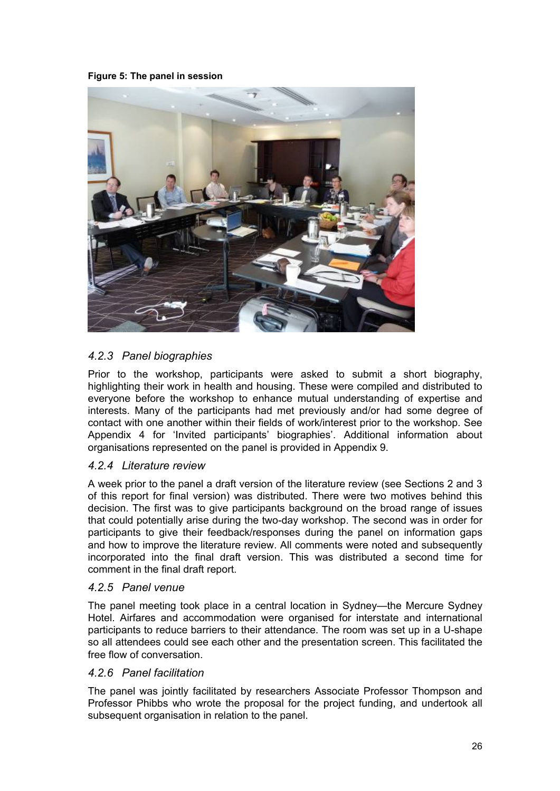#### <span id="page-32-0"></span>**Figure 5: The panel in session**



## *4.2.3 Panel biographies*

Prior to the workshop, participants were asked to submit a short biography, highlighting their work in health and housing. These were compiled and distributed to everyone before the workshop to enhance mutual understanding of expertise and interests. Many of the participants had met previously and/or had some degree of contact with one another within their fields of work/interest prior to the workshop. See Appendix 4 for 'Invited participants' biographies'. Additional information about organisations represented on the panel is provided in Appendix 9.

#### *4.2.4 Literature review*

A week prior to the panel a draft version of the literature review (see Sections 2 and 3 of this report for final version) was distributed. There were two motives behind this decision. The first was to give participants background on the broad range of issues that could potentially arise during the two-day workshop. The second was in order for participants to give their feedback/responses during the panel on information gaps and how to improve the literature review. All comments were noted and subsequently incorporated into the final draft version. This was distributed a second time for comment in the final draft report.

#### *4.2.5 Panel venue*

The panel meeting took place in a central location in Sydney—the Mercure Sydney Hotel. Airfares and accommodation were organised for interstate and international participants to reduce barriers to their attendance. The room was set up in a U-shape so all attendees could see each other and the presentation screen. This facilitated the free flow of conversation.

#### *4.2.6 Panel facilitation*

The panel was jointly facilitated by researchers Associate Professor Thompson and Professor Phibbs who wrote the proposal for the project funding, and undertook all subsequent organisation in relation to the panel.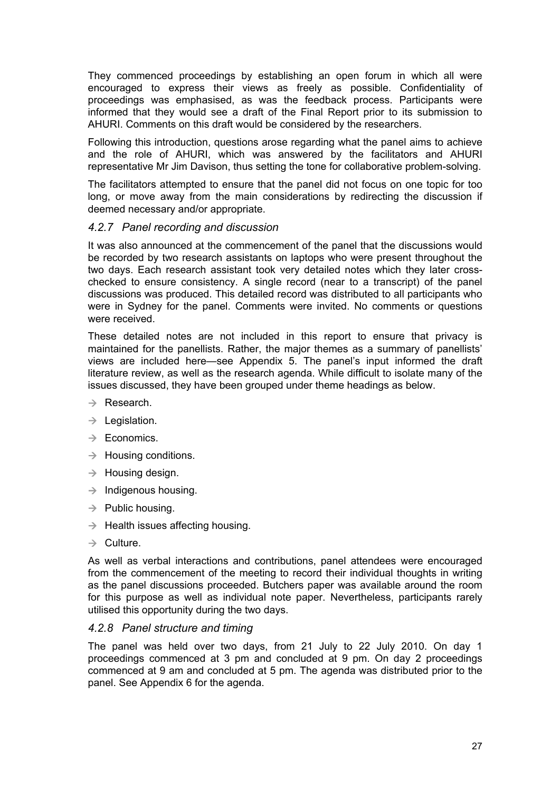<span id="page-33-0"></span>They commenced proceedings by establishing an open forum in which all were encouraged to express their views as freely as possible. Confidentiality of proceedings was emphasised, as was the feedback process. Participants were informed that they would see a draft of the Final Report prior to its submission to AHURI. Comments on this draft would be considered by the researchers.

Following this introduction, questions arose regarding what the panel aims to achieve and the role of AHURI, which was answered by the facilitators and AHURI representative Mr Jim Davison, thus setting the tone for collaborative problem-solving.

The facilitators attempted to ensure that the panel did not focus on one topic for too long, or move away from the main considerations by redirecting the discussion if deemed necessary and/or appropriate.

## *4.2.7 Panel recording and discussion*

It was also announced at the commencement of the panel that the discussions would be recorded by two research assistants on laptops who were present throughout the two days. Each research assistant took very detailed notes which they later crosschecked to ensure consistency. A single record (near to a transcript) of the panel discussions was produced. This detailed record was distributed to all participants who were in Sydney for the panel. Comments were invited. No comments or questions were received.

These detailed notes are not included in this report to ensure that privacy is maintained for the panellists. Rather, the major themes as a summary of panellists' views are included here—see Appendix 5. The panel's input informed the draft literature review, as well as the research agenda. While difficult to isolate many of the issues discussed, they have been grouped under theme headings as below.

- $\rightarrow$  Research.
- $\rightarrow$  Legislation.
- $\rightarrow$  Economics.
- $\rightarrow$  Housing conditions.
- $\rightarrow$  Housing design.
- $\rightarrow$  Indigenous housing.
- $\rightarrow$  Public housing.
- $\rightarrow$  Health issues affecting housing.
- $\rightarrow$  Culture.

As well as verbal interactions and contributions, panel attendees were encouraged from the commencement of the meeting to record their individual thoughts in writing as the panel discussions proceeded. Butchers paper was available around the room for this purpose as well as individual note paper. Nevertheless, participants rarely utilised this opportunity during the two days.

#### *4.2.8 Panel structure and timing*

The panel was held over two days, from 21 July to 22 July 2010. On day 1 proceedings commenced at 3 pm and concluded at 9 pm. On day 2 proceedings commenced at 9 am and concluded at 5 pm. The agenda was distributed prior to the panel. See Appendix 6 for the agenda.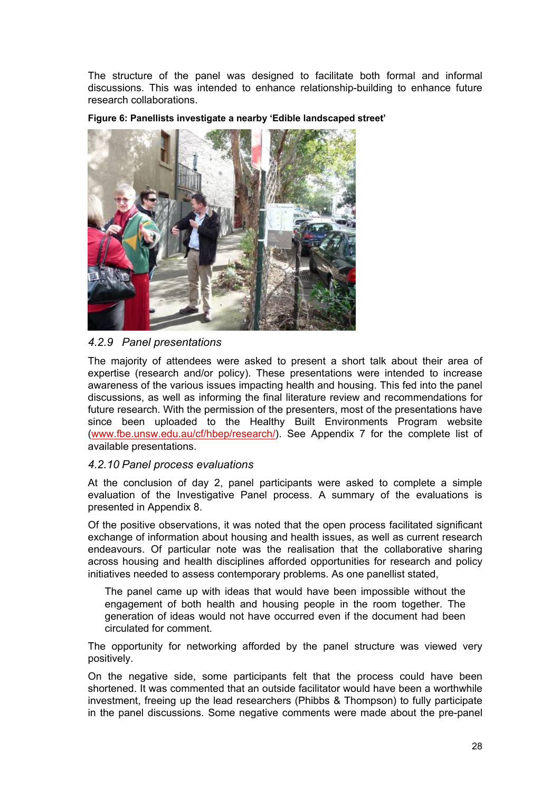<span id="page-34-0"></span>The structure of the panel was designed to facilitate both formal and informal discussions. This was intended to enhance relationship-building to enhance future research collaborations.





## *4.2.9 Panel presentations*

The majority of attendees were asked to present a short talk about their area of expertise (research and/or policy). These presentations were intended to increase awareness of the various issues impacting health and housing. This fed into the panel discussions, as well as informing the final literature review and recommendations for future research. With the permission of the presenters, most of the presentations have since been uploaded to the Healthy Built Environments Program website [\(www.fbe.unsw.edu.au/cf/hbep/research/\)](http://www.fbe.unsw.edu.au/cf/hbep/research/). See Appendix 7 for the complete list of available presentations.

#### *4.2.10 Panel process evaluations*

At the conclusion of day 2, panel participants were asked to complete a simple evaluation of the Investigative Panel process. A summary of the evaluations is presented in Appendix 8.

Of the positive observations, it was noted that the open process facilitated significant exchange of information about housing and health issues, as well as current research endeavours. Of particular note was the realisation that the collaborative sharing across housing and health disciplines afforded opportunities for research and policy initiatives needed to assess contemporary problems. As one panellist stated,

The panel came up with ideas that would have been impossible without the engagement of both health and housing people in the room together. The generation of ideas would not have occurred even if the document had been circulated for comment.

The opportunity for networking afforded by the panel structure was viewed very positively.

On the negative side, some participants felt that the process could have been shortened. It was commented that an outside facilitator would have been a worthwhile investment, freeing up the lead researchers (Phibbs & Thompson) to fully participate in the panel discussions. Some negative comments were made about the pre-panel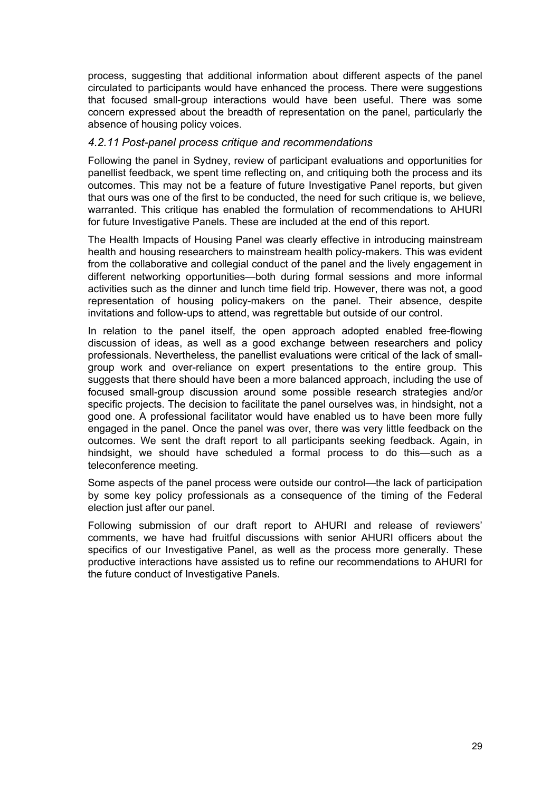<span id="page-35-0"></span>process, suggesting that additional information about different aspects of the panel circulated to participants would have enhanced the process. There were suggestions that focused small-group interactions would have been useful. There was some concern expressed about the breadth of representation on the panel, particularly the absence of housing policy voices.

#### *4.2.11 Post-panel process critique and recommendations*

Following the panel in Sydney, review of participant evaluations and opportunities for panellist feedback, we spent time reflecting on, and critiquing both the process and its outcomes. This may not be a feature of future Investigative Panel reports, but given that ours was one of the first to be conducted, the need for such critique is, we believe, warranted. This critique has enabled the formulation of recommendations to AHURI for future Investigative Panels. These are included at the end of this report.

The Health Impacts of Housing Panel was clearly effective in introducing mainstream health and housing researchers to mainstream health policy-makers. This was evident from the collaborative and collegial conduct of the panel and the lively engagement in different networking opportunities—both during formal sessions and more informal activities such as the dinner and lunch time field trip. However, there was not, a good representation of housing policy-makers on the panel. Their absence, despite invitations and follow-ups to attend, was regrettable but outside of our control.

In relation to the panel itself, the open approach adopted enabled free-flowing discussion of ideas, as well as a good exchange between researchers and policy professionals. Nevertheless, the panellist evaluations were critical of the lack of smallgroup work and over-reliance on expert presentations to the entire group. This suggests that there should have been a more balanced approach, including the use of focused small-group discussion around some possible research strategies and/or specific projects. The decision to facilitate the panel ourselves was, in hindsight, not a good one. A professional facilitator would have enabled us to have been more fully engaged in the panel. Once the panel was over, there was very little feedback on the outcomes. We sent the draft report to all participants seeking feedback. Again, in hindsight, we should have scheduled a formal process to do this—such as a teleconference meeting.

Some aspects of the panel process were outside our control—the lack of participation by some key policy professionals as a consequence of the timing of the Federal election just after our panel.

Following submission of our draft report to AHURI and release of reviewers' comments, we have had fruitful discussions with senior AHURI officers about the specifics of our Investigative Panel, as well as the process more generally. These productive interactions have assisted us to refine our recommendations to AHURI for the future conduct of Investigative Panels.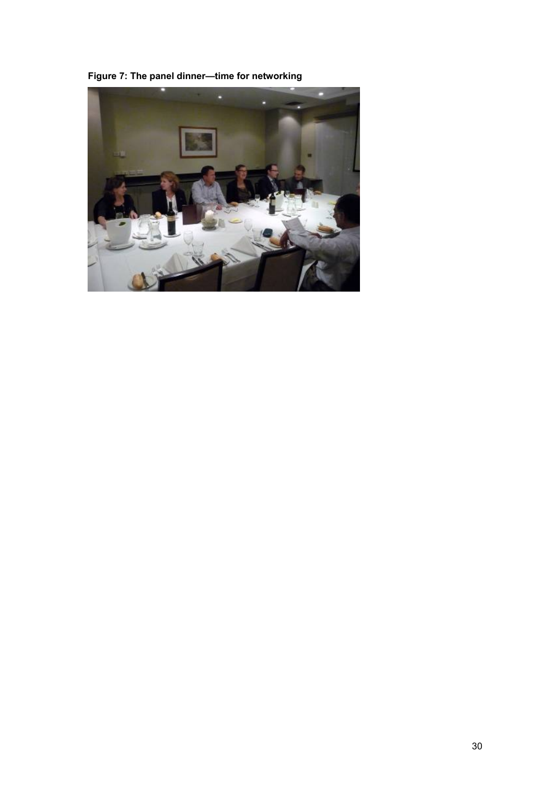<span id="page-36-0"></span>**Figure 7: The panel dinner—time for networking** 

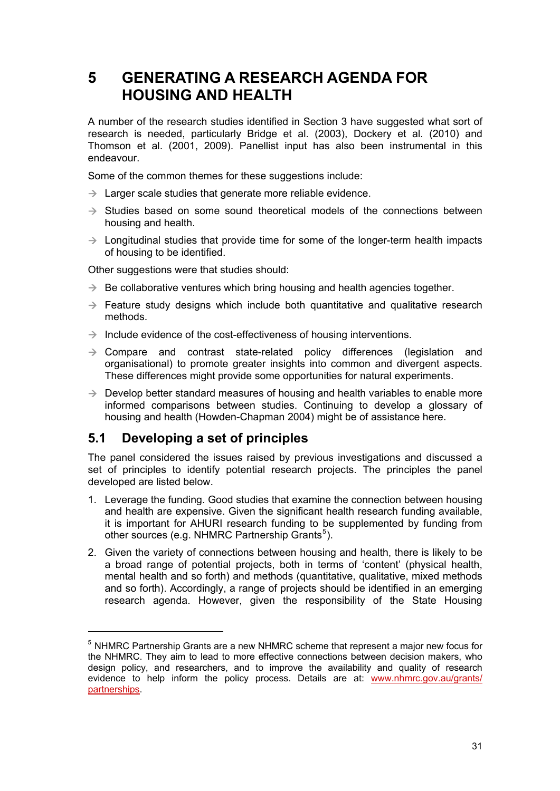# <span id="page-37-0"></span>**5 GENERATING A RESEARCH AGENDA FOR HOUSING AND HEALTH**

A number of the research studies identified in Section 3 have suggested what sort of research is needed, particularly Bridge et al. (2003), Dockery et al. (2010) and Thomson et al. (2001, 2009). Panellist input has also been instrumental in this endeavour.

Some of the common themes for these suggestions include:

- $\rightarrow$  Larger scale studies that generate more reliable evidence.
- $\rightarrow$  Studies based on some sound theoretical models of the connections between housing and health.
- $\rightarrow$  Longitudinal studies that provide time for some of the longer-term health impacts of housing to be identified.

Other suggestions were that studies should:

- $\rightarrow$  Be collaborative ventures which bring housing and health agencies together.
- $\rightarrow$  Feature study designs which include both quantitative and qualitative research methods.
- $\rightarrow$  Include evidence of the cost-effectiveness of housing interventions.
- $\rightarrow$  Compare and contrast state-related policy differences (legislation and organisational) to promote greater insights into common and divergent aspects. These differences might provide some opportunities for natural experiments.
- $\rightarrow$  Develop better standard measures of housing and health variables to enable more informed comparisons between studies. Continuing to develop a glossary of housing and health (Howden-Chapman 2004) might be of assistance here.

# **5.1 Developing a set of principles**

The panel considered the issues raised by previous investigations and discussed a set of principles to identify potential research projects. The principles the panel developed are listed below.

- 1. Leverage the funding. Good studies that examine the connection between housing and health are expensive. Given the significant health research funding available. it is important for AHURI research funding to be supplemented by funding from other sources (e.g. NHMRC Partnership Grants<sup>[5](#page-37-1)</sup>).
- 2. Given the variety of connections between housing and health, there is likely to be a broad range of potential projects, both in terms of 'content' (physical health, mental health and so forth) and methods (quantitative, qualitative, mixed methods and so forth). Accordingly, a range of projects should be identified in an emerging research agenda. However, given the responsibility of the State Housing

<span id="page-37-1"></span><sup>&</sup>lt;sup>5</sup> NHMRC Partnership Grants are a new NHMRC scheme that represent a major new focus for the NHMRC. They aim to lead to more effective connections between decision makers, who design policy, and researchers, and to improve the availability and quality of research evidence to help inform the policy process. Details are at: [www.nhmrc.gov.au/grants/](http://www.nhmrc.gov.au/grants/partnerships) [partnerships.](http://www.nhmrc.gov.au/grants/partnerships)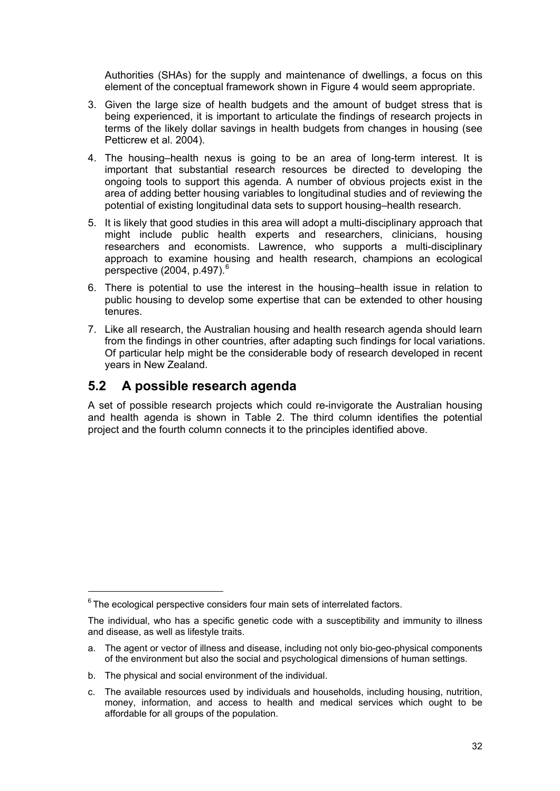<span id="page-38-0"></span>Authorities (SHAs) for the supply and maintenance of dwellings, a focus on this element of the conceptual framework shown in Figure 4 would seem appropriate.

- 3. Given the large size of health budgets and the amount of budget stress that is being experienced, it is important to articulate the findings of research projects in terms of the likely dollar savings in health budgets from changes in housing (see Petticrew et al. 2004).
- 4. The housing–health nexus is going to be an area of long-term interest. It is important that substantial research resources be directed to developing the ongoing tools to support this agenda. A number of obvious projects exist in the area of adding better housing variables to longitudinal studies and of reviewing the potential of existing longitudinal data sets to support housing–health research.
- 5. It is likely that good studies in this area will adopt a multi-disciplinary approach that might include public health experts and researchers, clinicians, housing researchers and economists. Lawrence, who supports a multi-disciplinary approach to examine housing and health research, champions an ecological perspective  $(2004, p.497)$ .<sup>[6](#page-38-1)</sup>
- 6. There is potential to use the interest in the housing–health issue in relation to public housing to develop some expertise that can be extended to other housing tenures.
- 7. Like all research, the Australian housing and health research agenda should learn from the findings in other countries, after adapting such findings for local variations. Of particular help might be the considerable body of research developed in recent years in New Zealand.

# **5.2 A possible research agenda**

A set of possible research projects which could re-invigorate the Australian housing and health agenda is shown in Table 2. The third column identifies the potential project and the fourth column connects it to the principles identified above.

<span id="page-38-1"></span> $6$  The ecological perspective considers four main sets of interrelated factors.

The individual, who has a specific genetic code with a susceptibility and immunity to illness and disease, as well as lifestyle traits.

a. The agent or vector of illness and disease, including not only bio-geo-physical components of the environment but also the social and psychological dimensions of human settings.

b. The physical and social environment of the individual.

c. The available resources used by individuals and households, including housing, nutrition, money, information, and access to health and medical services which ought to be affordable for all groups of the population.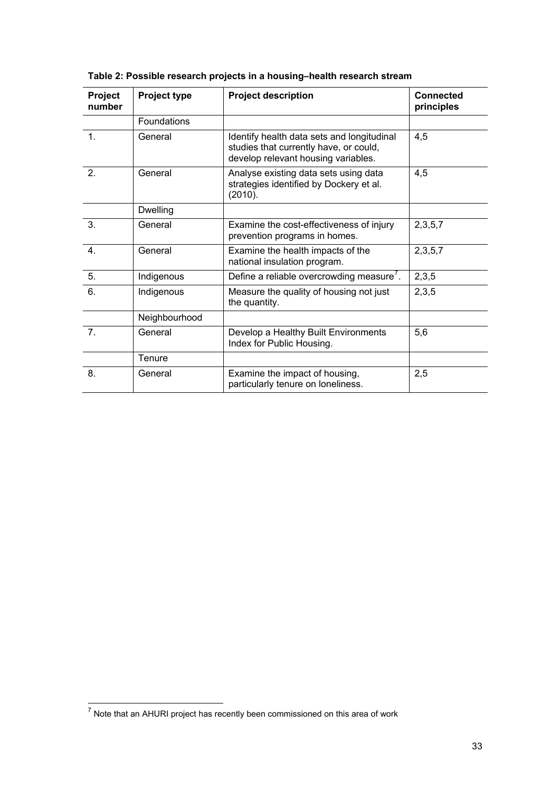| Project<br>number | <b>Project type</b> | <b>Project description</b>                                                                                                  | <b>Connected</b><br>principles |
|-------------------|---------------------|-----------------------------------------------------------------------------------------------------------------------------|--------------------------------|
|                   | Foundations         |                                                                                                                             |                                |
| 1.                | General             | Identify health data sets and longitudinal<br>studies that currently have, or could,<br>develop relevant housing variables. | 4,5                            |
| 2 <sub>1</sub>    | General             | Analyse existing data sets using data<br>strategies identified by Dockery et al.<br>(2010).                                 | 4,5                            |
|                   | <b>Dwelling</b>     |                                                                                                                             |                                |
| 3.                | General             | Examine the cost-effectiveness of injury<br>prevention programs in homes.                                                   | 2, 3, 5, 7                     |
| 4.                | General             | Examine the health impacts of the<br>national insulation program.                                                           | 2,3,5,7                        |
| 5.                | Indigenous          | Define a reliable overcrowding measure'.                                                                                    | 2,3,5                          |
| 6.                | Indigenous          | Measure the quality of housing not just<br>the quantity.                                                                    | 2,3,5                          |
|                   | Neighbourhood       |                                                                                                                             |                                |
| 7 <sub>1</sub>    | General             | Develop a Healthy Built Environments<br>Index for Public Housing.                                                           | 5,6                            |
|                   | Tenure              |                                                                                                                             |                                |
| 8.                | General             | Examine the impact of housing,<br>particularly tenure on loneliness.                                                        | 2,5                            |

<span id="page-39-0"></span>

| Table 2: Possible research projects in a housing-health research stream |  |  |  |
|-------------------------------------------------------------------------|--|--|--|
|-------------------------------------------------------------------------|--|--|--|

<span id="page-39-1"></span>TO MOT THE TRIM THE TRIM THE TRIM THE TRIM THE TRIM THE TRIM THE TRIM THE TRIM THE TRIM THE TRIM THE TRIM THE T<br>TO Note that an AHURI project has recently been commissioned on this area of work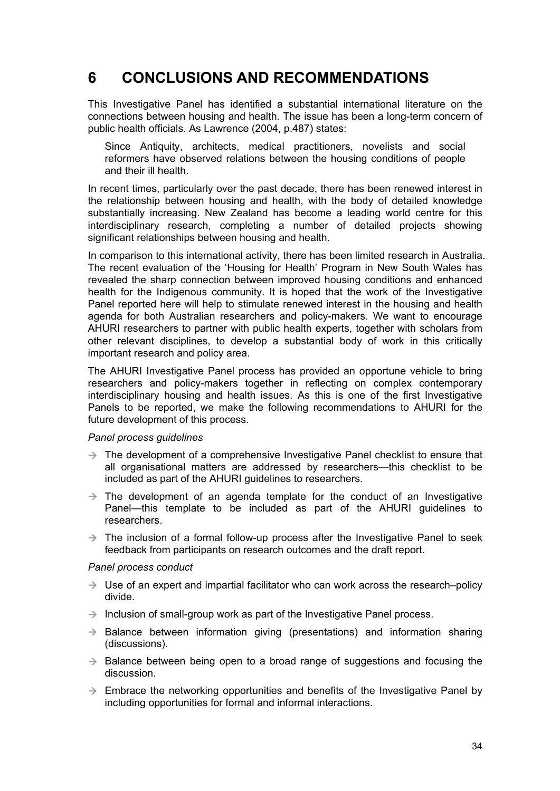# <span id="page-40-0"></span>**6 CONCLUSIONS AND RECOMMENDATIONS**

This Investigative Panel has identified a substantial international literature on the connections between housing and health. The issue has been a long-term concern of public health officials. As Lawrence (2004, p.487) states:

Since Antiquity, architects, medical practitioners, novelists and social reformers have observed relations between the housing conditions of people and their ill health.

In recent times, particularly over the past decade, there has been renewed interest in the relationship between housing and health, with the body of detailed knowledge substantially increasing. New Zealand has become a leading world centre for this interdisciplinary research, completing a number of detailed projects showing significant relationships between housing and health.

In comparison to this international activity, there has been limited research in Australia. The recent evaluation of the 'Housing for Health' Program in New South Wales has revealed the sharp connection between improved housing conditions and enhanced health for the Indigenous community. It is hoped that the work of the Investigative Panel reported here will help to stimulate renewed interest in the housing and health agenda for both Australian researchers and policy-makers. We want to encourage AHURI researchers to partner with public health experts, together with scholars from other relevant disciplines, to develop a substantial body of work in this critically important research and policy area.

The AHURI Investigative Panel process has provided an opportune vehicle to bring researchers and policy-makers together in reflecting on complex contemporary interdisciplinary housing and health issues. As this is one of the first Investigative Panels to be reported, we make the following recommendations to AHURI for the future development of this process.

#### *Panel process guidelines*

- $\rightarrow$  The development of a comprehensive Investigative Panel checklist to ensure that all organisational matters are addressed by researchers—this checklist to be included as part of the AHURI guidelines to researchers.
- $\rightarrow$  The development of an agenda template for the conduct of an Investigative Panel—this template to be included as part of the AHURI guidelines to researchers.
- $\rightarrow$  The inclusion of a formal follow-up process after the Investigative Panel to seek feedback from participants on research outcomes and the draft report.

#### *Panel process conduct*

- $\rightarrow$  Use of an expert and impartial facilitator who can work across the research–policy divide.
- $\rightarrow$  Inclusion of small-group work as part of the Investigative Panel process.
- $\rightarrow$  Balance between information giving (presentations) and information sharing (discussions).
- $\rightarrow$  Balance between being open to a broad range of suggestions and focusing the discussion.
- $\rightarrow$  Embrace the networking opportunities and benefits of the Investigative Panel by including opportunities for formal and informal interactions.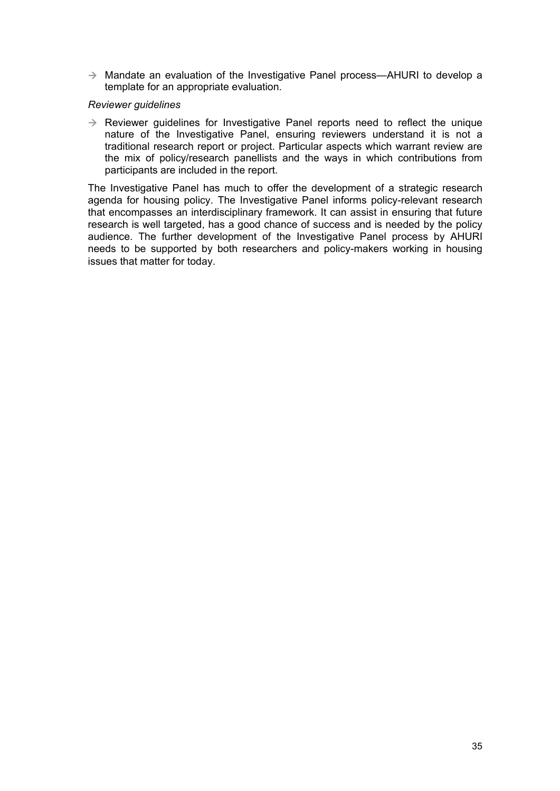$\rightarrow$  Mandate an evaluation of the Investigative Panel process—AHURI to develop a template for an appropriate evaluation.

#### *Reviewer guidelines*

 $\rightarrow$  Reviewer guidelines for Investigative Panel reports need to reflect the unique nature of the Investigative Panel, ensuring reviewers understand it is not a traditional research report or project. Particular aspects which warrant review are the mix of policy/research panellists and the ways in which contributions from participants are included in the report.

The Investigative Panel has much to offer the development of a strategic research agenda for housing policy. The Investigative Panel informs policy-relevant research that encompasses an interdisciplinary framework. It can assist in ensuring that future research is well targeted, has a good chance of success and is needed by the policy audience. The further development of the Investigative Panel process by AHURI needs to be supported by both researchers and policy-makers working in housing issues that matter for today.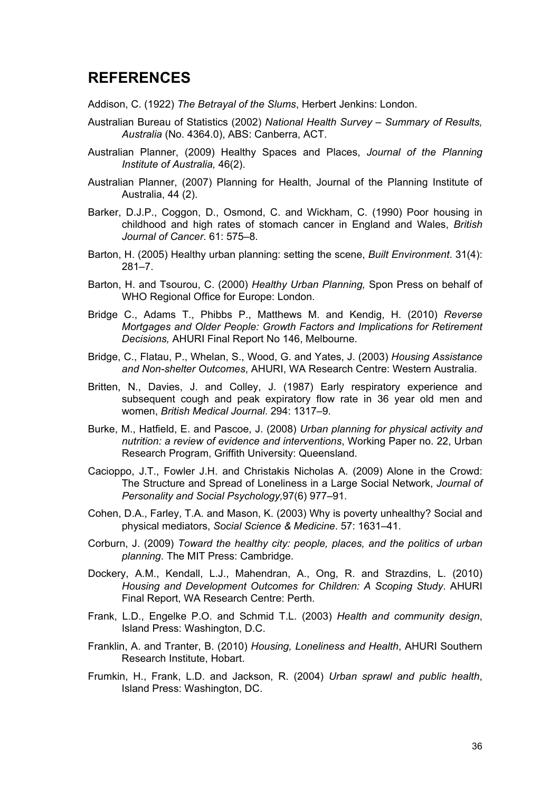# <span id="page-42-0"></span>**REFERENCES**

Addison, C. (1922) *The Betrayal of the Slums*, Herbert Jenkins: London.

- Australian Bureau of Statistics (2002) *National Health Survey Summary of Results, Australia* (No. 4364.0), ABS: Canberra, ACT.
- Australian Planner, (2009) Healthy Spaces and Places, *Journal of the Planning Institute of Australia,* 46(2).
- Australian Planner, (2007) Planning for Health, Journal of the Planning Institute of Australia, 44 (2).
- Barker, D.J.P., Coggon, D., Osmond, C. and Wickham, C. (1990) Poor housing in childhood and high rates of stomach cancer in England and Wales, *British Journal of Cancer*. 61: 575–8.
- Barton, H. (2005) Healthy urban planning: setting the scene, *Built Environment*. 31(4): 281–7.
- Barton, H. and Tsourou, C. (2000) *Healthy Urban Planning,* Spon Press on behalf of WHO Regional Office for Europe: London.
- Bridge C., Adams T., Phibbs P., Matthews M. and Kendig, H. (2010) *Reverse Mortgages and Older People: Growth Factors and Implications for Retirement Decisions,* AHURI Final Report No 146, Melbourne.
- Bridge, C., Flatau, P., Whelan, S., Wood, G. and Yates, J. (2003) *Housing Assistance and Non-shelter Outcomes*, AHURI, WA Research Centre: Western Australia.
- Britten, N., Davies, J. and Colley, J. (1987) Early respiratory experience and subsequent cough and peak expiratory flow rate in 36 year old men and women, *British Medical Journal*. 294: 1317–9.
- Burke, M., Hatfield, E. and Pascoe, J. (2008) *Urban planning for physical activity and nutrition: a review of evidence and interventions*, Working Paper no. 22, Urban Research Program, Griffith University: Queensland.
- Cacioppo, J.T., Fowler J.H. and Christakis Nicholas A. (2009) Alone in the Crowd: The Structure and Spread of Loneliness in a Large Social Network, *Journal of Personality and Social Psychology,*97(6) 977–91.
- Cohen, D.A., Farley, T.A. and Mason, K. (2003) Why is poverty unhealthy? Social and physical mediators, *Social Science & Medicine*. 57: 1631–41.
- Corburn, J. (2009) *Toward the healthy city: people, places, and the politics of urban planning*. The MIT Press: Cambridge.
- Dockery, A.M., Kendall, L.J., Mahendran, A., Ong, R. and Strazdins, L. (2010) *Housing and Development Outcomes for Children: A Scoping Study*. AHURI Final Report, WA Research Centre: Perth.
- Frank, L.D., Engelke P.O. and Schmid T.L. (2003) *Health and community design*, Island Press: Washington, D.C.
- Franklin, A. and Tranter, B. (2010) *Housing, Loneliness and Health*, AHURI Southern Research Institute, Hobart.
- Frumkin, H., Frank, L.D. and Jackson, R. (2004) *Urban sprawl and public health*, Island Press: Washington, DC.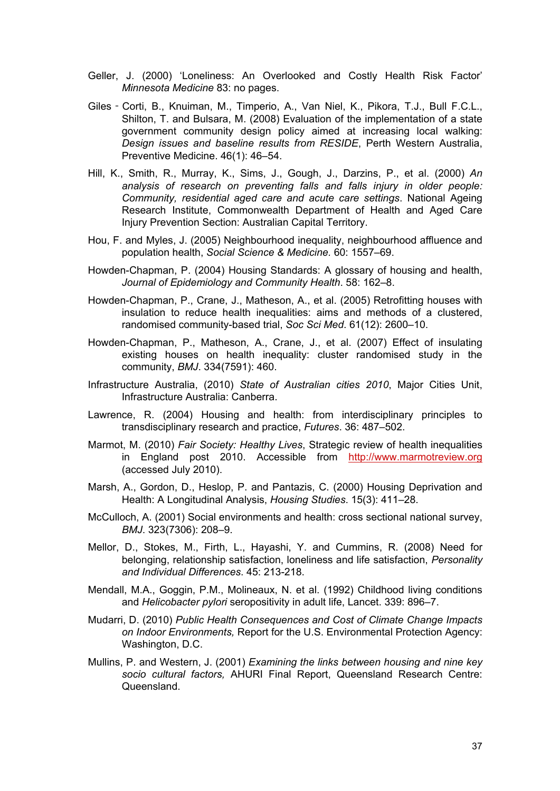- Geller, J. (2000) 'Loneliness: An Overlooked and Costly Health Risk Factor' *Minnesota Medicine* 83: no pages.
- Giles‐Corti, B., Knuiman, M., Timperio, A., Van Niel, K., Pikora, T.J., Bull F.C.L., Shilton, T. and Bulsara, M. (2008) Evaluation of the implementation of a state government community design policy aimed at increasing local walking: *Design issues and baseline results from RESIDE*, Perth Western Australia, Preventive Medicine. 46(1): 46–54.
- Hill, K., Smith, R., Murray, K., Sims, J., Gough, J., Darzins, P., et al. (2000) *An analysis of research on preventing falls and falls injury in older people: Community, residential aged care and acute care settings*. National Ageing Research Institute, Commonwealth Department of Health and Aged Care Injury Prevention Section: Australian Capital Territory.
- Hou, F. and Myles, J. (2005) Neighbourhood inequality, neighbourhood affluence and population health, *Social Science & Medicine.* 60: 1557–69.
- Howden-Chapman, P. (2004) Housing Standards: A glossary of housing and health, *Journal of Epidemiology and Community Health*. 58: 162–8.
- Howden-Chapman, P., Crane, J., Matheson, A., et al. (2005) Retrofitting houses with insulation to reduce health inequalities: aims and methods of a clustered, randomised community-based trial, *Soc Sci Med*. 61(12): 2600–10.
- Howden-Chapman, P., Matheson, A., Crane, J., et al. (2007) Effect of insulating existing houses on health inequality: cluster randomised study in the community, *BMJ*. 334(7591): 460.
- Infrastructure Australia, (2010) *State of Australian cities 2010*, Major Cities Unit, Infrastructure Australia: Canberra.
- Lawrence, R. (2004) Housing and health: from interdisciplinary principles to transdisciplinary research and practice, *Futures*. 36: 487–502.
- Marmot, M. (2010) *Fair Society: Healthy Lives*, Strategic review of health inequalities in England post 2010. Accessible from [http://www.marmotreview.org](http://www.marmotreview.org/) (accessed July 2010).
- Marsh, A., Gordon, D., Heslop, P. and Pantazis, C. (2000) Housing Deprivation and Health: A Longitudinal Analysis, *Housing Studies*. 15(3): 411–28.
- McCulloch, A. (2001) Social environments and health: cross sectional national survey, *BMJ*. 323(7306): 208–9.
- Mellor, D., Stokes, M., Firth, L., Hayashi, Y. and Cummins, R. (2008) Need for belonging, relationship satisfaction, loneliness and life satisfaction, *Personality and Individual Differences*. 45: 213-218.
- Mendall, M.A., Goggin, P.M., Molineaux, N. et al. (1992) Childhood living conditions and *Helicobacter pylori* seropositivity in adult life, Lancet. 339: 896–7.
- Mudarri, D. (2010) *Public Health Consequences and Cost of Climate Change Impacts on Indoor Environments,* Report for the U.S. Environmental Protection Agency: Washington, D.C.
- Mullins, P. and Western, J. (2001) *Examining the links between housing and nine key socio cultural factors,* AHURI Final Report, Queensland Research Centre: Queensland.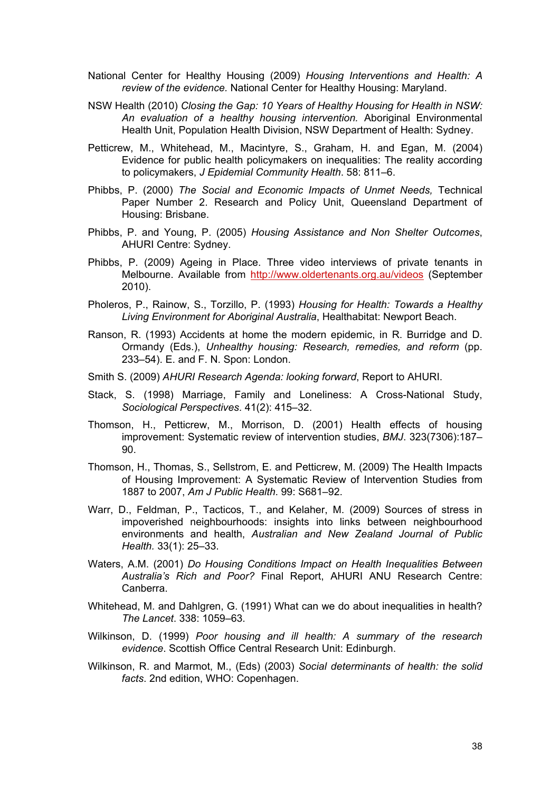- National Center for Healthy Housing (2009) *Housing Interventions and Health: A review of the evidence.* National Center for Healthy Housing: Maryland.
- NSW Health (2010) *Closing the Gap: 10 Years of Healthy Housing for Health in NSW: An evaluation of a healthy housing intervention.* Aboriginal Environmental Health Unit, Population Health Division, NSW Department of Health: Sydney.
- Petticrew, M., Whitehead, M., Macintyre, S., Graham, H. and Egan, M. (2004) Evidence for public health policymakers on inequalities: The reality according to policymakers, *J Epidemial Community Health*. 58: 811–6.
- Phibbs, P. (2000) *The Social and Economic Impacts of Unmet Needs,* Technical Paper Number 2. Research and Policy Unit, Queensland Department of Housing: Brisbane.
- Phibbs, P. and Young, P. (2005) *Housing Assistance and Non Shelter Outcomes*, AHURI Centre: Sydney.
- Phibbs, P. (2009) Ageing in Place. Three video interviews of private tenants in Melbourne. Available from <http://www.oldertenants.org.au/videos>(September 2010).
- Pholeros, P., Rainow, S., Torzillo, P. (1993) *Housing for Health: Towards a Healthy Living Environment for Aboriginal Australia*, Healthabitat: Newport Beach.
- Ranson, R. (1993) Accidents at home the modern epidemic, in R. Burridge and D. Ormandy (Eds.), *Unhealthy housing: Research, remedies, and reform* (pp. 233–54). E. and F. N. Spon: London.
- Smith S. (2009) *AHURI Research Agenda: looking forward*, Report to AHURI.
- Stack, S. (1998) Marriage, Family and Loneliness: A Cross-National Study, *Sociological Perspectives*. 41(2): 415–32.
- Thomson, H., Petticrew, M., Morrison, D. (2001) Health effects of housing improvement: Systematic review of intervention studies, *BMJ*. 323(7306):187–  $90<sup>1</sup>$
- Thomson, H., Thomas, S., Sellstrom, E. and Petticrew, M. (2009) The Health Impacts of Housing Improvement: A Systematic Review of Intervention Studies from 1887 to 2007, *Am J Public Health*. 99: S681–92.
- Warr, D., Feldman, P., Tacticos, T., and Kelaher, M. (2009) Sources of stress in impoverished neighbourhoods: insights into links between neighbourhood environments and health, *Australian and New Zealand Journal of Public Health.* 33(1): 25–33.
- Waters, A.M. (2001) *Do Housing Conditions Impact on Health Inequalities Between Australia's Rich and Poor?* Final Report, AHURI ANU Research Centre: Canberra.
- Whitehead, M. and Dahlgren, G. (1991) What can we do about inequalities in health? *The Lancet*. 338: 1059–63.
- Wilkinson, D. (1999) *Poor housing and ill health: A summary of the research evidence*. Scottish Office Central Research Unit: Edinburgh.
- Wilkinson, R. and Marmot, M., (Eds) (2003) *Social determinants of health: the solid facts*. 2nd edition, WHO: Copenhagen.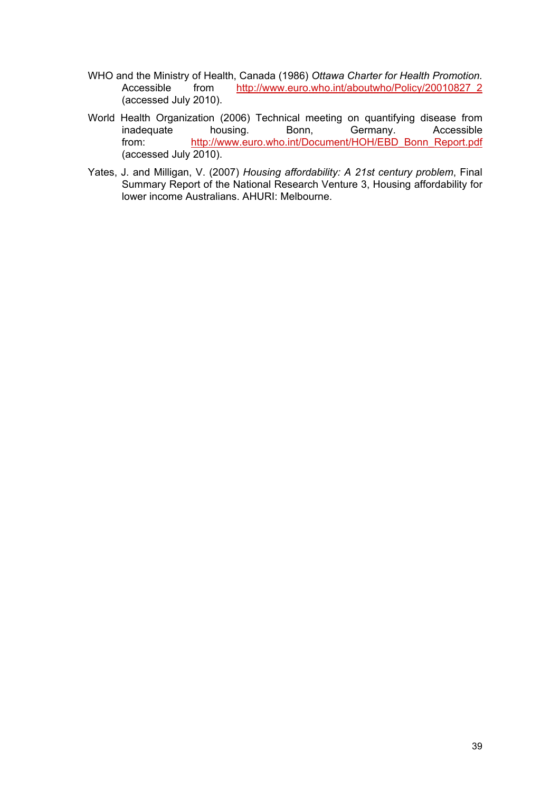- WHO and the Ministry of Health, Canada (1986) *Ottawa Charter for Health Promotion.* Accessible from [http://www.euro.who.int/aboutwho/Policy/20010827\\_2](http://www.euro.who.int/aboutwho/Policy/20010827_2) (accessed July 2010).
- World Health Organization (2006) Technical meeting on quantifying disease from inadequate housing. Bonn, Germany. Accessible from: [http://www.euro.who.int/Document/HOH/EBD\\_Bonn\\_Report.pdf](http://www.euro.who.int/Document/HOH/EBD_Bonn_Report.pdf) (accessed July 2010).
- Yates, J. and Milligan, V. (2007) *Housing affordability: A 21st century problem*, Final Summary Report of the National Research Venture 3, Housing affordability for lower income Australians. AHURI: Melbourne.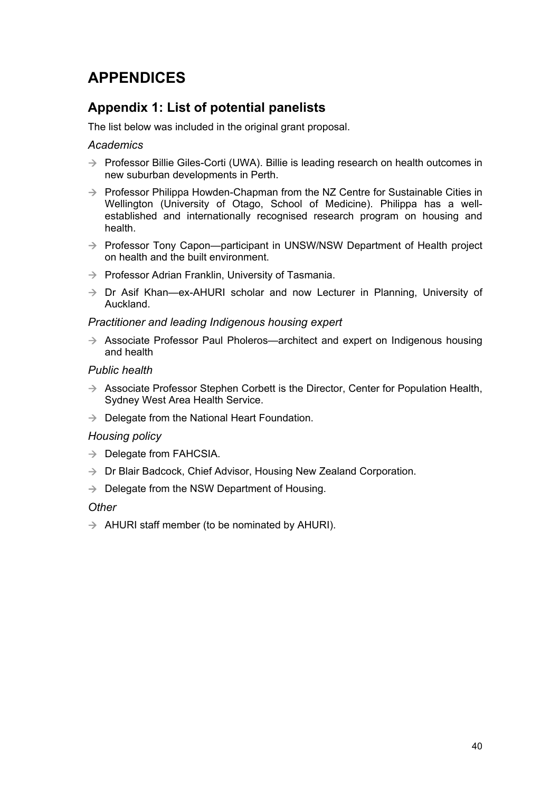# <span id="page-46-0"></span>**APPENDICES**

# **Appendix 1: List of potential panelists**

The list below was included in the original grant proposal.

## *Academics*

- $\rightarrow$  Professor Billie Giles-Corti (UWA). Billie is leading research on health outcomes in new suburban developments in Perth.
- $\rightarrow$  Professor Philippa Howden-Chapman from the NZ Centre for Sustainable Cities in Wellington (University of Otago, School of Medicine). Philippa has a wellestablished and internationally recognised research program on housing and health.
- $\rightarrow$  Professor Tony Capon—participant in UNSW/NSW Department of Health project on health and the built environment.
- $\rightarrow$  Professor Adrian Franklin, University of Tasmania.
- $\rightarrow$  Dr Asif Khan—ex-AHURI scholar and now Lecturer in Planning, University of Auckland.

## *Practitioner and leading Indigenous housing expert*

 $\rightarrow$  Associate Professor Paul Pholeros—architect and expert on Indigenous housing and health

## *Public health*

- $\rightarrow$  Associate Professor Stephen Corbett is the Director, Center for Population Health, Sydney West Area Health Service.
- $\rightarrow$  Delegate from the National Heart Foundation.

## *Housing policy*

- $\rightarrow$  Delegate from FAHCSIA.
- $\rightarrow$  Dr Blair Badcock, Chief Advisor, Housing New Zealand Corporation.
- $\rightarrow$  Delegate from the NSW Department of Housing.

## *Other*

 $\rightarrow$  AHURI staff member (to be nominated by AHURI).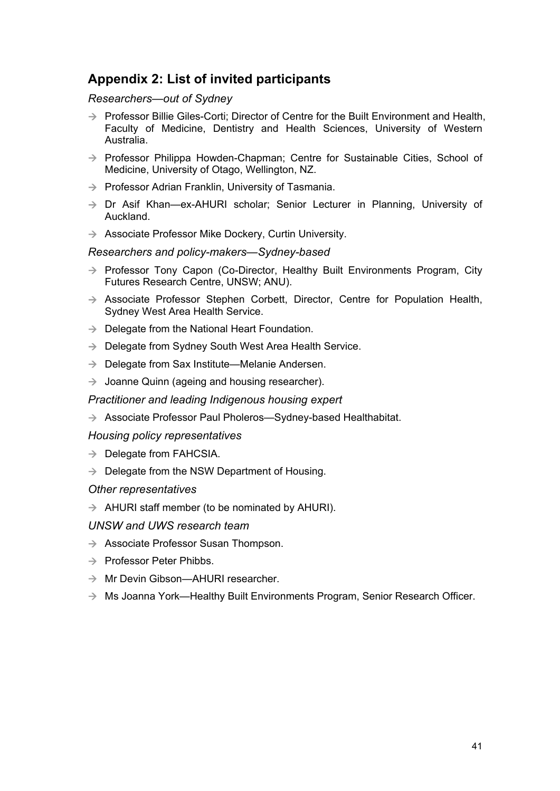# <span id="page-47-0"></span>**Appendix 2: List of invited participants**

### *Researchers—out of Sydney*

- $\rightarrow$  Professor Billie Giles-Corti; Director of Centre for the Built Environment and Health, Faculty of Medicine, Dentistry and Health Sciences, University of Western Australia.
- $\rightarrow$  Professor Philippa Howden-Chapman; Centre for Sustainable Cities, School of Medicine, University of Otago, Wellington, NZ.
- $\rightarrow$  Professor Adrian Franklin, University of Tasmania.
- $\rightarrow$  Dr Asif Khan—ex-AHURI scholar; Senior Lecturer in Planning, University of Auckland.
- $\rightarrow$  Associate Professor Mike Dockery, Curtin University.

## *Researchers and policy-makers—Sydney-based*

- $\rightarrow$  Professor Tony Capon (Co-Director, Healthy Built Environments Program, City Futures Research Centre, UNSW; ANU).
- $\rightarrow$  Associate Professor Stephen Corbett, Director, Centre for Population Health, Sydney West Area Health Service.
- $\rightarrow$  Delegate from the National Heart Foundation.
- $\rightarrow$  Delegate from Sydney South West Area Health Service.
- $\rightarrow$  Delegate from Sax Institute—Melanie Andersen.
- $\rightarrow$  Joanne Quinn (ageing and housing researcher).

*Practitioner and leading Indigenous housing expert* 

 $\rightarrow$  Associate Professor Paul Pholeros—Sydney-based Healthabitat.

*Housing policy representatives* 

- $\rightarrow$  Delegate from FAHCSIA.
- $\rightarrow$  Delegate from the NSW Department of Housing.

#### *Other representatives*

 $\rightarrow$  AHURI staff member (to be nominated by AHURI).

#### *UNSW and UWS research team*

- $\rightarrow$  Associate Professor Susan Thompson.
- $\rightarrow$  Professor Peter Phibbs.
- $\rightarrow$  Mr Devin Gibson—AHURI researcher.
- $\rightarrow$  Ms Joanna York—Healthy Built Environments Program, Senior Research Officer.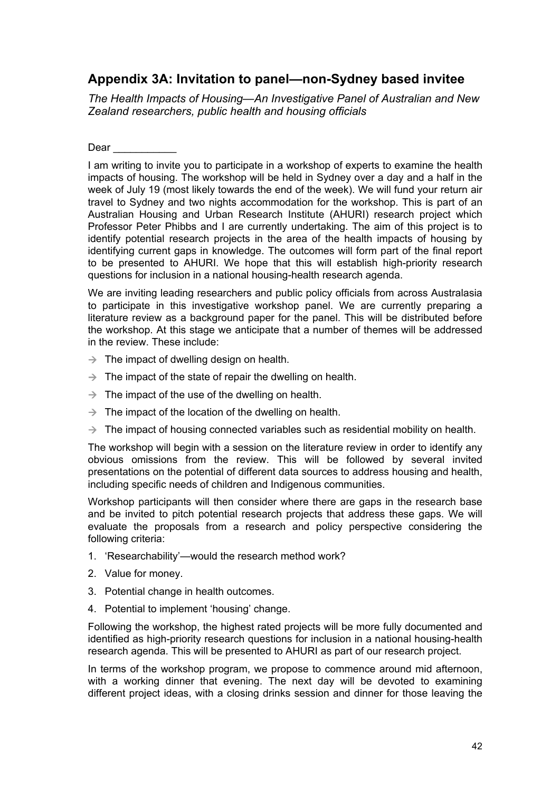# <span id="page-48-0"></span>**Appendix 3A: Invitation to panel—non-Sydney based invitee**

*The Health Impacts of Housing—An Investigative Panel of Australian and New Zealand researchers, public health and housing officials* 

Dear  $\qquad \qquad$ 

I am writing to invite you to participate in a workshop of experts to examine the health impacts of housing. The workshop will be held in Sydney over a day and a half in the week of July 19 (most likely towards the end of the week). We will fund your return air travel to Sydney and two nights accommodation for the workshop. This is part of an Australian Housing and Urban Research Institute (AHURI) research project which Professor Peter Phibbs and I are currently undertaking. The aim of this project is to identify potential research projects in the area of the health impacts of housing by identifying current gaps in knowledge. The outcomes will form part of the final report to be presented to AHURI. We hope that this will establish high-priority research questions for inclusion in a national housing-health research agenda.

We are inviting leading researchers and public policy officials from across Australasia to participate in this investigative workshop panel. We are currently preparing a literature review as a background paper for the panel. This will be distributed before the workshop. At this stage we anticipate that a number of themes will be addressed in the review. These include:

- $\rightarrow$  The impact of dwelling design on health.
- $\rightarrow$  The impact of the state of repair the dwelling on health.
- $\rightarrow$  The impact of the use of the dwelling on health.
- $\rightarrow$  The impact of the location of the dwelling on health.
- $\rightarrow$  The impact of housing connected variables such as residential mobility on health.

The workshop will begin with a session on the literature review in order to identify any obvious omissions from the review. This will be followed by several invited presentations on the potential of different data sources to address housing and health, including specific needs of children and Indigenous communities.

Workshop participants will then consider where there are gaps in the research base and be invited to pitch potential research projects that address these gaps. We will evaluate the proposals from a research and policy perspective considering the following criteria:

- 1. 'Researchability'—would the research method work?
- 2. Value for money.
- 3. Potential change in health outcomes.
- 4. Potential to implement 'housing' change.

Following the workshop, the highest rated projects will be more fully documented and identified as high-priority research questions for inclusion in a national housing-health research agenda. This will be presented to AHURI as part of our research project.

In terms of the workshop program, we propose to commence around mid afternoon, with a working dinner that evening. The next day will be devoted to examining different project ideas, with a closing drinks session and dinner for those leaving the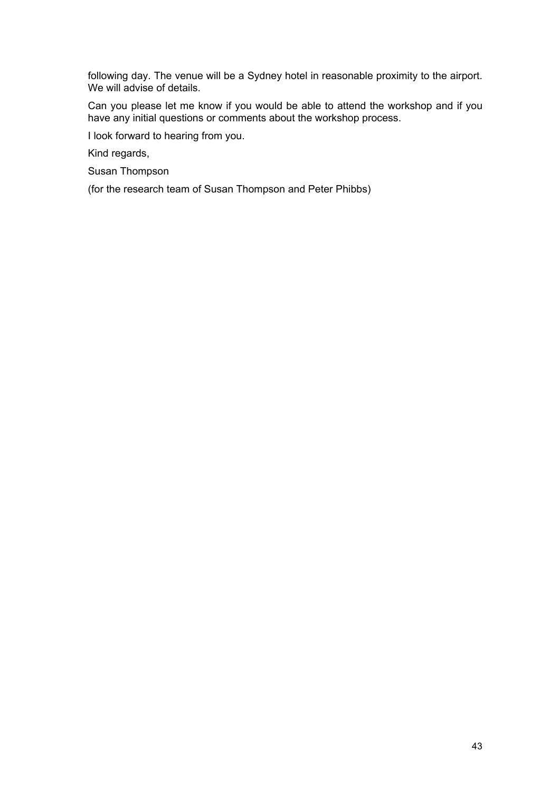following day. The venue will be a Sydney hotel in reasonable proximity to the airport. We will advise of details.

Can you please let me know if you would be able to attend the workshop and if you have any initial questions or comments about the workshop process.

I look forward to hearing from you.

Kind regards,

Susan Thompson

(for the research team of Susan Thompson and Peter Phibbs)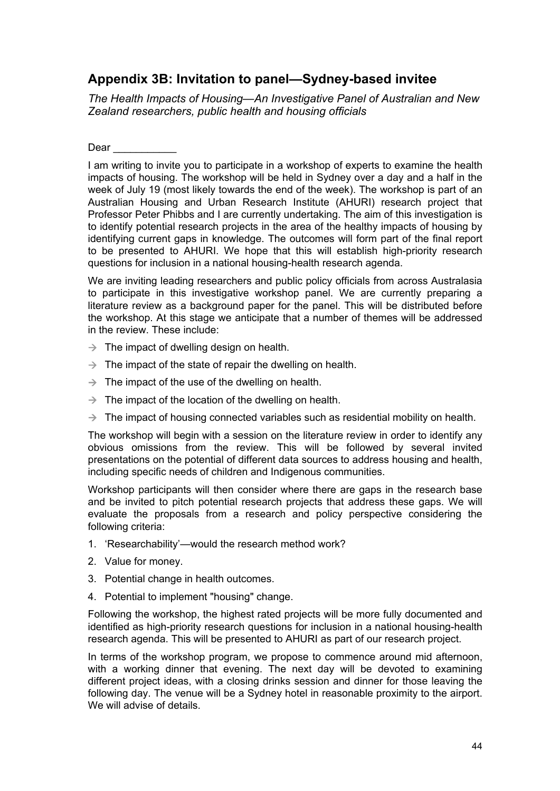# <span id="page-50-0"></span>**Appendix 3B: Invitation to panel—Sydney-based invitee**

*The Health Impacts of Housing—An Investigative Panel of Australian and New Zealand researchers, public health and housing officials* 

Dear \_\_\_\_\_\_\_\_\_\_\_

I am writing to invite you to participate in a workshop of experts to examine the health impacts of housing. The workshop will be held in Sydney over a day and a half in the week of July 19 (most likely towards the end of the week). The workshop is part of an Australian Housing and Urban Research Institute (AHURI) research project that Professor Peter Phibbs and I are currently undertaking. The aim of this investigation is to identify potential research projects in the area of the healthy impacts of housing by identifying current gaps in knowledge. The outcomes will form part of the final report to be presented to AHURI. We hope that this will establish high-priority research questions for inclusion in a national housing-health research agenda.

We are inviting leading researchers and public policy officials from across Australasia to participate in this investigative workshop panel. We are currently preparing a literature review as a background paper for the panel. This will be distributed before the workshop. At this stage we anticipate that a number of themes will be addressed in the review. These include:

- $\rightarrow$  The impact of dwelling design on health.
- $\rightarrow$  The impact of the state of repair the dwelling on health.
- $\rightarrow$  The impact of the use of the dwelling on health.
- $\rightarrow$  The impact of the location of the dwelling on health.
- $\rightarrow$  The impact of housing connected variables such as residential mobility on health.

The workshop will begin with a session on the literature review in order to identify any obvious omissions from the review. This will be followed by several invited presentations on the potential of different data sources to address housing and health, including specific needs of children and Indigenous communities.

Workshop participants will then consider where there are gaps in the research base and be invited to pitch potential research projects that address these gaps. We will evaluate the proposals from a research and policy perspective considering the following criteria:

- 1. 'Researchability'—would the research method work?
- 2. Value for money.
- 3. Potential change in health outcomes.
- 4. Potential to implement "housing" change.

Following the workshop, the highest rated projects will be more fully documented and identified as high-priority research questions for inclusion in a national housing-health research agenda. This will be presented to AHURI as part of our research project.

In terms of the workshop program, we propose to commence around mid afternoon, with a working dinner that evening. The next day will be devoted to examining different project ideas, with a closing drinks session and dinner for those leaving the following day. The venue will be a Sydney hotel in reasonable proximity to the airport. We will advise of details.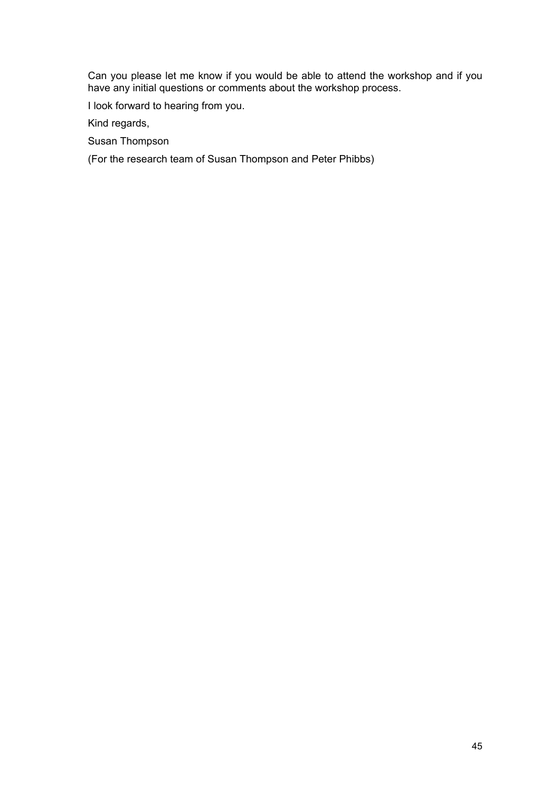Can you please let me know if you would be able to attend the workshop and if you have any initial questions or comments about the workshop process.

I look forward to hearing from you.

Kind regards,

Susan Thompson

(For the research team of Susan Thompson and Peter Phibbs)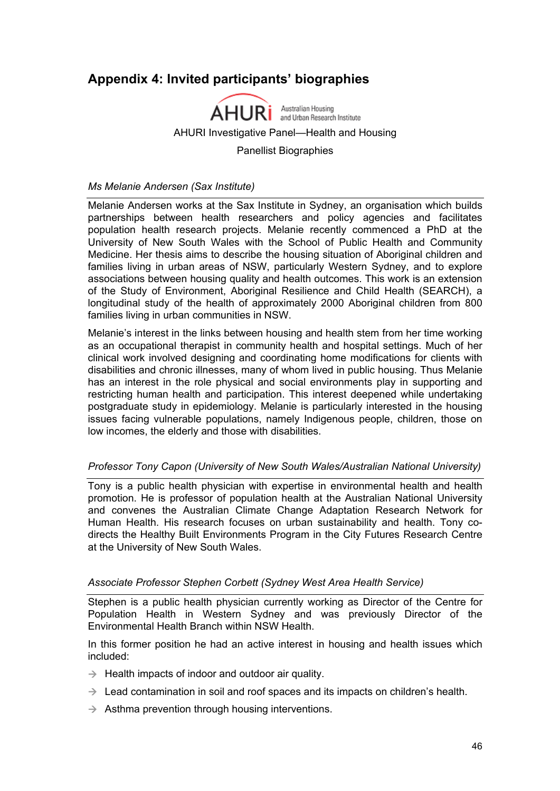# <span id="page-52-0"></span>**Appendix 4: Invited participants' biographies**



*Ms Melanie Andersen (Sax Institute)* 

Melanie Andersen works at the Sax Institute in Sydney, an organisation which builds partnerships between health researchers and policy agencies and facilitates population health research projects. Melanie recently commenced a PhD at the University of New South Wales with the School of Public Health and Community Medicine. Her thesis aims to describe the housing situation of Aboriginal children and families living in urban areas of NSW, particularly Western Sydney, and to explore associations between housing quality and health outcomes. This work is an extension of the Study of Environment, Aboriginal Resilience and Child Health (SEARCH), a longitudinal study of the health of approximately 2000 Aboriginal children from 800 families living in urban communities in NSW.

Melanie's interest in the links between housing and health stem from her time working as an occupational therapist in community health and hospital settings. Much of her clinical work involved designing and coordinating home modifications for clients with disabilities and chronic illnesses, many of whom lived in public housing. Thus Melanie has an interest in the role physical and social environments play in supporting and restricting human health and participation. This interest deepened while undertaking postgraduate study in epidemiology. Melanie is particularly interested in the housing issues facing vulnerable populations, namely Indigenous people, children, those on low incomes, the elderly and those with disabilities.

#### *Professor Tony Capon (University of New South Wales/Australian National University)*

Tony is a public health physician with expertise in environmental health and health promotion. He is professor of population health at the Australian National University and convenes the Australian Climate Change Adaptation Research Network for Human Health. His research focuses on urban sustainability and health. Tony codirects the Healthy Built Environments Program in the City Futures Research Centre at the University of New South Wales.

#### *Associate Professor Stephen Corbett (Sydney West Area Health Service)*

Stephen is a public health physician currently working as Director of the Centre for Population Health in Western Sydney and was previously Director of the Environmental Health Branch within NSW Health.

In this former position he had an active interest in housing and health issues which included:

- $\rightarrow$  Health impacts of indoor and outdoor air quality.
- $\rightarrow$  Lead contamination in soil and roof spaces and its impacts on children's health.
- $\rightarrow$  Asthma prevention through housing interventions.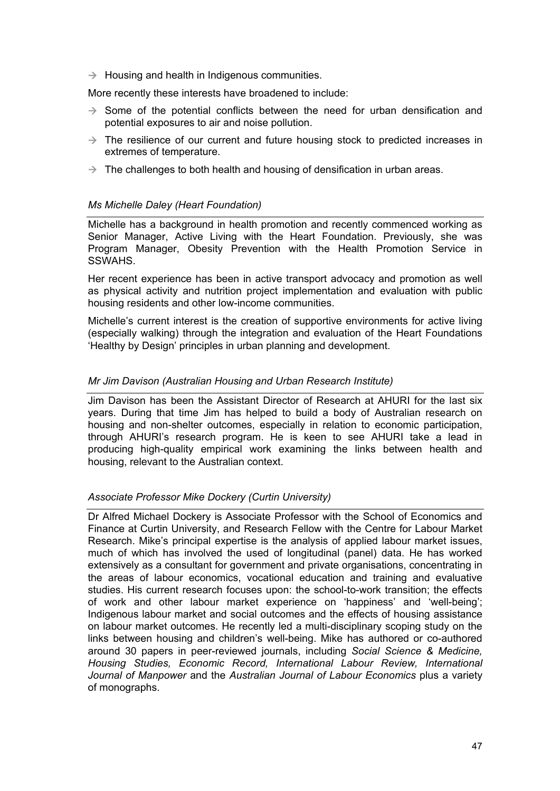$\rightarrow$  Housing and health in Indigenous communities.

More recently these interests have broadened to include:

- $\rightarrow$  Some of the potential conflicts between the need for urban densification and potential exposures to air and noise pollution.
- $\rightarrow$  The resilience of our current and future housing stock to predicted increases in extremes of temperature.
- $\rightarrow$  The challenges to both health and housing of densification in urban areas.

## *Ms Michelle Daley (Heart Foundation)*

Michelle has a background in health promotion and recently commenced working as Senior Manager, Active Living with the Heart Foundation. Previously, she was Program Manager, Obesity Prevention with the Health Promotion Service in SSWAHS.

Her recent experience has been in active transport advocacy and promotion as well as physical activity and nutrition project implementation and evaluation with public housing residents and other low-income communities.

Michelle's current interest is the creation of supportive environments for active living (especially walking) through the integration and evaluation of the Heart Foundations 'Healthy by Design' principles in urban planning and development.

## *Mr Jim Davison (Australian Housing and Urban Research Institute)*

Jim Davison has been the Assistant Director of Research at AHURI for the last six years. During that time Jim has helped to build a body of Australian research on housing and non-shelter outcomes, especially in relation to economic participation, through AHURI's research program. He is keen to see AHURI take a lead in producing high-quality empirical work examining the links between health and housing, relevant to the Australian context.

#### *Associate Professor Mike Dockery (Curtin University)*

Dr Alfred Michael Dockery is Associate Professor with the School of Economics and Finance at Curtin University, and Research Fellow with the Centre for Labour Market Research. Mike's principal expertise is the analysis of applied labour market issues, much of which has involved the used of longitudinal (panel) data. He has worked extensively as a consultant for government and private organisations, concentrating in the areas of labour economics, vocational education and training and evaluative studies. His current research focuses upon: the school-to-work transition; the effects of work and other labour market experience on 'happiness' and 'well-being'; Indigenous labour market and social outcomes and the effects of housing assistance on labour market outcomes. He recently led a multi-disciplinary scoping study on the links between housing and children's well-being. Mike has authored or co-authored around 30 papers in peer-reviewed journals, including *Social Science & Medicine, Housing Studies, Economic Record, International Labour Review, International Journal of Manpower* and the *Australian Journal of Labour Economics* plus a variety of monographs.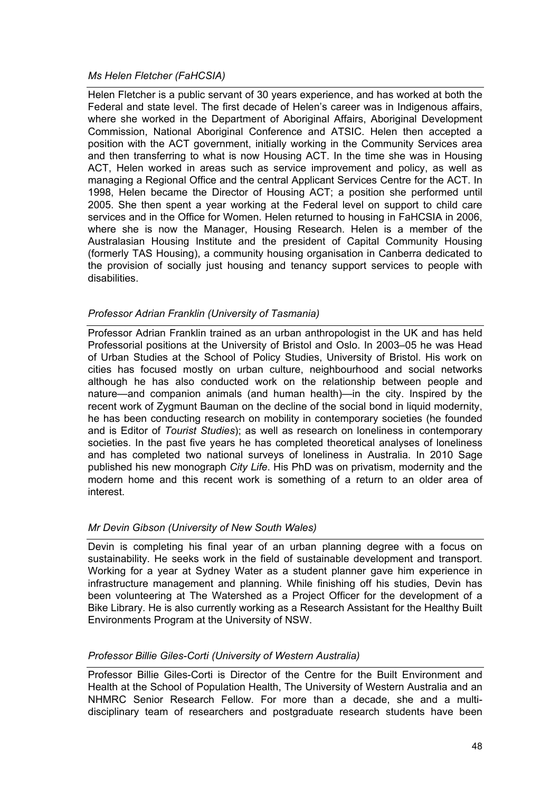## *Ms Helen Fletcher (FaHCSIA)*

Helen Fletcher is a public servant of 30 years experience, and has worked at both the Federal and state level. The first decade of Helen's career was in Indigenous affairs, where she worked in the Department of Aboriginal Affairs, Aboriginal Development Commission, National Aboriginal Conference and ATSIC. Helen then accepted a position with the ACT government, initially working in the Community Services area and then transferring to what is now Housing ACT. In the time she was in Housing ACT, Helen worked in areas such as service improvement and policy, as well as managing a Regional Office and the central Applicant Services Centre for the ACT. In 1998, Helen became the Director of Housing ACT; a position she performed until 2005. She then spent a year working at the Federal level on support to child care services and in the Office for Women. Helen returned to housing in FaHCSIA in 2006, where she is now the Manager, Housing Research. Helen is a member of the Australasian Housing Institute and the president of Capital Community Housing (formerly TAS Housing), a community housing organisation in Canberra dedicated to the provision of socially just housing and tenancy support services to people with disabilities.

## *Professor Adrian Franklin (University of Tasmania)*

Professor Adrian Franklin trained as an urban anthropologist in the UK and has held Professorial positions at the University of Bristol and Oslo. In 2003–05 he was Head of Urban Studies at the School of Policy Studies, University of Bristol. His work on cities has focused mostly on urban culture, neighbourhood and social networks although he has also conducted work on the relationship between people and nature—and companion animals (and human health)—in the city. Inspired by the recent work of Zygmunt Bauman on the decline of the social bond in liquid modernity, he has been conducting research on mobility in contemporary societies (he founded and is Editor of *Tourist Studies*); as well as research on loneliness in contemporary societies. In the past five years he has completed theoretical analyses of loneliness and has completed two national surveys of loneliness in Australia. In 2010 Sage published his new monograph *City Life*. His PhD was on privatism, modernity and the modern home and this recent work is something of a return to an older area of interest.

#### *Mr Devin Gibson (University of New South Wales)*

Devin is completing his final year of an urban planning degree with a focus on sustainability. He seeks work in the field of sustainable development and transport. Working for a year at Sydney Water as a student planner gave him experience in infrastructure management and planning. While finishing off his studies, Devin has been volunteering at The Watershed as a Project Officer for the development of a Bike Library. He is also currently working as a Research Assistant for the Healthy Built Environments Program at the University of NSW.

#### *Professor Billie Giles-Corti (University of Western Australia)*

Professor Billie Giles-Corti is Director of the Centre for the Built Environment and Health at the School of Population Health, The University of Western Australia and an NHMRC Senior Research Fellow. For more than a decade, she and a multidisciplinary team of researchers and postgraduate research students have been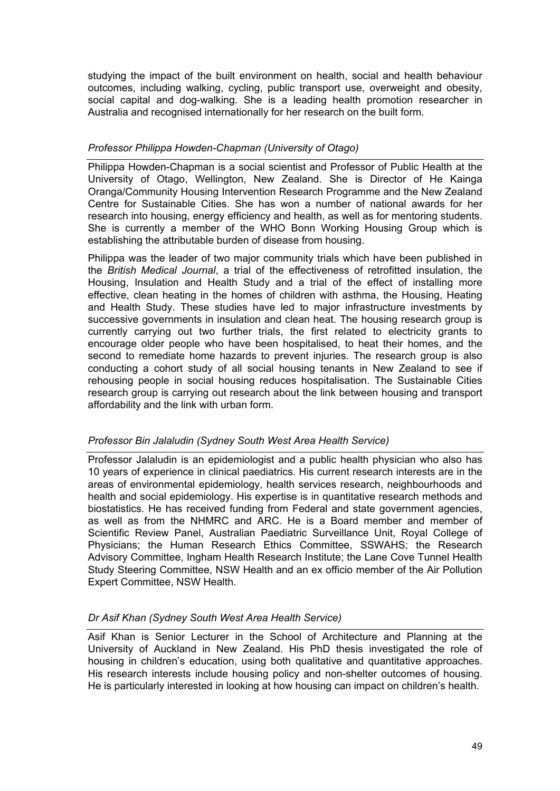studying the impact of the built environment on health, social and health behaviour outcomes, including walking, cycling, public transport use, overweight and obesity, social capital and dog-walking. She is a leading health promotion researcher in Australia and recognised internationally for her research on the built form.

## *Professor Philippa Howden-Chapman (University of Otago)*

Philippa Howden-Chapman is a social scientist and Professor of Public Health at the University of Otago, Wellington, New Zealand. She is Director of He Kainga Oranga/Community Housing Intervention Research Programme and the New Zealand Centre for Sustainable Cities. She has won a number of national awards for her research into housing, energy efficiency and health, as well as for mentoring students. She is currently a member of the WHO Bonn Working Housing Group which is establishing the attributable burden of disease from housing.

Philippa was the leader of two major community trials which have been published in the *British Medical Journal*, a trial of the effectiveness of retrofitted insulation, the Housing, Insulation and Health Study and a trial of the effect of installing more effective, clean heating in the homes of children with asthma, the Housing, Heating and Health Study. These studies have led to major infrastructure investments by successive governments in insulation and clean heat. The housing research group is currently carrying out two further trials, the first related to electricity grants to encourage older people who have been hospitalised, to heat their homes, and the second to remediate home hazards to prevent injuries. The research group is also conducting a cohort study of all social housing tenants in New Zealand to see if rehousing people in social housing reduces hospitalisation. The Sustainable Cities research group is carrying out research about the link between housing and transport affordability and the link with urban form.

#### *Professor Bin Jalaludin (Sydney South West Area Health Service)*

Professor Jalaludin is an epidemiologist and a public health physician who also has 10 years of experience in clinical paediatrics. His current research interests are in the areas of environmental epidemiology, health services research, neighbourhoods and health and social epidemiology. His expertise is in quantitative research methods and biostatistics. He has received funding from Federal and state government agencies, as well as from the NHMRC and ARC. He is a Board member and member of Scientific Review Panel, Australian Paediatric Surveillance Unit, Royal College of Physicians; the Human Research Ethics Committee, SSWAHS; the Research Advisory Committee, Ingham Health Research Institute; the Lane Cove Tunnel Health Study Steering Committee, NSW Health and an ex officio member of the Air Pollution Expert Committee, NSW Health.

#### *Dr Asif Khan (Sydney South West Area Health Service)*

Asif Khan is Senior Lecturer in the School of Architecture and Planning at the University of Auckland in New Zealand. His PhD thesis investigated the role of housing in children's education, using both qualitative and quantitative approaches. His research interests include housing policy and non-shelter outcomes of housing. He is particularly interested in looking at how housing can impact on children's health.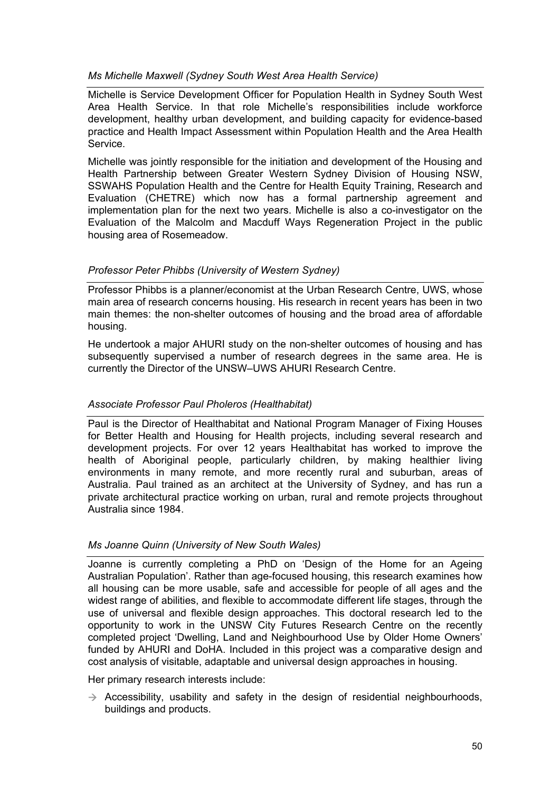## *Ms Michelle Maxwell (Sydney South West Area Health Service)*

Michelle is Service Development Officer for Population Health in Sydney South West Area Health Service. In that role Michelle's responsibilities include workforce development, healthy urban development, and building capacity for evidence-based practice and Health Impact Assessment within Population Health and the Area Health Service.

Michelle was jointly responsible for the initiation and development of the Housing and Health Partnership between Greater Western Sydney Division of Housing NSW, SSWAHS Population Health and the Centre for Health Equity Training, Research and Evaluation (CHETRE) which now has a formal partnership agreement and implementation plan for the next two years. Michelle is also a co-investigator on the Evaluation of the Malcolm and Macduff Ways Regeneration Project in the public housing area of Rosemeadow.

#### *Professor Peter Phibbs (University of Western Sydney)*

Professor Phibbs is a planner/economist at the Urban Research Centre, UWS, whose main area of research concerns housing. His research in recent years has been in two main themes: the non-shelter outcomes of housing and the broad area of affordable housing.

He undertook a major AHURI study on the non-shelter outcomes of housing and has subsequently supervised a number of research degrees in the same area. He is currently the Director of the UNSW–UWS AHURI Research Centre.

#### *Associate Professor Paul Pholeros (Healthabitat)*

Paul is the Director of Healthabitat and National Program Manager of Fixing Houses for Better Health and Housing for Health projects, including several research and development projects. For over 12 years Healthabitat has worked to improve the health of Aboriginal people, particularly children, by making healthier living environments in many remote, and more recently rural and suburban, areas of Australia. Paul trained as an architect at the University of Sydney, and has run a private architectural practice working on urban, rural and remote projects throughout Australia since 1984.

## *Ms Joanne Quinn (University of New South Wales)*

Joanne is currently completing a PhD on 'Design of the Home for an Ageing Australian Population'. Rather than age-focused housing, this research examines how all housing can be more usable, safe and accessible for people of all ages and the widest range of abilities, and flexible to accommodate different life stages, through the use of universal and flexible design approaches. This doctoral research led to the opportunity to work in the UNSW City Futures Research Centre on the recently completed project 'Dwelling, Land and Neighbourhood Use by Older Home Owners' funded by AHURI and DoHA. Included in this project was a comparative design and cost analysis of visitable, adaptable and universal design approaches in housing.

Her primary research interests include:

 $\rightarrow$  Accessibility, usability and safety in the design of residential neighbourhoods, buildings and products.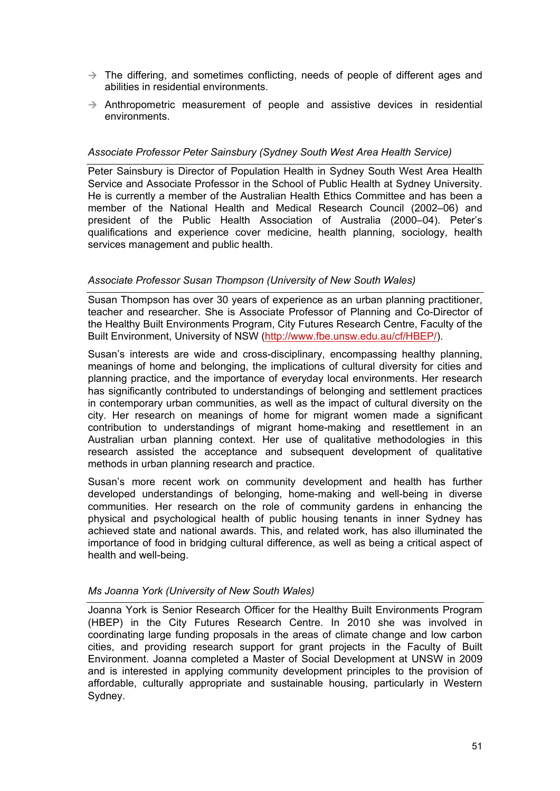- $\rightarrow$  The differing, and sometimes conflicting, needs of people of different ages and abilities in residential environments.
- $\rightarrow$  Anthropometric measurement of people and assistive devices in residential environments.

#### *Associate Professor Peter Sainsbury (Sydney South West Area Health Service)*

Peter Sainsbury is Director of Population Health in Sydney South West Area Health Service and Associate Professor in the School of Public Health at Sydney University. He is currently a member of the Australian Health Ethics Committee and has been a member of the National Health and Medical Research Council (2002–06) and president of the Public Health Association of Australia (2000–04). Peter's qualifications and experience cover medicine, health planning, sociology, health services management and public health.

#### *Associate Professor Susan Thompson (University of New South Wales)*

Susan Thompson has over 30 years of experience as an urban planning practitioner, teacher and researcher. She is Associate Professor of Planning and Co-Director of the Healthy Built Environments Program, City Futures Research Centre, Faculty of the Built Environment, University of NSW ([http://www.fbe.unsw.edu.au/cf/HBEP/\)](http://www.fbe.unsw.edu.au/cf/HBEP/).

Susan's interests are wide and cross-disciplinary, encompassing healthy planning, meanings of home and belonging, the implications of cultural diversity for cities and planning practice, and the importance of everyday local environments. Her research has significantly contributed to understandings of belonging and settlement practices in contemporary urban communities, as well as the impact of cultural diversity on the city. Her research on meanings of home for migrant women made a significant contribution to understandings of migrant home-making and resettlement in an Australian urban planning context. Her use of qualitative methodologies in this research assisted the acceptance and subsequent development of qualitative methods in urban planning research and practice.

Susan's more recent work on community development and health has further developed understandings of belonging, home-making and well-being in diverse communities. Her research on the role of community gardens in enhancing the physical and psychological health of public housing tenants in inner Sydney has achieved state and national awards. This, and related work, has also illuminated the importance of food in bridging cultural difference, as well as being a critical aspect of health and well-being.

#### *Ms Joanna York (University of New South Wales)*

Joanna York is Senior Research Officer for the Healthy Built Environments Program (HBEP) in the City Futures Research Centre. In 2010 she was involved in coordinating large funding proposals in the areas of climate change and low carbon cities, and providing research support for grant projects in the Faculty of Built Environment. Joanna completed a Master of Social Development at UNSW in 2009 and is interested in applying community development principles to the provision of affordable, culturally appropriate and sustainable housing, particularly in Western Sydney.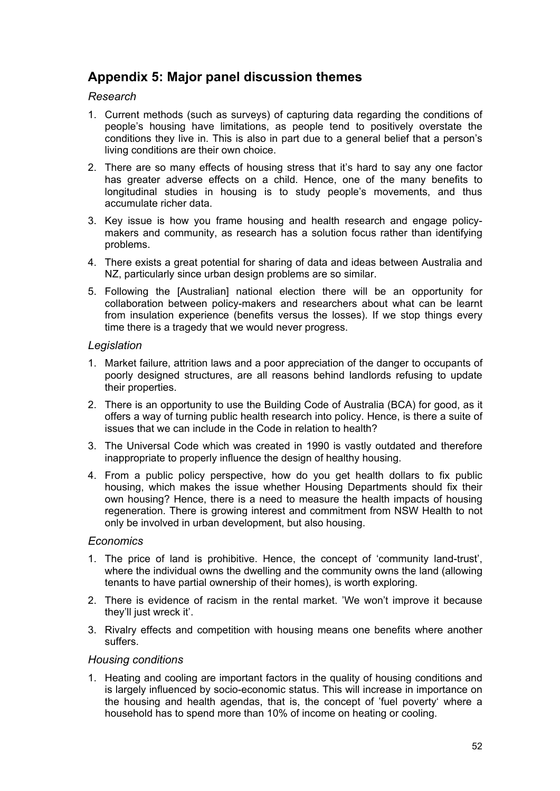# <span id="page-58-0"></span>**Appendix 5: Major panel discussion themes**

## *Research*

- 1. Current methods (such as surveys) of capturing data regarding the conditions of people's housing have limitations, as people tend to positively overstate the conditions they live in. This is also in part due to a general belief that a person's living conditions are their own choice.
- 2. There are so many effects of housing stress that it's hard to say any one factor has greater adverse effects on a child. Hence, one of the many benefits to longitudinal studies in housing is to study people's movements, and thus accumulate richer data.
- 3. Key issue is how you frame housing and health research and engage policymakers and community, as research has a solution focus rather than identifying problems.
- 4. There exists a great potential for sharing of data and ideas between Australia and NZ, particularly since urban design problems are so similar.
- 5. Following the [Australian] national election there will be an opportunity for collaboration between policy-makers and researchers about what can be learnt from insulation experience (benefits versus the losses). If we stop things every time there is a tragedy that we would never progress.

#### *Legislation*

- 1. Market failure, attrition laws and a poor appreciation of the danger to occupants of poorly designed structures, are all reasons behind landlords refusing to update their properties.
- 2. There is an opportunity to use the Building Code of Australia (BCA) for good, as it offers a way of turning public health research into policy. Hence, is there a suite of issues that we can include in the Code in relation to health?
- 3. The Universal Code which was created in 1990 is vastly outdated and therefore inappropriate to properly influence the design of healthy housing.
- 4. From a public policy perspective, how do you get health dollars to fix public housing, which makes the issue whether Housing Departments should fix their own housing? Hence, there is a need to measure the health impacts of housing regeneration. There is growing interest and commitment from NSW Health to not only be involved in urban development, but also housing.

#### *Economics*

- 1. The price of land is prohibitive. Hence, the concept of 'community land-trust', where the individual owns the dwelling and the community owns the land (allowing tenants to have partial ownership of their homes), is worth exploring.
- 2. There is evidence of racism in the rental market. 'We won't improve it because they'll just wreck it'.
- 3. Rivalry effects and competition with housing means one benefits where another suffers.

#### *Housing conditions*

1. Heating and cooling are important factors in the quality of housing conditions and is largely influenced by socio-economic status. This will increase in importance on the housing and health agendas, that is, the concept of 'fuel poverty' where a household has to spend more than 10% of income on heating or cooling.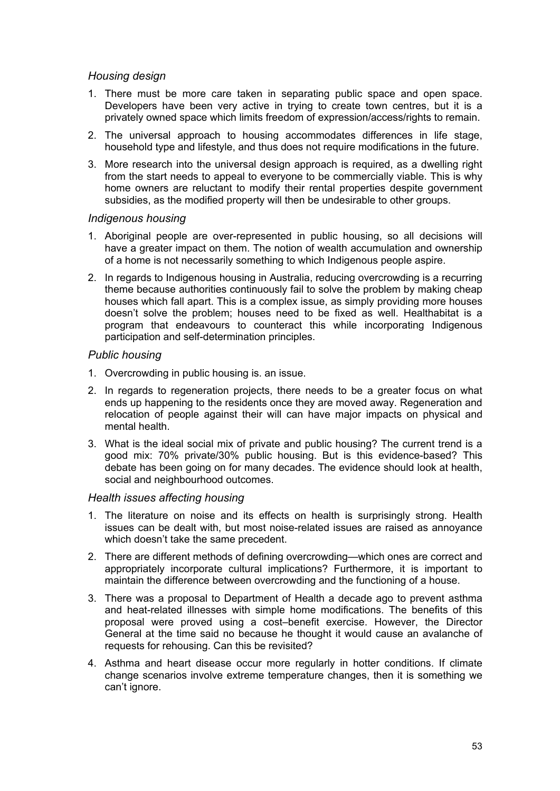## *Housing design*

- 1. There must be more care taken in separating public space and open space. Developers have been very active in trying to create town centres, but it is a privately owned space which limits freedom of expression/access/rights to remain.
- 2. The universal approach to housing accommodates differences in life stage, household type and lifestyle, and thus does not require modifications in the future.
- 3. More research into the universal design approach is required, as a dwelling right from the start needs to appeal to everyone to be commercially viable. This is why home owners are reluctant to modify their rental properties despite government subsidies, as the modified property will then be undesirable to other groups.

#### *Indigenous housing*

- 1. Aboriginal people are over-represented in public housing, so all decisions will have a greater impact on them. The notion of wealth accumulation and ownership of a home is not necessarily something to which Indigenous people aspire.
- 2. In regards to Indigenous housing in Australia, reducing overcrowding is a recurring theme because authorities continuously fail to solve the problem by making cheap houses which fall apart. This is a complex issue, as simply providing more houses doesn't solve the problem; houses need to be fixed as well. Healthabitat is a program that endeavours to counteract this while incorporating Indigenous participation and self-determination principles.

#### *Public housing*

- 1. Overcrowding in public housing is. an issue.
- 2. In regards to regeneration projects, there needs to be a greater focus on what ends up happening to the residents once they are moved away. Regeneration and relocation of people against their will can have major impacts on physical and mental health.
- 3. What is the ideal social mix of private and public housing? The current trend is a good mix: 70% private/30% public housing. But is this evidence-based? This debate has been going on for many decades. The evidence should look at health, social and neighbourhood outcomes.

#### *Health issues affecting housing*

- 1. The literature on noise and its effects on health is surprisingly strong. Health issues can be dealt with, but most noise-related issues are raised as annoyance which doesn't take the same precedent.
- 2. There are different methods of defining overcrowding—which ones are correct and appropriately incorporate cultural implications? Furthermore, it is important to maintain the difference between overcrowding and the functioning of a house.
- 3. There was a proposal to Department of Health a decade ago to prevent asthma and heat-related illnesses with simple home modifications. The benefits of this proposal were proved using a cost–benefit exercise. However, the Director General at the time said no because he thought it would cause an avalanche of requests for rehousing. Can this be revisited?
- 4. Asthma and heart disease occur more regularly in hotter conditions. If climate change scenarios involve extreme temperature changes, then it is something we can't ignore.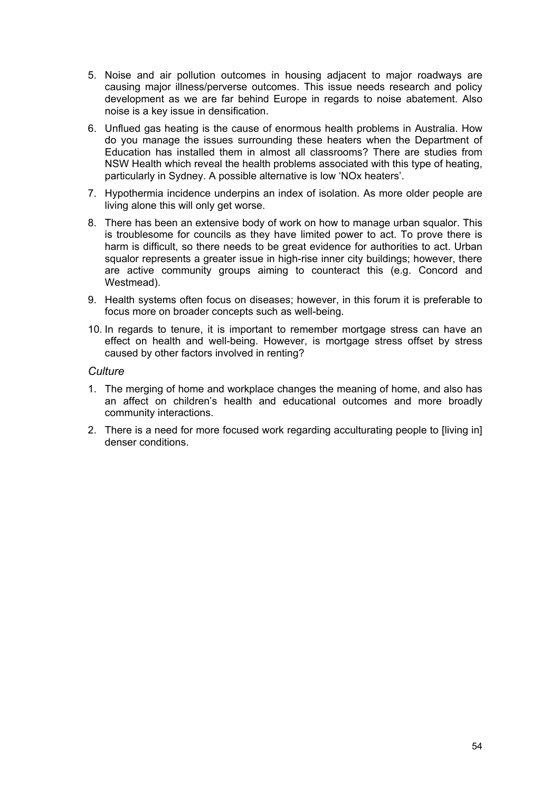- 5. Noise and air pollution outcomes in housing adjacent to major roadways are causing major illness/perverse outcomes. This issue needs research and policy development as we are far behind Europe in regards to noise abatement. Also noise is a key issue in densification.
- 6. Unflued gas heating is the cause of enormous health problems in Australia. How do you manage the issues surrounding these heaters when the Department of Education has installed them in almost all classrooms? There are studies from NSW Health which reveal the health problems associated with this type of heating, particularly in Sydney. A possible alternative is low 'NOx heaters'.
- 7. Hypothermia incidence underpins an index of isolation. As more older people are living alone this will only get worse.
- 8. There has been an extensive body of work on how to manage urban squalor. This is troublesome for councils as they have limited power to act. To prove there is harm is difficult, so there needs to be great evidence for authorities to act. Urban squalor represents a greater issue in high-rise inner city buildings; however, there are active community groups aiming to counteract this (e.g. Concord and Westmead).
- 9. Health systems often focus on diseases; however, in this forum it is preferable to focus more on broader concepts such as well-being.
- 10. In regards to tenure, it is important to remember mortgage stress can have an effect on health and well-being. However, is mortgage stress offset by stress caused by other factors involved in renting?

#### *Culture*

- 1. The merging of home and workplace changes the meaning of home, and also has an affect on children's health and educational outcomes and more broadly community interactions.
- 2. There is a need for more focused work regarding acculturating people to [living in] denser conditions.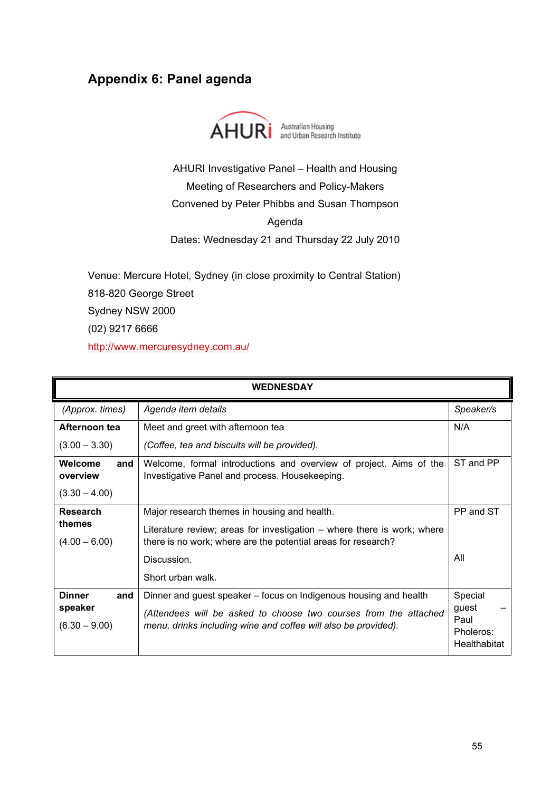# <span id="page-61-0"></span>**Appendix 6: Panel agenda**



AHURI Investigative Panel – Health and Housing Meeting of Researchers and Policy-Makers Convened by Peter Phibbs and Susan Thompson Agenda Dates: Wednesday 21 and Thursday 22 July 2010

Venue: Mercure Hotel, Sydney (in close proximity to Central Station)

818-820 George Street

Sydney NSW 2000

(02) 9217 6666

<http://www.mercuresydney.com.au/>

|                                                    | <b>WEDNESDAY</b>                                                                                                                                                                                        |                                                       |  |  |  |
|----------------------------------------------------|---------------------------------------------------------------------------------------------------------------------------------------------------------------------------------------------------------|-------------------------------------------------------|--|--|--|
| (Approx. times)                                    | Agenda item details                                                                                                                                                                                     | Speaker/s                                             |  |  |  |
| Afternoon tea                                      | Meet and greet with afternoon tea                                                                                                                                                                       | N/A                                                   |  |  |  |
| $(3.00 - 3.30)$                                    | (Coffee, tea and biscuits will be provided).                                                                                                                                                            |                                                       |  |  |  |
| Welcome<br>and<br>overview                         | Welcome, formal introductions and overview of project. Aims of the<br>Investigative Panel and process. Housekeeping.                                                                                    | ST and PP                                             |  |  |  |
| $(3.30 - 4.00)$                                    |                                                                                                                                                                                                         |                                                       |  |  |  |
| Research                                           | Major research themes in housing and health.                                                                                                                                                            | PP and ST                                             |  |  |  |
| themes<br>$(4.00 - 6.00)$                          | Literature review; areas for investigation – where there is work; where<br>there is no work; where are the potential areas for research?                                                                |                                                       |  |  |  |
|                                                    | Discussion.                                                                                                                                                                                             | All                                                   |  |  |  |
|                                                    | Short urban walk.                                                                                                                                                                                       |                                                       |  |  |  |
| <b>Dinner</b><br>and<br>speaker<br>$(6.30 - 9.00)$ | Dinner and guest speaker – focus on Indigenous housing and health<br>(Attendees will be asked to choose two courses from the attached<br>menu, drinks including wine and coffee will also be provided). | Special<br>guest<br>Paul<br>Pholeros:<br>Healthabitat |  |  |  |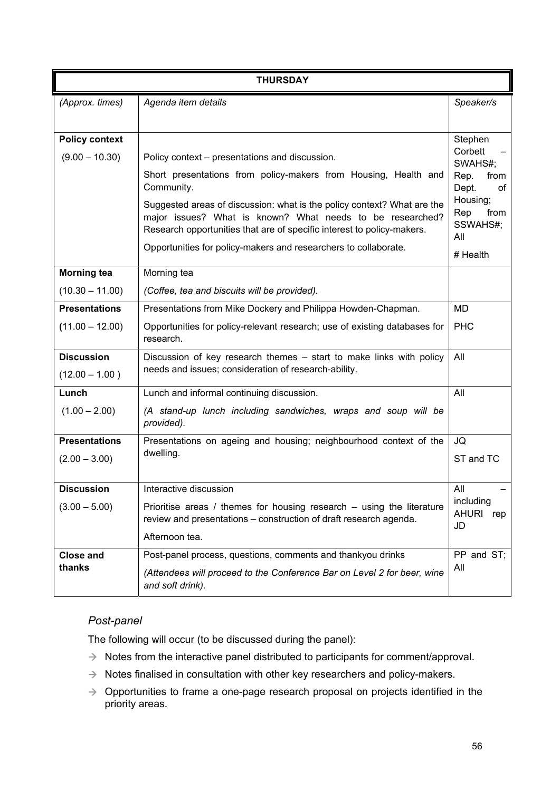|                                       | <b>THURSDAY</b>                                                                                                                                                                                                |                                            |  |  |
|---------------------------------------|----------------------------------------------------------------------------------------------------------------------------------------------------------------------------------------------------------------|--------------------------------------------|--|--|
| (Approx. times)                       | Agenda item details                                                                                                                                                                                            | Speaker/s                                  |  |  |
|                                       |                                                                                                                                                                                                                |                                            |  |  |
| <b>Policy context</b>                 |                                                                                                                                                                                                                | Stephen                                    |  |  |
| $(9.00 - 10.30)$                      | Policy context – presentations and discussion.                                                                                                                                                                 | Corbett<br>SWAHS#;                         |  |  |
|                                       | Short presentations from policy-makers from Housing, Health and<br>Community.                                                                                                                                  | Rep.<br>from<br>Dept.<br>of                |  |  |
|                                       | Suggested areas of discussion: what is the policy context? What are the<br>major issues? What is known? What needs to be researched?<br>Research opportunities that are of specific interest to policy-makers. | Housing;<br>Rep<br>from<br>SSWAHS#;<br>All |  |  |
|                                       | Opportunities for policy-makers and researchers to collaborate.                                                                                                                                                | # Health                                   |  |  |
| <b>Morning tea</b>                    | Morning tea                                                                                                                                                                                                    |                                            |  |  |
| $(10.30 - 11.00)$                     | (Coffee, tea and biscuits will be provided).                                                                                                                                                                   |                                            |  |  |
| <b>Presentations</b>                  | Presentations from Mike Dockery and Philippa Howden-Chapman.                                                                                                                                                   | <b>MD</b>                                  |  |  |
| $(11.00 - 12.00)$                     | Opportunities for policy-relevant research; use of existing databases for<br>research.                                                                                                                         | <b>PHC</b>                                 |  |  |
| <b>Discussion</b><br>$(12.00 - 1.00)$ | Discussion of key research themes - start to make links with policy<br>needs and issues; consideration of research-ability.                                                                                    | All                                        |  |  |
| Lunch                                 | Lunch and informal continuing discussion.                                                                                                                                                                      | All                                        |  |  |
| $(1.00 - 2.00)$                       | (A stand-up lunch including sandwiches, wraps and soup will be<br>provided).                                                                                                                                   |                                            |  |  |
| <b>Presentations</b>                  | Presentations on ageing and housing; neighbourhood context of the                                                                                                                                              | JQ                                         |  |  |
| $(2.00 - 3.00)$                       | dwelling.                                                                                                                                                                                                      | ST and TC                                  |  |  |
| <b>Discussion</b>                     | Interactive discussion                                                                                                                                                                                         | All                                        |  |  |
| $(3.00 - 5.00)$                       | Prioritise areas / themes for housing research $-$ using the literature<br>review and presentations - construction of draft research agenda.                                                                   | including<br><b>AHURI</b><br>rep<br>JD     |  |  |
|                                       | Afternoon tea.                                                                                                                                                                                                 |                                            |  |  |
| <b>Close and</b>                      | Post-panel process, questions, comments and thankyou drinks                                                                                                                                                    | PP and ST;                                 |  |  |
| thanks                                | (Attendees will proceed to the Conference Bar on Level 2 for beer, wine<br>and soft drink).                                                                                                                    | All                                        |  |  |

## *Post-panel*

The following will occur (to be discussed during the panel):

- $\rightarrow$  Notes from the interactive panel distributed to participants for comment/approval.
- $\rightarrow$  Notes finalised in consultation with other key researchers and policy-makers.
- $\rightarrow$  Opportunities to frame a one-page research proposal on projects identified in the priority areas.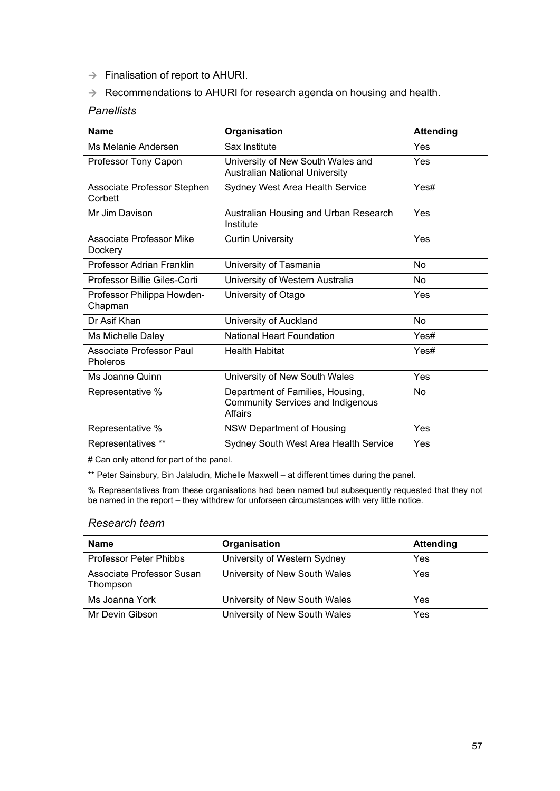- $\rightarrow$  Finalisation of report to AHURI.
- $\rightarrow$  Recommendations to AHURI for research agenda on housing and health.

## *Panellists*

| <b>Name</b>                                 | Organisation                                                                            | <b>Attending</b> |
|---------------------------------------------|-----------------------------------------------------------------------------------------|------------------|
| Ms Melanie Andersen                         | Sax Institute                                                                           | Yes              |
| Professor Tony Capon                        | University of New South Wales and<br>Australian National University                     | Yes              |
| Associate Professor Stephen<br>Corbett      | <b>Sydney West Area Health Service</b>                                                  | Yes#             |
| Mr Jim Davison                              | Australian Housing and Urban Research<br>Institute                                      | Yes              |
| Associate Professor Mike<br>Dockery         | <b>Curtin University</b>                                                                | Yes              |
| Professor Adrian Franklin                   | University of Tasmania                                                                  | No.              |
| Professor Billie Giles-Corti                | University of Western Australia                                                         | No               |
| Professor Philippa Howden-<br>Chapman       | University of Otago                                                                     | Yes              |
| Dr Asif Khan                                | University of Auckland                                                                  | <b>No</b>        |
| Ms Michelle Daley                           | National Heart Foundation                                                               | Yes#             |
| Associate Professor Paul<br><b>Pholeros</b> | <b>Health Habitat</b>                                                                   | Yes#             |
| Ms Joanne Quinn                             | University of New South Wales                                                           | Yes              |
| Representative %                            | Department of Families, Housing,<br><b>Community Services and Indigenous</b><br>Affairs | No               |
| Representative %                            | <b>NSW Department of Housing</b>                                                        | Yes              |
| Representatives **                          | Sydney South West Area Health Service                                                   | Yes              |

# Can only attend for part of the panel.

\*\* Peter Sainsbury, Bin Jalaludin, Michelle Maxwell - at different times during the panel.

% Representatives from these organisations had been named but subsequently requested that they not be named in the report – they withdrew for unforseen circumstances with very little notice.

#### *Research team*

| <b>Name</b>                           | Organisation                  | <b>Attending</b> |
|---------------------------------------|-------------------------------|------------------|
| Professor Peter Phibbs                | University of Western Sydney  | Yes              |
| Associate Professor Susan<br>Thompson | University of New South Wales | Yes              |
| Ms Joanna York                        | University of New South Wales | Yes              |
| Mr Devin Gibson                       | University of New South Wales | Yes              |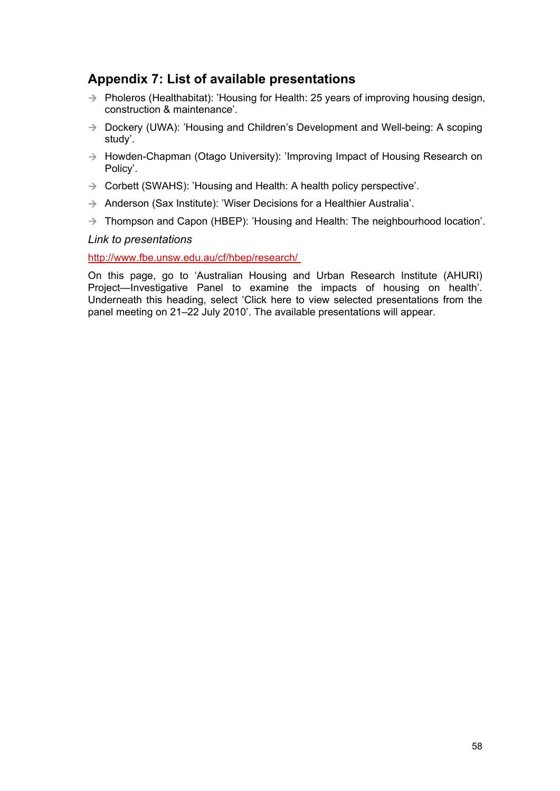# <span id="page-64-0"></span>**Appendix 7: List of available presentations**

- $\rightarrow$  Pholeros (Healthabitat): 'Housing for Health: 25 years of improving housing design, construction & maintenance'.
- $\rightarrow$  Dockery (UWA): 'Housing and Children's Development and Well-being: A scoping study'.
- $\rightarrow$  Howden-Chapman (Otago University): 'Improving Impact of Housing Research on Policy'.
- $\rightarrow$  Corbett (SWAHS): 'Housing and Health: A health policy perspective'.
- $\rightarrow$  Anderson (Sax Institute): 'Wiser Decisions for a Healthier Australia'.
- $\rightarrow$  Thompson and Capon (HBEP): 'Housing and Health: The neighbourhood location'.

#### *Link to presentations*

#### <http://www.fbe.unsw.edu.au/cf/hbep/research/>

On this page, go to 'Australian Housing and Urban Research Institute (AHURI) Project—Investigative Panel to examine the impacts of housing on health'. Underneath this heading, select 'Click here to view selected presentations from the panel meeting on 21–22 July 2010'. The available presentations will appear.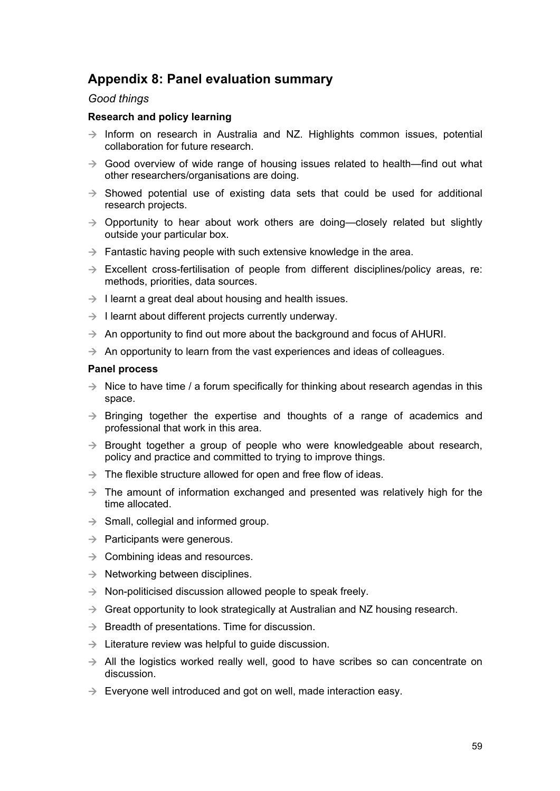# <span id="page-65-0"></span>**Appendix 8: Panel evaluation summary**

#### *Good things*

#### **Research and policy learning**

- $\rightarrow$  Inform on research in Australia and NZ. Highlights common issues, potential collaboration for future research.
- $\rightarrow$  Good overview of wide range of housing issues related to health—find out what other researchers/organisations are doing.
- $\rightarrow$  Showed potential use of existing data sets that could be used for additional research projects.
- $\rightarrow$  Opportunity to hear about work others are doing—closely related but slightly outside your particular box.
- $\rightarrow$  Fantastic having people with such extensive knowledge in the area.
- $\rightarrow$  Excellent cross-fertilisation of people from different disciplines/policy areas, re: methods, priorities, data sources.
- $\rightarrow$  I learnt a great deal about housing and health issues.
- $\rightarrow$  I learnt about different projects currently underway.
- $\rightarrow$  An opportunity to find out more about the background and focus of AHURI.
- $\rightarrow$  An opportunity to learn from the vast experiences and ideas of colleagues.

#### **Panel process**

- $\rightarrow$  Nice to have time / a forum specifically for thinking about research agendas in this space.
- $\rightarrow$  Bringing together the expertise and thoughts of a range of academics and professional that work in this area.
- $\rightarrow$  Brought together a group of people who were knowledgeable about research, policy and practice and committed to trying to improve things.
- $\rightarrow$  The flexible structure allowed for open and free flow of ideas.
- $\rightarrow$  The amount of information exchanged and presented was relatively high for the time allocated.
- $\rightarrow$  Small, collegial and informed group.
- $\rightarrow$  Participants were generous.
- $\rightarrow$  Combining ideas and resources.
- $\rightarrow$  Networking between disciplines.
- $\rightarrow$  Non-politicised discussion allowed people to speak freely.
- $\rightarrow$  Great opportunity to look strategically at Australian and NZ housing research.
- $\rightarrow$  Breadth of presentations. Time for discussion.
- $\rightarrow$  Literature review was helpful to guide discussion.
- $\rightarrow$  All the logistics worked really well, good to have scribes so can concentrate on discussion.
- $\rightarrow$  Evervone well introduced and got on well, made interaction easy.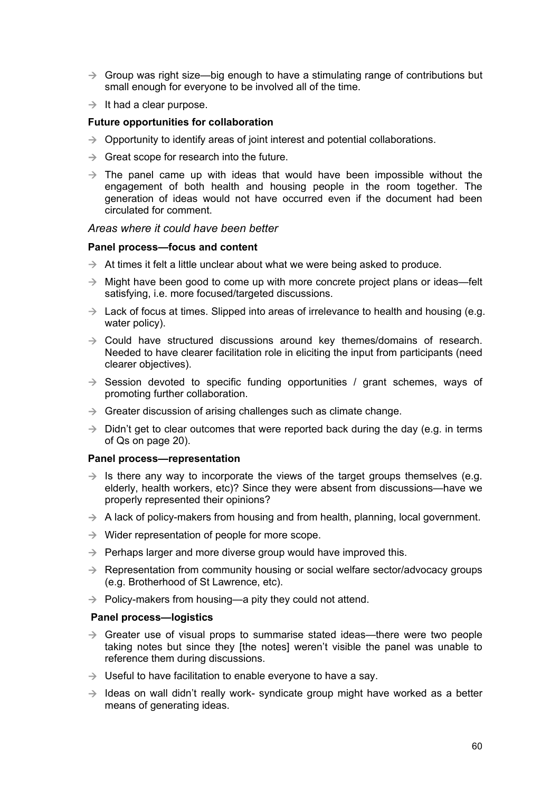- $\rightarrow$  Group was right size—big enough to have a stimulating range of contributions but small enough for everyone to be involved all of the time.
- $\rightarrow$  It had a clear purpose.

#### **Future opportunities for collaboration**

- $\rightarrow$  Opportunity to identify areas of joint interest and potential collaborations.
- $\rightarrow$  Great scope for research into the future.
- $\rightarrow$  The panel came up with ideas that would have been impossible without the engagement of both health and housing people in the room together. The generation of ideas would not have occurred even if the document had been circulated for comment.

#### *Areas where it could have been better*

#### **Panel process—focus and content**

- $\rightarrow$  At times it felt a little unclear about what we were being asked to produce.
- $\rightarrow$  Might have been good to come up with more concrete project plans or ideas—felt satisfying, i.e. more focused/targeted discussions.
- $\rightarrow$  Lack of focus at times. Slipped into areas of irrelevance to health and housing (e.g. water policy).
- $\rightarrow$  Could have structured discussions around key themes/domains of research. Needed to have clearer facilitation role in eliciting the input from participants (need clearer objectives).
- $\rightarrow$  Session devoted to specific funding opportunities / grant schemes, ways of promoting further collaboration.
- $\rightarrow$  Greater discussion of arising challenges such as climate change.
- $\rightarrow$  Didn't get to clear outcomes that were reported back during the day (e.g. in terms of Qs on page 20).

#### **Panel process—representation**

- $\rightarrow$  Is there any way to incorporate the views of the target groups themselves (e.g. elderly, health workers, etc)? Since they were absent from discussions—have we properly represented their opinions?
- $\rightarrow$  A lack of policy-makers from housing and from health, planning, local government.
- $\rightarrow$  Wider representation of people for more scope.
- $\rightarrow$  Perhaps larger and more diverse group would have improved this.
- $\rightarrow$  Representation from community housing or social welfare sector/advocacy groups (e.g. Brotherhood of St Lawrence, etc).
- $\rightarrow$  Policy-makers from housing—a pity they could not attend.

#### **Panel process—logistics**

- $\rightarrow$  Greater use of visual props to summarise stated ideas—there were two people taking notes but since they [the notes] weren't visible the panel was unable to reference them during discussions.
- $\rightarrow$  Useful to have facilitation to enable everyone to have a say.
- $\rightarrow$  Ideas on wall didn't really work- syndicate group might have worked as a better means of generating ideas.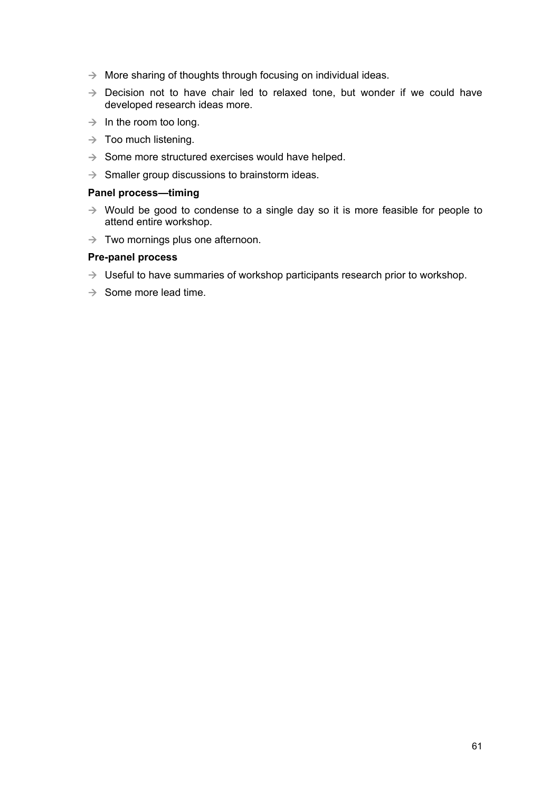- $\rightarrow$  More sharing of thoughts through focusing on individual ideas.
- $\rightarrow$  Decision not to have chair led to relaxed tone, but wonder if we could have developed research ideas more.
- $\rightarrow$  In the room too long.
- $\rightarrow$  Too much listening.
- $\rightarrow$  Some more structured exercises would have helped.
- $\rightarrow$  Smaller group discussions to brainstorm ideas.

## **Panel process—timing**

- $\rightarrow$  Would be good to condense to a single day so it is more feasible for people to attend entire workshop.
- $\rightarrow$  Two mornings plus one afternoon.

#### **Pre-panel process**

- $\rightarrow$  Useful to have summaries of workshop participants research prior to workshop.
- $\rightarrow$  Some more lead time.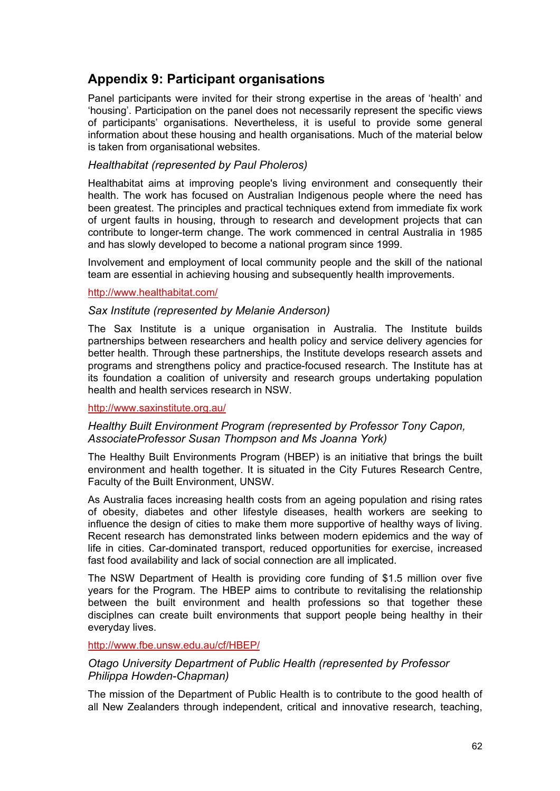# <span id="page-68-0"></span>**Appendix 9: Participant organisations**

Panel participants were invited for their strong expertise in the areas of 'health' and 'housing'. Participation on the panel does not necessarily represent the specific views of participants' organisations. Nevertheless, it is useful to provide some general information about these housing and health organisations. Much of the material below is taken from organisational websites.

## *Healthabitat (represented by Paul Pholeros)*

Healthabitat aims at improving people's living environment and consequently their health. The work has focused on Australian Indigenous people where the need has been greatest. The principles and practical techniques extend from immediate fix work of urgent faults in housing, through to research and development projects that can contribute to longer-term change. The work commenced in central Australia in 1985 and has slowly developed to become a national program since 1999.

Involvement and employment of local community people and the skill of the national team are essential in achieving housing and subsequently health improvements.

## <http://www.healthabitat.com/>

## *Sax Institute (represented by Melanie Anderson)*

The Sax Institute is a unique organisation in Australia. The Institute builds partnerships between researchers and health policy and service delivery agencies for better health. Through these partnerships, the Institute develops research assets and programs and strengthens policy and practice-focused research. The Institute has at its foundation a coalition of university and research groups undertaking population health and health services research in NSW.

### <http://www.saxinstitute.org.au/>

## *Healthy Built Environment Program (represented by Professor Tony Capon, AssociateProfessor Susan Thompson and Ms Joanna York)*

The Healthy Built Environments Program (HBEP) is an initiative that brings the built environment and health together. It is situated in the City Futures Research Centre, Faculty of the Built Environment, UNSW.

As Australia faces increasing health costs from an ageing population and rising rates of obesity, diabetes and other lifestyle diseases, health workers are seeking to influence the design of cities to make them more supportive of healthy ways of living. Recent research has demonstrated links between modern epidemics and the way of life in cities. Car-dominated transport, reduced opportunities for exercise, increased fast food availability and lack of social connection are all implicated.

The NSW Department of Health is providing core funding of \$1.5 million over five years for the Program. The HBEP aims to contribute to revitalising the relationship between the built environment and health professions so that together these disciplnes can create built environments that support people being healthy in their everyday lives.

#### <http://www.fbe.unsw.edu.au/cf/HBEP/>

## *Otago University Department of Public Health (represented by Professor Philippa Howden-Chapman)*

The mission of the Department of Public Health is to contribute to the good health of all New Zealanders through independent, critical and innovative research, teaching,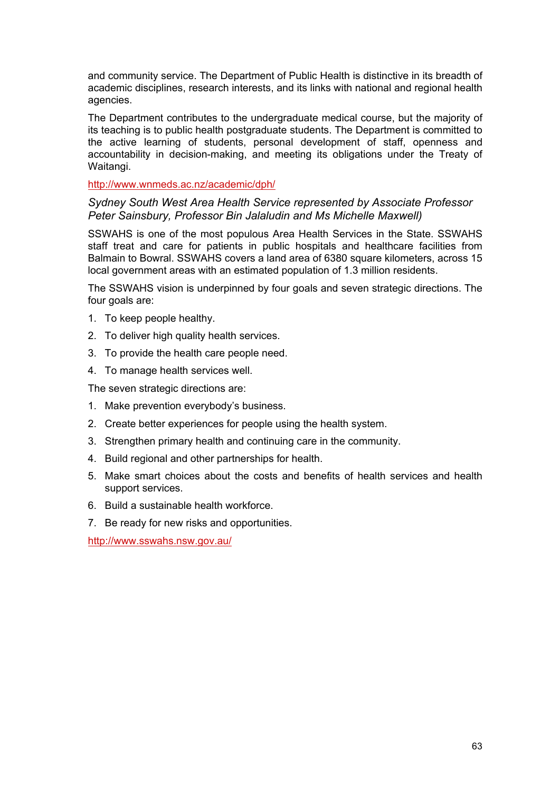and community service. The Department of Public Health is distinctive in its breadth of academic disciplines, research interests, and its links with national and regional health agencies.

The Department contributes to the undergraduate medical course, but the majority of its teaching is to public health postgraduate students. The Department is committed to the active learning of students, personal development of staff, openness and accountability in decision-making, and meeting its obligations under the Treaty of Waitangi.

#### <http://www.wnmeds.ac.nz/academic/dph/>

### *Sydney South West Area Health Service represented by Associate Professor Peter Sainsbury, Professor Bin Jalaludin and Ms Michelle Maxwell)*

SSWAHS is one of the most populous Area Health Services in the State. SSWAHS staff treat and care for patients in public hospitals and healthcare facilities from Balmain to Bowral. SSWAHS covers a land area of 6380 square kilometers, across 15 local government areas with an estimated population of 1.3 million residents.

The SSWAHS vision is underpinned by four goals and seven strategic directions. The four goals are:

- 1. To keep people healthy.
- 2. To deliver high quality health services.
- 3. To provide the health care people need.
- 4. To manage health services well.

The seven strategic directions are:

- 1. Make prevention everybody's business.
- 2. Create better experiences for people using the health system.
- 3. Strengthen primary health and continuing care in the community.
- 4. Build regional and other partnerships for health.
- 5. Make smart choices about the costs and benefits of health services and health support services.
- 6. Build a sustainable health workforce.
- 7. Be ready for new risks and opportunities.

<http://www.sswahs.nsw.gov.au/>